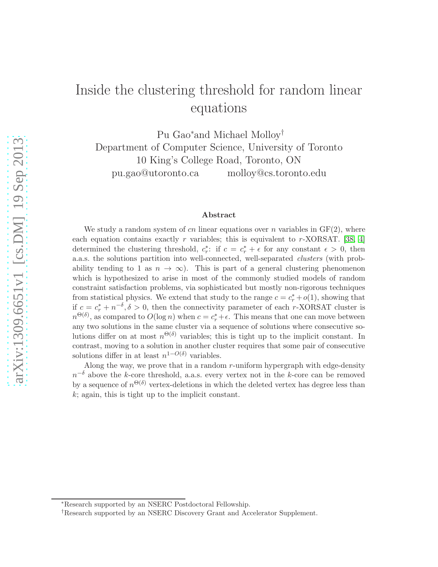# Inside the clustering threshold for random linear equations

Pu Gao<sup>∗</sup> and Michael Molloy† Department of Computer Science, University of Toronto 10 King's College Road, Toronto, ON pu.gao@utoronto.ca molloy@cs.toronto.edu

#### Abstract

We study a random system of cn linear equations over n variables in  $GF(2)$ , where each equation contains exactly r variables; this is equivalent to r-XORSAT. [\[38,](#page-15-0) [4\]](#page-12-0) determined the clustering threshold,  $c_r^*$ : if  $c = c_r^* + \epsilon$  for any constant  $\epsilon > 0$ , then a.a.s. the solutions partition into well-connected, well-separated clusters (with probability tending to 1 as  $n \to \infty$ ). This is part of a general clustering phenomenon which is hypothesized to arise in most of the commonly studied models of random constraint satisfaction problems, via sophisticated but mostly non-rigorous techniques from statistical physics. We extend that study to the range  $c = c_r^* + o(1)$ , showing that if  $c = c_r^* + n^{-\delta}, \delta > 0$ , then the connectivity parameter of each r-XORSAT cluster is  $n^{\Theta(\delta)}$ , as compared to  $O(\log n)$  when  $c = c_r^* + \epsilon$ . This means that one can move between any two solutions in the same cluster via a sequence of solutions where consecutive solutions differ on at most  $n^{\Theta(\delta)}$  variables; this is tight up to the implicit constant. In contrast, moving to a solution in another cluster requires that some pair of consecutive solutions differ in at least  $n^{1-O(\delta)}$  variables.

Along the way, we prove that in a random r-uniform hypergraph with edge-density  $n^{-\delta}$  above the k-core threshold, a.a.s. every vertex not in the k-core can be removed by a sequence of  $n^{\Theta(\delta)}$  vertex-deletions in which the deleted vertex has degree less than  $k$ ; again, this is tight up to the implicit constant.

<sup>∗</sup>Research supported by an NSERC Postdoctoral Fellowship.

<sup>†</sup>Research supported by an NSERC Discovery Grant and Accelerator Supplement.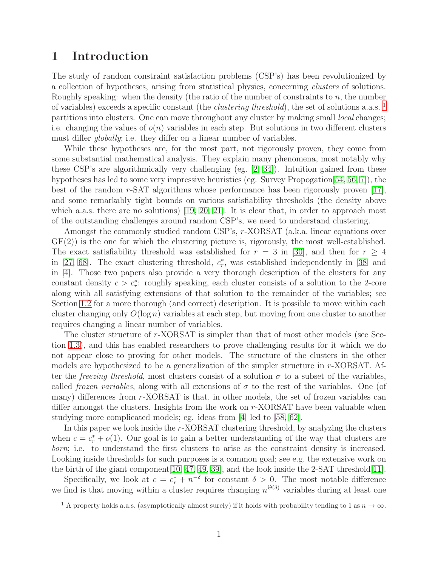### 1 Introduction

The study of random constraint satisfaction problems (CSP's) has been revolutionized by a collection of hypotheses, arising from statistical physics, concerning clusters of solutions. Roughly speaking: when the density (the ratio of the number of constraints to  $n$ , the number of variables) exceeds a specific constant (the *clustering threshold*), the set of solutions a.a.s.  $^1$  $^1$ partitions into clusters. One can move throughout any cluster by making small *local* changes; i.e. changing the values of  $o(n)$  variables in each step. But solutions in two different clusters must differ *qlobally*; i.e. they differ on a linear number of variables.

While these hypotheses are, for the most part, not rigorously proven, they come from some substantial mathematical analysis. They explain many phenomena, most notably why these CSP's are algorithmically very challenging (eg. [\[2,](#page-12-1) [34\]](#page-14-0)). Intuition gained from these hypotheses has led to some very impressive heuristics (eg. Survey Propogation[\[54,](#page-16-0) [56,](#page-16-1) [7\]](#page-12-2)), the best of the random r-SAT algorithms whose performance has been rigorously proven [\[17\]](#page-13-0), and some remarkably tight bounds on various satisfiability thresholds (the density above which a.a.s. there are no solutions) [\[19,](#page-13-1) [20,](#page-13-2) [21\]](#page-13-3). It is clear that, in order to approach most of the outstanding challenges around random CSP's, we need to understand clustering.

Amongst the commonly studied random CSP's, r-XORSAT (a.k.a. linear equations over  $GF(2)$ ) is the one for which the clustering picture is, rigorously, the most well-established. The exact satisfiability threshold was established for  $r = 3$  in [\[30\]](#page-14-1), and then for  $r \geq 4$ in [\[27,](#page-14-2) [68\]](#page-16-2). The exact clustering threshold,  $c_r^*$ , was established independently in [\[38\]](#page-15-0) and in [\[4\]](#page-12-0). Those two papers also provide a very thorough description of the clusters for any constant density  $c > c_r^*$ : roughly speaking, each cluster consists of a solution to the 2-core along with all satisfying extensions of that solution to the remainder of the variables; see Section [1.2](#page-3-0) for a more thorough (and correct) description. It is possible to move within each cluster changing only  $O(\log n)$  variables at each step, but moving from one cluster to another requires changing a linear number of variables.

The cluster structure of r-XORSAT is simpler than that of most other models (see Section [1.3\)](#page-5-0), and this has enabled researchers to prove challenging results for it which we do not appear close to proving for other models. The structure of the clusters in the other models are hypothesized to be a generalization of the simpler structure in r-XORSAT. After the *freezing threshold*, most clusters consist of a solution  $\sigma$  to a subset of the variables, called *frozen variables*, along with all extensions of  $\sigma$  to the rest of the variables. One (of many) differences from r-XORSAT is that, in other models, the set of frozen variables can differ amongst the clusters. Insights from the work on r-XORSAT have been valuable when studying more complicated models; eg. ideas from [\[4\]](#page-12-0) led to [\[58,](#page-16-3) [62\]](#page-16-4).

In this paper we look inside the  $r$ -XORSAT clustering threshold, by analyzing the clusters when  $c = c_r^* + o(1)$ . Our goal is to gain a better understanding of the way that clusters are born; i.e. to understand the first clusters to arise as the constraint density is increased. Looking inside thresholds for such purposes is a common goal; see e.g. the extensive work on the birth of the giant component[\[10,](#page-13-4) [47,](#page-15-1) [49,](#page-15-2) [39\]](#page-15-3), and the look inside the 2-SAT threshold[\[11\]](#page-13-5).

Specifically, we look at  $c = c_r^* + n^{-\delta}$  for constant  $\delta > 0$ . The most notable difference we find is that moving within a cluster requires changing  $n^{\Theta(\delta)}$  variables during at least one

<span id="page-1-0"></span><sup>&</sup>lt;sup>1</sup> A property holds a.a.s. (asymptotically almost surely) if it holds with probability tending to 1 as  $n \to \infty$ .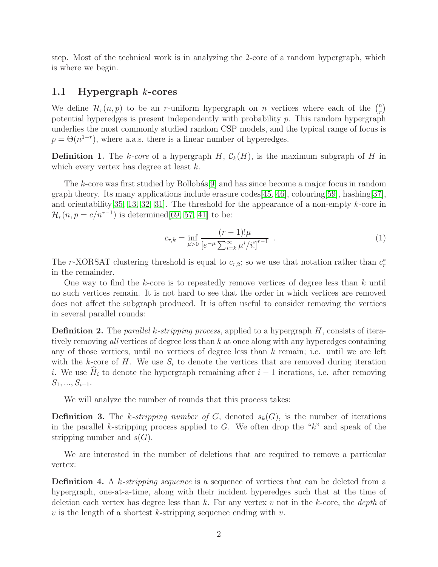step. Most of the technical work is in analyzing the 2-core of a random hypergraph, which is where we begin.

### 1.1 Hypergraph k-cores

We define  $\mathcal{H}_r(n,p)$  to be an r-uniform hypergraph on n vertices where each of the  $\binom{n}{r}$  $\binom{n}{r}$ potential hyperedges is present independently with probability  $p$ . This random hypergraph underlies the most commonly studied random CSP models, and the typical range of focus is  $p = \Theta(n^{1-r})$ , where a.a.s. there is a linear number of hyperedges.

**Definition 1.** The k-core of a hypergraph H,  $\mathcal{C}_k(H)$ , is the maximum subgraph of H in which every vertex has degree at least  $k$ .

The k-core was first studied by Bollobás[\[9\]](#page-13-6) and has since become a major focus in random graph theory. Its many applications include erasure codes  $[45, 46]$  $[45, 46]$ , colouring  $[59]$ , hashing  $[37]$ , and orientability  $[35, 13, 32, 31]$  $[35, 13, 32, 31]$  $[35, 13, 32, 31]$  $[35, 13, 32, 31]$ . The threshold for the appearance of a non-empty k-core in  $\mathcal{H}_r(n, p = c/n^{r-1})$  is determined[\[69,](#page-16-6) [57,](#page-16-7) [41\]](#page-15-6) to be:

$$
c_{r,k} = \inf_{\mu > 0} \frac{(r-1)! \mu}{\left[e^{-\mu} \sum_{i=k}^{\infty} \mu^i / i!\right]^{r-1}} \tag{1}
$$

The r-XORSAT clustering threshold is equal to  $c_{r,2}$ ; so we use that notation rather than  $c_r^*$ in the remainder.

One way to find the k-core is to repeatedly remove vertices of degree less than  $k$  until no such vertices remain. It is not hard to see that the order in which vertices are removed does not affect the subgraph produced. It is often useful to consider removing the vertices in several parallel rounds:

**Definition 2.** The *parallel k-stripping process*, applied to a hypergraph  $H$ , consists of iteratively removing all vertices of degree less than  $k$  at once along with any hyperedges containing any of those vertices, until no vertices of degree less than  $k$  remain; i.e. until we are left with the k-core of H. We use  $S_i$  to denote the vertices that are removed during iteration i. We use  $\hat{H}_i$  to denote the hypergraph remaining after  $i - 1$  iterations, i.e. after removing  $S_1, ..., S_{i-1}.$ 

We will analyze the number of rounds that this process takes:

**Definition 3.** The k-stripping number of G, denoted  $s_k(G)$ , is the number of iterations in the parallel k-stripping process applied to  $G$ . We often drop the " $k$ " and speak of the stripping number and  $s(G)$ .

We are interested in the number of deletions that are required to remove a particular vertex:

**Definition 4.** A k-stripping sequence is a sequence of vertices that can be deleted from a hypergraph, one-at-a-time, along with their incident hyperedges such that at the time of deletion each vertex has degree less than  $k$ . For any vertex  $v$  not in the  $k$ -core, the *depth* of v is the length of a shortest k-stripping sequence ending with  $v$ .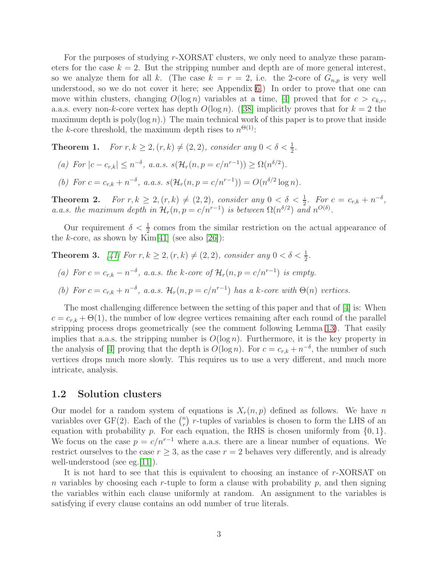For the purposes of studying r-XORSAT clusters, we only need to analyze these parameters for the case  $k = 2$ . But the stripping number and depth are of more general interest, so we analyze them for all k. (The case  $k = r = 2$ , i.e. the 2-core of  $G_{n,p}$  is very well understood, so we do not cover it here; see Appendix [6.](#page-18-0)) In order to prove that one can move within clusters, changing  $O(\log n)$  variables at a time, [\[4\]](#page-12-0) proved that for  $c > c_{k,r}$ , a.a.s.every non-k-core vertex has depth  $O(\log n)$ . ([\[38\]](#page-15-0) implicitly proves that for  $k = 2$  the maximum depth is poly( $log n$ ).) The main technical work of this paper is to prove that inside the k-core threshold, the maximum depth rises to  $n^{\Theta(1)}$ :

<span id="page-3-1"></span>**Theorem 1.** For  $r, k \geq 2, (r, k) \neq (2, 2)$ , consider any  $0 < \delta < \frac{1}{2}$ .

- (a) For  $|c c_{r,k}| \leq n^{-\delta}$ , a.a.s.  $s(\mathcal{H}_r(n, p = c/n^{r-1})) \geq \Omega(n^{\delta/2})$ .
- (b) For  $c = c_{r,k} + n^{-\delta}$ , a.a.s.  $s(\mathcal{H}_r(n, p = c/n^{r-1})) = O(n^{\delta/2} \log n)$ .

<span id="page-3-3"></span>**Theorem 2.** For  $r, k \geq 2, (r, k) \neq (2, 2)$ , consider any  $0 < \delta < \frac{1}{2}$ . For  $c = c_{r,k} + n^{-\delta}$ , a.a.s. the maximum depth in  $\mathcal{H}_r(n,p=c/n^{r-1})$  is between  $\Omega(n^{\delta/2})$  and  $n^{O(\delta)}$ .

Our requirement  $\delta < \frac{1}{2}$  comes from the similar restriction on the actual appearance of the k-core, as shown by Kim[\[41\]](#page-15-6) (see also [\[26\]](#page-14-7)):

<span id="page-3-2"></span>**Theorem 3.** [\[41\]](#page-15-6) For  $r, k \geq 2, (r, k) \neq (2, 2)$ , consider any  $0 < \delta < \frac{1}{2}$ .

- (a) For  $c = c_{r,k} n^{-\delta}$ , a.a.s. the k-core of  $\mathcal{H}_r(n, p = c/n^{r-1})$  is empty.
- (b) For  $c = c_{r,k} + n^{-\delta}$ , a.a.s.  $\mathcal{H}_r(n, p = c/n^{r-1})$  has a k-core with  $\Theta(n)$  vertices.

The most challenging difference between the setting of this paper and that of [\[4\]](#page-12-0) is: When  $c = c_{r,k} + \Theta(1)$ , the number of low degree vertices remaining after each round of the parallel stripping process drops geometrically (see the comment following Lemma [13\)](#page-7-0). That easily implies that a.a.s. the stripping number is  $O(\log n)$ . Furthermore, it is the key property in the analysis of [\[4\]](#page-12-0) proving that the depth is  $O(\log n)$ . For  $c = c_{r,k} + n^{-\delta}$ , the number of such vertices drops much more slowly. This requires us to use a very different, and much more intricate, analysis.

### <span id="page-3-0"></span>1.2 Solution clusters

Our model for a random system of equations is  $X_r(n, p)$  defined as follows. We have n variables over  $GF(2)$ . Each of the  $\binom{n}{r}$  $\binom{n}{r}$  r-tuples of variables is chosen to form the LHS of an equation with probability p. For each equation, the RHS is chosen uniformly from  $\{0, 1\}$ . We focus on the case  $p = c/n^{r-1}$  where a.a.s. there are a linear number of equations. We restrict ourselves to the case  $r \geq 3$ , as the case  $r = 2$  behaves very differently, and is already well-understood (see eg. [\[11\]](#page-13-5)).

It is not hard to see that this is equivalent to choosing an instance of r-XORSAT on n variables by choosing each r-tuple to form a clause with probability  $p$ , and then signing the variables within each clause uniformly at random. An assignment to the variables is satisfying if every clause contains an odd number of true literals.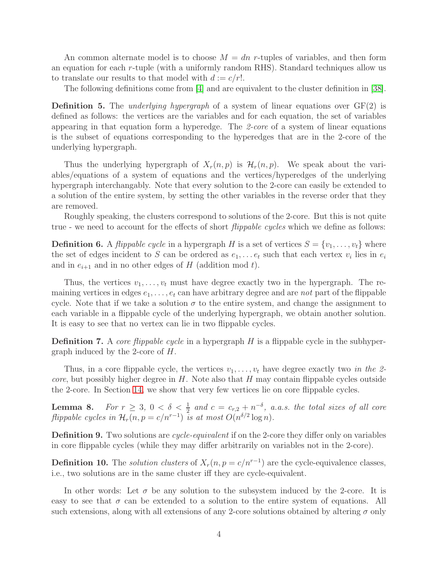An common alternate model is to choose  $M = dn$  r-tuples of variables, and then form an equation for each r-tuple (with a uniformly random RHS). Standard techniques allow us to translate our results to that model with  $d := c/r!$ .

The following definitions come from [\[4\]](#page-12-0) and are equivalent to the cluster definition in [\[38\]](#page-15-0).

**Definition 5.** The *underlying hypergraph* of a system of linear equations over  $GF(2)$  is defined as follows: the vertices are the variables and for each equation, the set of variables appearing in that equation form a hyperedge. The 2-core of a system of linear equations is the subset of equations corresponding to the hyperedges that are in the 2-core of the underlying hypergraph.

Thus the underlying hypergraph of  $X_r(n, p)$  is  $\mathcal{H}_r(n, p)$ . We speak about the variables/equations of a system of equations and the vertices/hyperedges of the underlying hypergraph interchangably. Note that every solution to the 2-core can easily be extended to a solution of the entire system, by setting the other variables in the reverse order that they are removed.

Roughly speaking, the clusters correspond to solutions of the 2-core. But this is not quite true - we need to account for the effects of short *flippable cycles* which we define as follows:

**Definition 6.** A *flippable cycle* in a hypergraph H is a set of vertices  $S = \{v_1, \ldots, v_t\}$  where the set of edges incident to S can be ordered as  $e_1, \ldots e_t$  such that each vertex  $v_i$  lies in  $e_i$ and in  $e_{i+1}$  and in no other edges of H (addition mod t).

Thus, the vertices  $v_1, \ldots, v_t$  must have degree exactly two in the hypergraph. The remaining vertices in edges  $e_1, \ldots, e_t$  can have arbitrary degree and are not part of the flippable cycle. Note that if we take a solution  $\sigma$  to the entire system, and change the assignment to each variable in a flippable cycle of the underlying hypergraph, we obtain another solution. It is easy to see that no vertex can lie in two flippable cycles.

**Definition 7.** A *core flippable cycle* in a hypergraph  $H$  is a flippable cycle in the subhypergraph induced by the 2-core of H.

Thus, in a core flippable cycle, the vertices  $v_1, \ldots, v_t$  have degree exactly two in the 2*core*, but possibly higher degree in  $H$ . Note also that  $H$  may contain flippable cycles outside the 2-core. In Section [14,](#page-57-0) we show that very few vertices lie on core flippable cycles.

<span id="page-4-0"></span>**Lemma 8.** For  $r \geq 3$ ,  $0 < \delta < \frac{1}{2}$  and  $c = c_{r,2} + n^{-\delta}$ , a.a.s. the total sizes of all core flippable cycles in  $\mathcal{H}_r(n,p=c/n^{r-1})$  is at most  $O(n^{\delta/2}\log n)$ .

**Definition 9.** Two solutions are *cycle-equivalent* if on the 2-core they differ only on variables in core flippable cycles (while they may differ arbitrarily on variables not in the 2-core).

**Definition 10.** The *solution clusters* of  $X_r(n, p = c/n^{r-1})$  are the cycle-equivalence classes, i.e., two solutions are in the same cluster iff they are cycle-equivalent.

In other words: Let  $\sigma$  be any solution to the subsystem induced by the 2-core. It is easy to see that  $\sigma$  can be extended to a solution to the entire system of equations. All such extensions, along with all extensions of any 2-core solutions obtained by altering  $\sigma$  only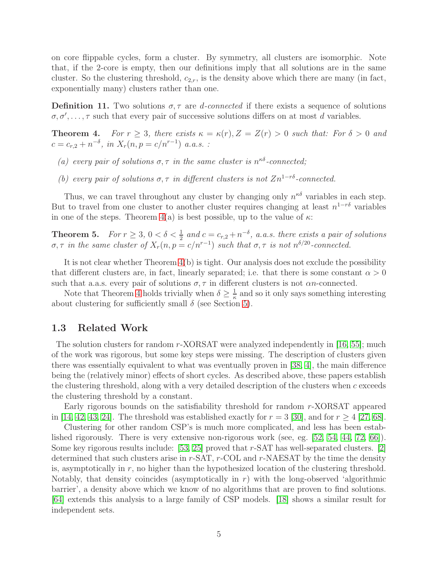on core flippable cycles, form a cluster. By symmetry, all clusters are isomorphic. Note that, if the 2-core is empty, then our definitions imply that all solutions are in the same cluster. So the clustering threshold,  $c_{2,r}$ , is the density above which there are many (in fact, exponentially many) clusters rather than one.

**Definition 11.** Two solutions  $\sigma$ ,  $\tau$  are *d*-connected if there exists a sequence of solutions  $\sigma, \sigma', \ldots, \tau$  such that every pair of successive solutions differs on at most d variables.

<span id="page-5-1"></span>**Theorem 4.** For  $r \geq 3$ , there exists  $\kappa = \kappa(r)$ ,  $Z = Z(r) > 0$  such that: For  $\delta > 0$  and  $c = c_{r,2} + n^{-\delta}$ , in  $X_r(n, p = c/n^{r-1})$  a.a.s.:

- (a) every pair of solutions  $\sigma, \tau$  in the same cluster is  $n^{\kappa \delta}$ -connected;
- (b) every pair of solutions  $\sigma, \tau$  in different clusters is not  $Zn^{1-r\delta}$ -connected.

Thus, we can travel throughout any cluster by changing only  $n^{\kappa \delta}$  variables in each step. But to travel from one cluster to another cluster requires changing at least  $n^{1-r\delta}$  variables in one of the steps. Theorem  $4(a)$  is best possible, up to the value of  $\kappa$ :

<span id="page-5-2"></span>**Theorem 5.** For  $r \geq 3$ ,  $0 < \delta < \frac{1}{2}$  and  $c = c_{r,2} + n^{-\delta}$ , a.a.s. there exists a pair of solutions  $\sigma, \tau$  in the same cluster of  $X_r(n, p = c/n^{r-1})$  such that  $\sigma, \tau$  is not  $n^{\delta/20}$ -connected.

It is not clear whether Theorem [4\(](#page-5-1)b) is tight. Our analysis does not exclude the possibility that different clusters are, in fact, linearly separated; i.e. that there is some constant  $\alpha > 0$ such that a.a.s. every pair of solutions  $\sigma$ ,  $\tau$  in different clusters is not an-connected.

Note that Theorem [4](#page-5-1) holds trivially when  $\delta \geq \frac{1}{\kappa}$  $\frac{1}{\kappa}$  and so it only says something interesting about clustering for sufficiently small  $\delta$  (see Section [5\)](#page-11-0).

### <span id="page-5-0"></span>1.3 Related Work

The solution clusters for random  $r$ -XORSAT were analyzed independently in [\[16,](#page-13-8) [55\]](#page-16-8); much of the work was rigorous, but some key steps were missing. The description of clusters given there was essentially equivalent to what was eventually proven in [\[38,](#page-15-0) [4\]](#page-12-0), the main difference being the (relatively minor) effects of short cycles. As described above, these papers establish the clustering threshold, along with a very detailed description of the clusters when  $c$  exceeds the clustering threshold by a constant.

Early rigorous bounds on the satisfiability threshold for random r-XORSAT appeared in [\[14,](#page-13-9) [42,](#page-15-7) [43,](#page-15-8) [24\]](#page-14-8). The threshold was established exactly for  $r = 3$  [\[30\]](#page-14-1), and for  $r > 4$  [\[27,](#page-14-2) [68\]](#page-16-2).

Clustering for other random CSP's is much more complicated, and less has been established rigorously. There is very extensive non-rigorous work (see, eg. [\[52,](#page-15-9) [54,](#page-16-0) [44,](#page-15-10) [72,](#page-17-0) [66\]](#page-16-9)). Some key rigorous results include: [\[53,](#page-15-11) [25\]](#page-14-9) proved that r-SAT has well-separated clusters. [\[2\]](#page-12-1) determined that such clusters arise in  $r$ -SAT,  $r$ -COL and  $r$ -NAESAT by the time the density is, asymptotically in  $r$ , no higher than the hypothesized location of the clustering threshold. Notably, that density coincides (asymptotically in  $r$ ) with the long-observed 'algorithmic barrier', a density above which we know of no algorithms that are proven to find solutions. [\[64\]](#page-16-10) extends this analysis to a large family of CSP models. [\[18\]](#page-13-10) shows a similar result for independent sets.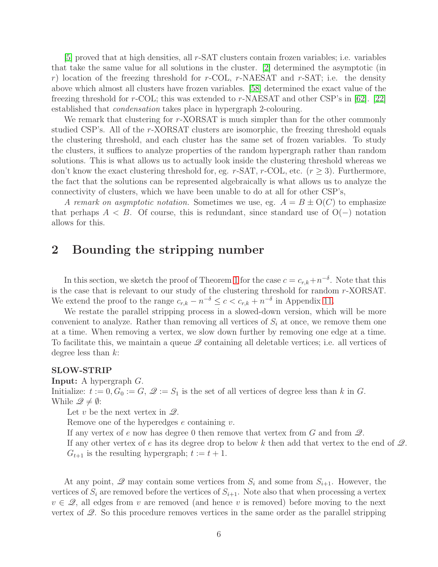[\[5\]](#page-12-3) proved that at high densities, all r-SAT clusters contain frozen variables; i.e. variables that take the same value for all solutions in the cluster. [\[2\]](#page-12-1) determined the asymptotic (in r) location of the freezing threshold for  $r$ -COL,  $r$ -NAESAT and  $r$ -SAT; i.e. the density above which almost all clusters have frozen variables. [\[58\]](#page-16-3) determined the exact value of the freezing threshold for r-COL; this was extended to r-NAESAT and other CSP's in [\[62\]](#page-16-4). [\[22\]](#page-13-11) established that condensation takes place in hypergraph 2-colouring.

We remark that clustering for r-XORSAT is much simpler than for the other commonly studied CSP's. All of the r-XORSAT clusters are isomorphic, the freezing threshold equals the clustering threshold, and each cluster has the same set of frozen variables. To study the clusters, it suffices to analyze properties of the random hypergraph rather than random solutions. This is what allows us to actually look inside the clustering threshold whereas we don't know the exact clustering threshold for, eg. r-SAT, r-COL, etc. ( $r \geq 3$ ). Furthermore, the fact that the solutions can be represented algebraically is what allows us to analyze the connectivity of clusters, which we have been unable to do at all for other CSP's,

A remark on asymptotic notation. Sometimes we use, eg.  $A = B \pm O(C)$  to emphasize that perhaps  $A < B$ . Of course, this is redundant, since standard use of  $O(-)$  notation allows for this.

## <span id="page-6-0"></span>2 Bounding the stripping number

In this section, we sketch the proof of Theorem [1](#page-3-1) for the case  $c = c_{r,k} + n^{-\delta}$ . Note that this is the case that is relevant to our study of the clustering threshold for random r-XORSAT. We extend the proof to the range  $c_{r,k} - n^{-\delta} \leq c < c_{r,k} + n^{-\delta}$  in Appendix [11.](#page-40-0)

We restate the parallel stripping process in a slowed-down version, which will be more convenient to analyze. Rather than removing all vertices of  $S_i$  at once, we remove them one at a time. When removing a vertex, we slow down further by removing one edge at a time. To facilitate this, we maintain a queue  $\mathscr Q$  containing all deletable vertices; i.e. all vertices of degree less than  $k$ :

#### SLOW-STRIP

Input: A hypergraph G.

Initialize:  $t := 0, G_0 := G$ ,  $\mathcal{Q} := S_1$  is the set of all vertices of degree less than k in G. While  $\mathscr{Q} \neq \emptyset$ :

Let v be the next vertex in  $\mathscr{Q}$ .

Remove one of the hyperedges  $e$  containing  $v$ .

If any vertex of e now has degree 0 then remove that vertex from  $G$  and from  $\mathscr{Q}$ .

If any other vertex of e has its degree drop to below k then add that vertex to the end of  $\mathcal{Q}$ .  $G_{t+1}$  is the resulting hypergraph;  $t := t + 1$ .

At any point,  $\mathscr Q$  may contain some vertices from  $S_i$  and some from  $S_{i+1}$ . However, the vertices of  $S_i$  are removed before the vertices of  $S_{i+1}$ . Note also that when processing a vertex  $v \in \mathcal{Q}$ , all edges from v are removed (and hence v is removed) before moving to the next vertex of  $\mathcal{Q}$ . So this procedure removes vertices in the same order as the parallel stripping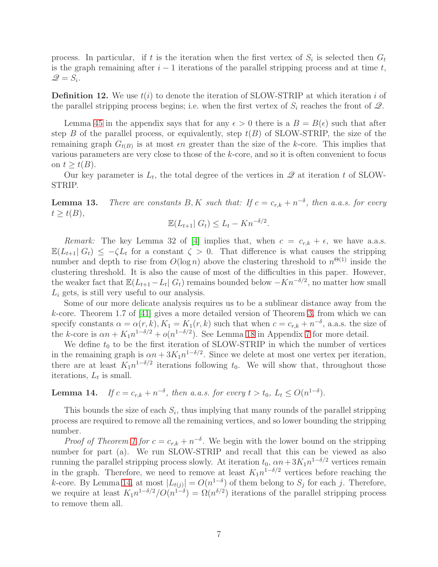process. In particular, if t is the iteration when the first vertex of  $S_i$  is selected then  $G_t$ is the graph remaining after  $i - 1$  iterations of the parallel stripping process and at time t,  $\mathscr{Q}=S_i.$ 

**Definition 12.** We use  $t(i)$  to denote the iteration of SLOW-STRIP at which iteration i of the parallel stripping process begins; i.e. when the first vertex of  $S_i$  reaches the front of  $\mathcal{Q}$ .

Lemma [45](#page-34-0) in the appendix says that for any  $\epsilon > 0$  there is a  $B = B(\epsilon)$  such that after step B of the parallel process, or equivalently, step  $t(B)$  of SLOW-STRIP, the size of the remaining graph  $G_{t(B)}$  is at most  $\epsilon n$  greater than the size of the k-core. This implies that various parameters are very close to those of the k-core, and so it is often convenient to focus on  $t \geq t(B)$ .

Our key parameter is  $L_t$ , the total degree of the vertices in  $\mathscr Q$  at iteration t of SLOW-STRIP.

<span id="page-7-0"></span>**Lemma 13.** There are constants B, K such that: If  $c = c_{r,k} + n^{-\delta}$ , then a.a.s. for every  $t \geq t(B)$ ,

$$
\mathbb{E}(L_{t+1} | G_t) \le L_t - Kn^{-\delta/2}.
$$

Remark: The key Lemma 32 of [\[4\]](#page-12-0) implies that, when  $c = c_{r,k} + \epsilon$ , we have a.a.s.  $\mathbb{E}(L_{t+1}|G_t) \leq -\zeta L_t$  for a constant  $\zeta > 0$ . That difference is what causes the stripping number and depth to rise from  $O(\log n)$  above the clustering threshold to  $n^{\Theta(1)}$  inside the clustering threshold. It is also the cause of most of the difficulties in this paper. However, the weaker fact that  $\mathbb{E}(L_{t+1} - L_t | G_t)$  remains bounded below  $-Kn^{-\delta/2}$ , no matter how small  $L_i$  gets, is still very useful to our analysis.

Some of our more delicate analysis requires us to be a sublinear distance away from the k-core. Theorem 1.7 of  $[41]$  gives a more detailed version of Theorem [3,](#page-3-2) from which we can specify constants  $\alpha = \alpha(r, k), K_1 = K_1(r, k)$  such that when  $c = c_{r,k} + n^{-\delta}$ , a.a.s. the size of the k-core is  $\alpha n + K_1 n^{1-\delta/2} + o(n^{1-\delta/2})$ . See Lemma [18](#page-19-0) in Appendix [7](#page-18-1) for more detail.

We define  $t_0$  to be the first iteration of SLOW-STRIP in which the number of vertices in the remaining graph is  $\alpha n + 3K_1 n^{1-\delta/2}$ . Since we delete at most one vertex per iteration, there are at least  $K_1 n^{1-\delta/2}$  iterations following  $t_0$ . We will show that, throughout those iterations,  $L_t$  is small.

<span id="page-7-1"></span>**Lemma 14.** If  $c = c_{r,k} + n^{-\delta}$ , then a.a.s. for every  $t > t_0$ ,  $L_t \leq O(n^{1-\delta})$ .

This bounds the size of each  $S_i$ , thus implying that many rounds of the parallel stripping process are required to remove all the remaining vertices, and so lower bounding the stripping number.

*Proof of Theorem [1](#page-3-1) for*  $c = c_{r,k} + n^{-\delta}$ . We begin with the lower bound on the stripping number for part (a). We run SLOW-STRIP and recall that this can be viewed as also running the parallel stripping process slowly. At iteration  $t_0$ ,  $\alpha n + 3K_1 n^{1-\delta/2}$  vertices remain in the graph. Therefore, we need to remove at least  $K_1 n^{1-\delta/2}$  vertices before reaching the k-core. By Lemma [14,](#page-7-1) at most  $|L_{t(j)}| = O(n^{1-\delta})$  of them belong to  $S_j$  for each j. Therefore, we require at least  $K_1 n^{1-\delta/2}/O(n^{1-\delta}) = \Omega(n^{\delta/2})$  iterations of the parallel stripping process to remove them all.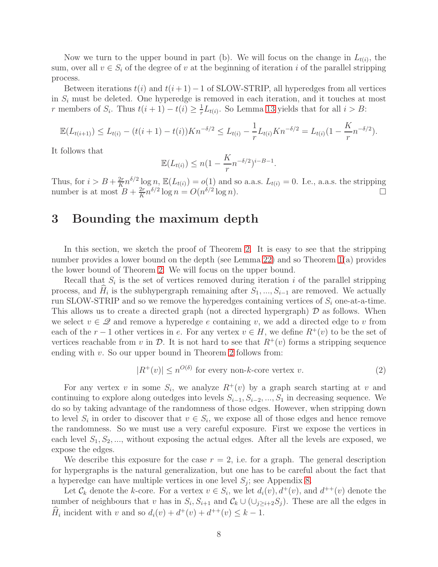Now we turn to the upper bound in part (b). We will focus on the change in  $L_{t(i)}$ , the sum, over all  $v \in S_i$  of the degree of v at the beginning of iteration i of the parallel stripping process.

Between iterations  $t(i)$  and  $t(i+1)-1$  of SLOW-STRIP, all hyperedges from all vertices in  $S_i$  must be deleted. One hyperedge is removed in each iteration, and it touches at most r members of  $S_i$ . Thus  $t(i + 1) - t(i) \geq \frac{1}{r}$  $\frac{1}{r}L_{t(i)}$ . So Lemma [13](#page-7-0) yields that for all  $i > B$ :

$$
\mathbb{E}(L_{t(i+1)}) \le L_{t(i)} - (t(i+1) - t(i))Kn^{-\delta/2} \le L_{t(i)} - \frac{1}{r}L_{t(i)}Kn^{-\delta/2} = L_{t(i)}(1 - \frac{K}{r}n^{-\delta/2}).
$$

It follows that

$$
\mathbb{E}(L_{t(i)}) \le n(1 - \frac{K}{r}n^{-\delta/2})^{i-B-1}.
$$

Thus, for  $i > B + \frac{2r}{K}$  $\frac{2r}{K}n^{\delta/2}\log n$ ,  $\mathbb{E}(L_{t(i)}) = o(1)$  and so a.a.s.  $L_{t(i)} = 0$ . I.e., a.a.s. the stripping number is at most  $B + \frac{2r}{K}$  $\frac{2r}{K}n^{\delta/2}\log n = O(n^{\delta/2}\log n).$ 

### <span id="page-8-1"></span>3 Bounding the maximum depth

In this section, we sketch the proof of Theorem [2.](#page-3-3) It is easy to see that the stripping number provides a lower bound on the depth (see Lemma [22\)](#page-21-0) and so Theorem [1\(](#page-3-1)a) provides the lower bound of Theorem [2.](#page-3-3) We will focus on the upper bound.

Recall that  $S_i$  is the set of vertices removed during iteration i of the parallel stripping process, and  $H_i$  is the subhypergraph remaining after  $S_1, ..., S_{i-1}$  are removed. We actually run SLOW-STRIP and so we remove the hyperedges containing vertices of  $S_i$  one-at-a-time. This allows us to create a directed graph (not a directed hypergraph)  $\mathcal D$  as follows. When we select  $v \in \mathcal{Q}$  and remove a hyperedge e containing v, we add a directed edge to v from each of the r − 1 other vertices in e. For any vertex  $v \in H$ , we define  $R^+(v)$  to be the set of vertices reachable from v in  $\mathcal{D}$ . It is not hard to see that  $R^+(v)$  forms a stripping sequence ending with v. So our upper bound in Theorem [2](#page-3-3) follows from:

<span id="page-8-0"></span>
$$
|R^+(v)| \le n^{O(\delta)} \text{ for every non-k-core vertex } v. \tag{2}
$$

For any vertex v in some  $S_i$ , we analyze  $R^+(v)$  by a graph search starting at v and continuing to explore along outedges into levels  $S_{i-1}, S_{i-2}, ..., S_1$  in decreasing sequence. We do so by taking advantage of the randomness of those edges. However, when stripping down to level  $S_i$  in order to discover that  $v \in S_i$ , we expose all of those edges and hence remove the randomness. So we must use a very careful exposure. First we expose the vertices in each level  $S_1, S_2, \ldots$ , without exposing the actual edges. After all the levels are exposed, we expose the edges.

We describe this exposure for the case  $r = 2$ , i.e. for a graph. The general description for hypergraphs is the natural generalization, but one has to be careful about the fact that a hyperedge can have multiple vertices in one level  $S_j$ ; see Appendix [8.](#page-21-1)

Let  $\mathcal{C}_k$  denote the k-core. For a vertex  $v \in S_i$ , we let  $d_i(v)$ ,  $d^+(v)$ , and  $d^{++}(v)$  denote the number of neighbours that v has in  $S_i$ ,  $S_{i+1}$  and  $\mathcal{C}_k \cup (\cup_{j\geq i+2} S_j)$ . These are all the edges in  $\hat{H}_i$  incident with v and so  $d_i(v) + d^+(v) + d^{++}(v) \leq k - 1$ .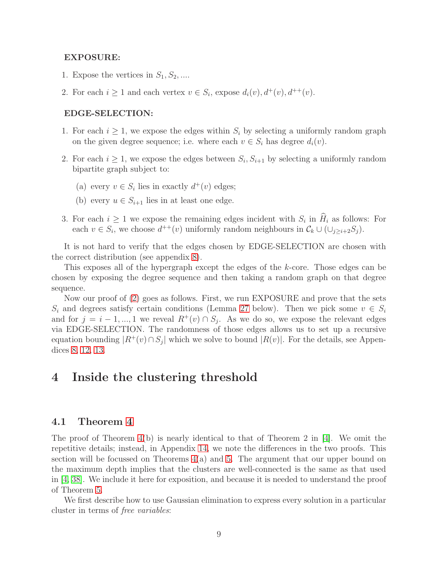#### EXPOSURE:

- 1. Expose the vertices in  $S_1, S_2, \ldots$
- 2. For each  $i \geq 1$  and each vertex  $v \in S_i$ , expose  $d_i(v)$ ,  $d^+(v)$ ,  $d^{++}(v)$ .

#### EDGE-SELECTION:

- 1. For each  $i \geq 1$ , we expose the edges within  $S_i$  by selecting a uniformly random graph on the given degree sequence; i.e. where each  $v \in S_i$  has degree  $d_i(v)$ .
- 2. For each  $i \geq 1$ , we expose the edges between  $S_i, S_{i+1}$  by selecting a uniformly random bipartite graph subject to:
	- (a) every  $v \in S_i$  lies in exactly  $d^+(v)$  edges;
	- (b) every  $u \in S_{i+1}$  lies in at least one edge.
- 3. For each  $i \geq 1$  we expose the remaining edges incident with  $S_i$  in  $H_i$  as follows: For each  $v \in S_i$ , we choose  $d^{++}(v)$  uniformly random neighbours in  $\mathcal{C}_k \cup (\cup_{j \geq i+2} S_j)$ .

It is not hard to verify that the edges chosen by EDGE-SELECTION are chosen with the correct distribution (see appendix [8\)](#page-21-1).

This exposes all of the hypergraph except the edges of the k-core. Those edges can be chosen by exposing the degree sequence and then taking a random graph on that degree sequence.

Now our proof of [\(2\)](#page-8-0) goes as follows. First, we run EXPOSURE and prove that the sets  $S_i$  and degrees satisfy certain conditions (Lemma [27](#page-23-0) below). Then we pick some  $v \in S_i$ and for  $j = i - 1, ..., 1$  we reveal  $R^+(v) \cap S_j$ . As we do so, we expose the relevant edges via EDGE-SELECTION. The randomness of those edges allows us to set up a recursive equation bounding  $|R^+(v) \cap S_j|$  which we solve to bound  $|R(v)|$ . For the details, see Appendices [8,](#page-21-1) [12,](#page-41-0) [13.](#page-49-0)

### <span id="page-9-0"></span>4 Inside the clustering threshold

#### 4.1 Theorem [4](#page-5-1)

The proof of Theorem  $4(b)$  is nearly identical to that of Theorem 2 in [\[4\]](#page-12-0). We omit the repetitive details; instead, in Appendix [14,](#page-57-0) we note the differences in the two proofs. This section will be focussed on Theorems  $4(a)$  and [5.](#page-5-2) The argument that our upper bound on the maximum depth implies that the clusters are well-connected is the same as that used in [\[4,](#page-12-0) [38\]](#page-15-0). We include it here for exposition, and because it is needed to understand the proof of Theorem [5.](#page-5-2)

We first describe how to use Gaussian elimination to express every solution in a particular cluster in terms of free variables: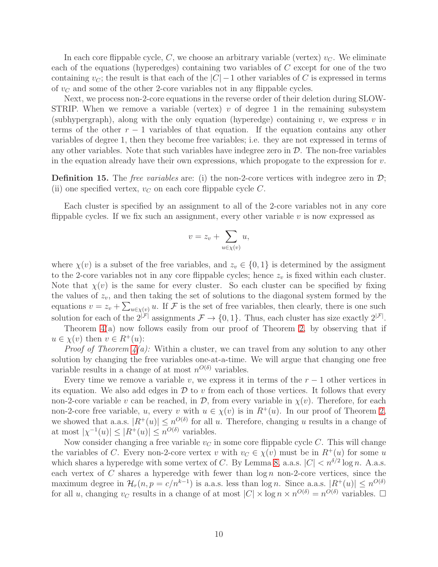In each core flippable cycle, C, we choose an arbitrary variable (vertex)  $v_C$ . We eliminate each of the equations (hyperedges) containing two variables of C except for one of the two containing  $v_C$ ; the result is that each of the  $|C| - 1$  other variables of C is expressed in terms of  $v<sub>C</sub>$  and some of the other 2-core variables not in any flippable cycles.

Next, we process non-2-core equations in the reverse order of their deletion during SLOW-STRIP. When we remove a variable (vertex)  $v$  of degree 1 in the remaining subsystem (subhypergraph), along with the only equation (hyperedge) containing v, we express v in terms of the other  $r - 1$  variables of that equation. If the equation contains any other variables of degree 1, then they become free variables; i.e. they are not expressed in terms of any other variables. Note that such variables have indegree zero in  $\mathcal D$ . The non-free variables in the equation already have their own expressions, which propogate to the expression for  $v$ .

**Definition 15.** The *free variables* are: (i) the non-2-core vertices with indegree zero in  $\mathcal{D}$ ; (ii) one specified vertex,  $v_C$  on each core flippable cycle  $C$ .

Each cluster is specified by an assignment to all of the 2-core variables not in any core flippable cycles. If we fix such an assignment, every other variable  $v$  is now expressed as

$$
v = z_v + \sum_{u \in \chi(v)} u,
$$

where  $\chi(v)$  is a subset of the free variables, and  $z_v \in \{0,1\}$  is determined by the assigment to the 2-core variables not in any core flippable cycles; hence  $z<sub>v</sub>$  is fixed within each cluster. Note that  $\chi(v)$  is the same for every cluster. So each cluster can be specified by fixing the values of  $z_v$ , and then taking the set of solutions to the diagonal system formed by the equations  $v = z_v + \sum_{u \in \chi(v)} u$ . If F is the set of free variables, then clearly, there is one such solution for each of the  $2^{|\mathcal{F}|}$  assignments  $\mathcal{F} \to \{0,1\}$ . Thus, each cluster has size exactly  $2^{|\mathcal{F}|}$ .

Theorem [4\(](#page-5-1)a) now follows easily from our proof of Theorem [2,](#page-3-3) by observing that if  $u \in \chi(v)$  then  $v \in R^+(u)$ :

*Proof of Theorem*  $\mathcal{L}(a)$ *:* Within a cluster, we can travel from any solution to any other solution by changing the free variables one-at-a-time. We will argue that changing one free variable results in a change of at most  $n^{O(\delta)}$  variables.

Every time we remove a variable v, we express it in terms of the  $r-1$  other vertices in its equation. We also add edges in  $\mathcal D$  to v from each of those vertices. It follows that every non-2-core variable v can be reached, in  $\mathcal{D}$ , from every variable in  $\chi(v)$ . Therefore, for each non-2-core free variable, u, every v with  $u \in \chi(v)$  is in  $R^+(u)$ . In our proof of Theorem [2,](#page-3-3) we showed that a.a.s.  $|R^+(u)| \leq n^{O(\delta)}$  for all u. Therefore, changing u results in a change of at most  $|\chi^{-1}(u)| \leq |R^+(u)| \leq n^{O(\delta)}$  variables.

Now consider changing a free variable  $v<sub>C</sub>$  in some core flippable cycle C. This will change the variables of C. Every non-2-core vertex v with  $v_C \in \chi(v)$  must be in  $R^+(u)$  for some u which shares a hyperedge with some vertex of C. By Lemma [8,](#page-4-0) a.a.s.  $|C| < n^{\delta/2} \log n$ . A.a.s. each vertex of C shares a hyperedge with fewer than  $\log n$  non-2-core vertices, since the maximum degree in  $\mathcal{H}_r(n,p=c/n^{k-1})$  is a.a.s. less than  $\log n$ . Since a.a.s.  $|R^+(u)| \leq n^{O(\delta)}$ for all u, changing  $v_C$  results in a change of at most  $|C| \times \log n \times n^{O(\delta)} = n^{O(\delta)}$  variables.  $\Box$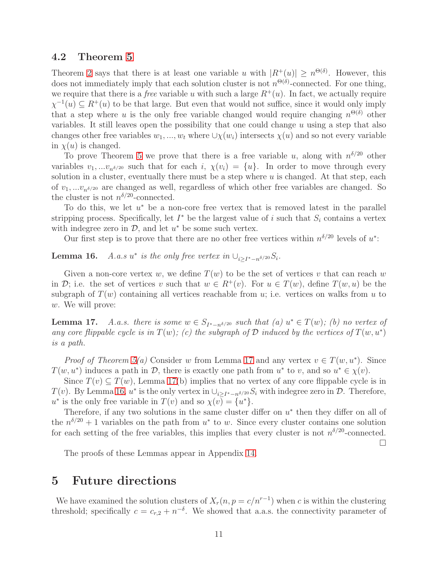#### 4.2 Theorem [5](#page-5-2)

Theorem [2](#page-3-3) says that there is at least one variable u with  $|R^+(u)| \geq n^{\Theta(\delta)}$ . However, this does not immediately imply that each solution cluster is not  $n^{\Theta(\delta)}$ -connected. For one thing, we require that there is a *free* variable u with such a large  $R^+(u)$ . In fact, we actually require  $\chi^{-1}(u) \subseteq R^+(u)$  to be that large. But even that would not suffice, since it would only imply that a step where u is the only free variable changed would require changing  $n^{\Theta(\delta)}$  other variables. It still leaves open the possibility that one could change  $u$  using a step that also changes other free variables  $w_1, ..., w_t$  where  $\cup \chi(w_i)$  intersects  $\chi(u)$  and so not every variable in  $\chi(u)$  is changed.

To prove Theorem [5](#page-5-2) we prove that there is a free variable u, along with  $n^{\delta/20}$  other variables  $v_1, \ldots v_{n^{\delta/20}}$  such that for each i,  $\chi(v_i) = \{u\}$ . In order to move through every solution in a cluster, eventually there must be a step where  $u$  is changed. At that step, each of  $v_1, \ldots v_{n^{\delta/20}}$  are changed as well, regardless of which other free variables are changed. So the cluster is not  $n^{\delta/20}$ -connected.

To do this, we let  $u^*$  be a non-core free vertex that is removed latest in the parallel stripping process. Specifically, let  $I^*$  be the largest value of i such that  $S_i$  contains a vertex with indegree zero in  $\mathcal{D}$ , and let  $u^*$  be some such vertex.

Our first step is to prove that there are no other free vertices within  $n^{\delta/20}$  levels of  $u^*$ :

<span id="page-11-2"></span>Lemma 16. \* is the only free vertex in  $\bigcup_{i \geq I^* - n^{\delta/20}} S_i$ .

Given a non-core vertex w, we define  $T(w)$  to be the set of vertices v that can reach w in D; i.e. the set of vertices v such that  $w \in R^+(v)$ . For  $u \in T(w)$ , define  $T(w, u)$  be the subgraph of  $T(w)$  containing all vertices reachable from u; i.e. vertices on walks from u to w. We will prove:

<span id="page-11-1"></span>**Lemma 17.** A.a.s. there is some  $w \in S_{I^* - n^{\delta/20}}$  such that (a)  $u^* \in T(w)$ ; (b) no vertex of any core flippable cycle is in  $T(w)$ ; (c) the subgraph of  $D$  induced by the vertices of  $T(w, u^*)$ is a path.

*Proof of Theorem [5\(](#page-5-2)a)* Consider w from Lemma [17](#page-11-1) and any vertex  $v \in T(w, u^*)$ . Since  $T(w, u^*)$  induces a path in  $\mathcal{D}$ , there is exactly one path from  $u^*$  to v, and so  $u^* \in \chi(v)$ .

Since  $T(v) \subseteq T(w)$ , Lemma [17\(](#page-11-1)b) implies that no vertex of any core flippable cycle is in  $T(v)$ . By Lemma [16,](#page-11-2)  $u^*$  is the only vertex in  $\bigcup_{i\geq I^*-n^{\delta/20}}S_i$  with indegree zero in  $\mathcal{D}$ . Therefore,  $u^*$  is the only free variable in  $T(v)$  and so  $\chi(v) = \{u^*\}.$ 

Therefore, if any two solutions in the same cluster differ on  $u^*$  then they differ on all of the  $n^{\delta/20} + 1$  variables on the path from  $u^*$  to w. Since every cluster contains one solution for each setting of the free variables, this implies that every cluster is not  $n^{\delta/20}$ -connected.

 $\Box$ 

The proofs of these Lemmas appear in Appendix [14.](#page-57-0)

### <span id="page-11-0"></span>5 Future directions

We have examined the solution clusters of  $X_r(n, p = c/n^{r-1})$  when c is within the clustering threshold; specifically  $c = c_{r,2} + n^{-\delta}$ . We showed that a.a.s. the connectivity parameter of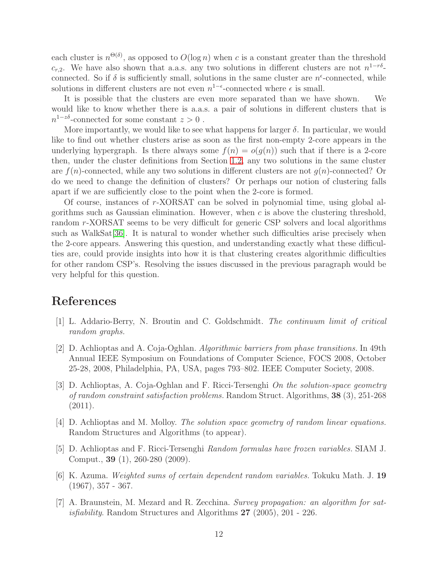each cluster is  $n^{\Theta(\delta)}$ , as opposed to  $O(\log n)$  when c is a constant greater than the threshold  $c_{r,2}$ . We have also shown that a.a.s. any two solutions in different clusters are not  $n^{1-r\delta}$ . connected. So if  $\delta$  is sufficiently small, solutions in the same cluster are  $n^{\epsilon}$ -connected, while solutions in different clusters are not even  $n^{1-\epsilon}$ -connected where  $\epsilon$  is small.

It is possible that the clusters are even more separated than we have shown. We would like to know whether there is a.a.s. a pair of solutions in different clusters that is  $n^{1-z\delta}$ -connected for some constant  $z > 0$ .

More importantly, we would like to see what happens for larger  $\delta$ . In particular, we would like to find out whether clusters arise as soon as the first non-empty 2-core appears in the underlying hypergraph. Is there always some  $f(n) = o(q(n))$  such that if there is a 2-core then, under the cluster definitions from Section [1.2,](#page-3-0) any two solutions in the same cluster are  $f(n)$ -connected, while any two solutions in different clusters are not  $g(n)$ -connected? Or do we need to change the definition of clusters? Or perhaps our notion of clustering falls apart if we are sufficiently close to the point when the 2-core is formed.

Of course, instances of r-XORSAT can be solved in polynomial time, using global algorithms such as Gaussian elimination. However, when  $c$  is above the clustering threshold, random r-XORSAT seems to be very difficult for generic CSP solvers and local algorithms such as WalkSat [\[36\]](#page-14-10). It is natural to wonder whether such difficulties arise precisely when the 2-core appears. Answering this question, and understanding exactly what these difficulties are, could provide insights into how it is that clustering creates algorithmic difficulties for other random CSP's. Resolving the issues discussed in the previous paragraph would be very helpful for this question.

### References

- <span id="page-12-1"></span>[1] L. Addario-Berry, N. Broutin and C. Goldschmidt. The continuum limit of critical random graphs.
- [2] D. Achlioptas and A. Coja-Oghlan. Algorithmic barriers from phase transitions. In 49th Annual IEEE Symposium on Foundations of Computer Science, FOCS 2008, October 25-28, 2008, Philadelphia, PA, USA, pages 793–802. IEEE Computer Society, 2008.
- [3] D. Achlioptas, A. Coja-Oghlan and F. Ricci-Tersenghi On the solution-space geometry of random constraint satisfaction problems. Random Struct. Algorithms, 38 (3), 251-268 (2011).
- <span id="page-12-0"></span>[4] D. Achlioptas and M. Molloy. The solution space geometry of random linear equations. Random Structures and Algorithms (to appear).
- <span id="page-12-3"></span>[5] D. Achlioptas and F. Ricci-Tersenghi Random formulas have frozen variables. SIAM J. Comput., 39 (1), 260-280 (2009).
- [6] K. Azuma. Weighted sums of certain dependent random variables. Tokuku Math. J. 19  $(1967), 357 - 367.$
- <span id="page-12-2"></span>[7] A. Braunstein, M. Mezard and R. Zecchina. Survey propagation: an algorithm for satisfiability. Random Structures and Algorithms 27 (2005), 201 - 226.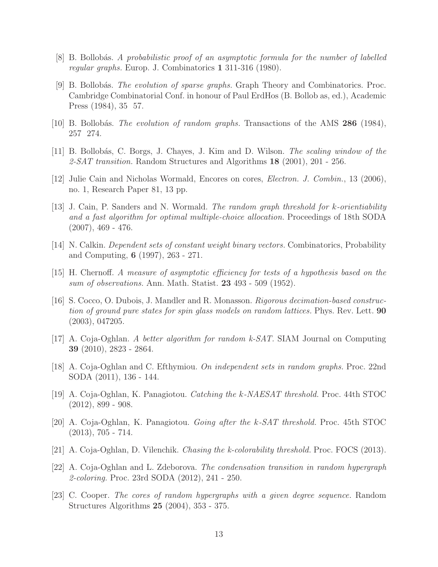- <span id="page-13-12"></span><span id="page-13-6"></span>[8] B. Bollobás. A probabilistic proof of an asymptotic formula for the number of labelled regular graphs. Europ. J. Combinatorics 1 311-316 (1980).
- [9] B. Bollobás. The evolution of sparse graphs. Graph Theory and Combinatorics. Proc. Cambridge Combinatorial Conf. in honour of Paul ErdHos (B. Bollob as, ed.), Academic Press (1984), 35 57.
- <span id="page-13-5"></span><span id="page-13-4"></span>[10] B. Bollobás. The evolution of random graphs. Transactions of the AMS 286 (1984), 257 274.
- <span id="page-13-14"></span>[11] B. Bollobás, C. Borgs, J. Chayes, J. Kim and D. Wilson. The scaling window of the 2-SAT transition. Random Structures and Algorithms  $18$  (2001), 201 - 256.
- <span id="page-13-7"></span>[12] Julie Cain and Nicholas Wormald, Encores on cores, Electron. J. Combin., 13 (2006), no. 1, Research Paper 81, 13 pp.
- [13] J. Cain, P. Sanders and N. Wormald. The random graph threshold for k-orientiability and a fast algorithm for optimal multiple-choice allocation. Proceedings of 18th SODA  $(2007), 469 - 476.$
- <span id="page-13-9"></span>[14] N. Calkin. Dependent sets of constant weight binary vectors. Combinatorics, Probability and Computing, 6 (1997), 263 - 271.
- <span id="page-13-8"></span>[15] H. Chernoff. A measure of asymptotic efficiency for tests of a hypothesis based on the sum of observations. Ann. Math. Statist. 23 493 - 509 (1952).
- [16] S. Cocco, O. Dubois, J. Mandler and R. Monasson. Rigorous decimation-based construction of ground pure states for spin glass models on random lattices. Phys. Rev. Lett. 90 (2003), 047205.
- <span id="page-13-0"></span>[17] A. Coja-Oghlan. A better algorithm for random k-SAT. SIAM Journal on Computing 39 (2010), 2823 - 2864.
- <span id="page-13-10"></span><span id="page-13-1"></span>[18] A. Coja-Oghlan and C. Efthymiou. On independent sets in random graphs. Proc. 22nd SODA (2011), 136 - 144.
- <span id="page-13-2"></span>[19] A. Coja-Oghlan, K. Panagiotou. Catching the k-NAESAT threshold. Proc. 44th STOC  $(2012), 899 - 908.$
- [20] A. Coja-Oghlan, K. Panagiotou. Going after the k-SAT threshold. Proc. 45th STOC  $(2013), 705 - 714.$
- <span id="page-13-11"></span><span id="page-13-3"></span>[21] A. Coja-Oghlan, D. Vilenchik. Chasing the k-colorability threshold. Proc. FOCS (2013).
- [22] A. Coja-Oghlan and L. Zdeborova. The condensation transition in random hypergraph 2-coloring. Proc. 23rd SODA (2012), 241 - 250.
- <span id="page-13-13"></span>[23] C. Cooper. The cores of random hypergraphs with a given degree sequence. Random Structures Algorithms 25 (2004), 353 - 375.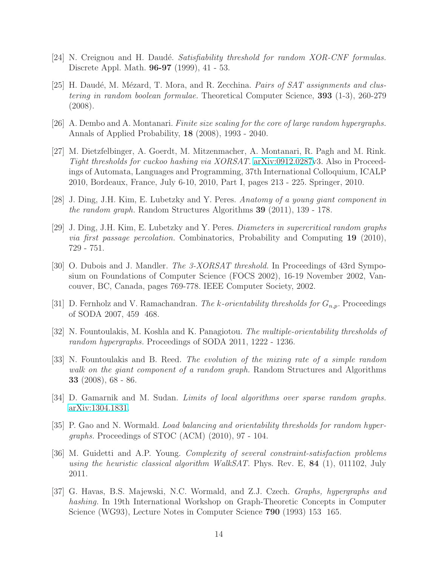- <span id="page-14-9"></span><span id="page-14-8"></span>[24] N. Creignou and H. Daudé. Satisfiability threshold for random XOR-CNF formulas. Discrete Appl. Math. 96-97 (1999), 41 - 53.
- [25] H. Daudé, M. Mézard, T. Mora, and R. Zecchina. *Pairs of SAT assignments and clus*tering in random boolean formulae. Theoretical Computer Science, 393 (1-3), 260-279 (2008).
- <span id="page-14-7"></span><span id="page-14-2"></span>[26] A. Dembo and A. Montanari. Finite size scaling for the core of large random hypergraphs. Annals of Applied Probability, 18 (2008), 1993 - 2040.
- [27] M. Dietzfelbinger, A. Goerdt, M. Mitzenmacher, A. Montanari, R. Pagh and M. Rink. Tight thresholds for cuckoo hashing via XORSAT. [arXiv:0912.0287v](http://arxiv.org/abs/0912.0287)3. Also in Proceedings of Automata, Languages and Programming, 37th International Colloquium, ICALP 2010, Bordeaux, France, July 6-10, 2010, Part I, pages 213 - 225. Springer, 2010.
- <span id="page-14-12"></span><span id="page-14-11"></span>[28] J. Ding, J.H. Kim, E. Lubetzky and Y. Peres. Anatomy of a young giant component in the random graph. Random Structures Algorithms 39 (2011), 139 - 178.
- [29] J. Ding, J.H. Kim, E. Lubetzky and Y. Peres. Diameters in supercritical random graphs via first passage percolation. Combinatorics, Probability and Computing 19 (2010), 729 - 751.
- <span id="page-14-1"></span>[30] O. Dubois and J. Mandler. The 3-XORSAT threshold. In Proceedings of 43rd Symposium on Foundations of Computer Science (FOCS 2002), 16-19 November 2002, Vancouver, BC, Canada, pages 769-778. IEEE Computer Society, 2002.
- <span id="page-14-6"></span><span id="page-14-5"></span>[31] D. Fernholz and V. Ramachandran. The k-orientability thresholds for  $G_{n,p}$ . Proceedings of SODA 2007, 459 468.
- <span id="page-14-13"></span>[32] N. Fountoulakis, M. Koshla and K. Panagiotou. The multiple-orientability thresholds of random hypergraphs. Proceedings of SODA 2011, 1222 - 1236.
- [33] N. Fountoulakis and B. Reed. The evolution of the mixing rate of a simple random walk on the giant component of a random graph. Random Structures and Algorithms 33 (2008), 68 - 86.
- <span id="page-14-4"></span><span id="page-14-0"></span>[34] D. Gamarnik and M. Sudan. Limits of local algorithms over sparse random graphs. [arXiv:1304.1831.](http://arxiv.org/abs/1304.1831)
- [35] P. Gao and N. Wormald. Load balancing and orientability thresholds for random hypergraphs. Proceedings of STOC (ACM) (2010), 97 - 104.
- <span id="page-14-10"></span>[36] M. Guidetti and A.P. Young. Complexity of several constraint-satisfaction problems using the heuristic classical algorithm WalkSAT. Phys. Rev. E,  $84$  (1), 011102, July 2011.
- <span id="page-14-3"></span>[37] G. Havas, B.S. Majewski, N.C. Wormald, and Z.J. Czech. Graphs, hypergraphs and hashing. In 19th International Workshop on Graph-Theoretic Concepts in Computer Science (WG93), Lecture Notes in Computer Science **790** (1993) 153 165.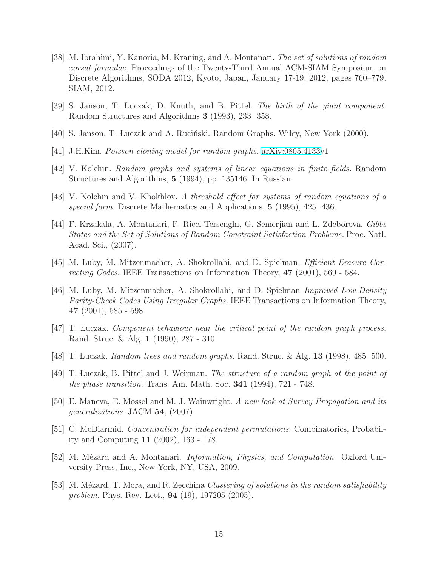- <span id="page-15-0"></span>[38] M. Ibrahimi, Y. Kanoria, M. Kraning, and A. Montanari. The set of solutions of random xorsat formulae. Proceedings of the Twenty-Third Annual ACM-SIAM Symposium on Discrete Algorithms, SODA 2012, Kyoto, Japan, January 17-19, 2012, pages 760–779. SIAM, 2012.
- <span id="page-15-3"></span>[39] S. Janson, T. Luczak, D. Knuth, and B. Pittel. The birth of the giant component. Random Structures and Algorithms 3 (1993), 233 358.
- <span id="page-15-6"></span>[40] S. Janson, T. Luczak and A. Ruciński. Random Graphs. Wiley, New York (2000).
- <span id="page-15-7"></span>[41] J.H.Kim. Poisson cloning model for random graphs. [arXiv:0805.4133v](http://arxiv.org/abs/0805.4133)1
- <span id="page-15-8"></span>[42] V. Kolchin. Random graphs and systems of linear equations in finite fields. Random Structures and Algorithms, 5 (1994), pp. 135146. In Russian.
- <span id="page-15-10"></span>[43] V. Kolchin and V. Khokhlov. A threshold effect for systems of random equations of a special form. Discrete Mathematics and Applications, 5 (1995), 425 436.
- [44] F. Krzakala, A. Montanari, F. Ricci-Tersenghi, G. Semerjian and L. Zdeborova. Gibbs States and the Set of Solutions of Random Constraint Satisfaction Problems. Proc. Natl. Acad. Sci., (2007).
- <span id="page-15-5"></span><span id="page-15-4"></span>[45] M. Luby, M. Mitzenmacher, A. Shokrollahi, and D. Spielman. Efficient Erasure Correcting Codes. IEEE Transactions on Information Theory, 47 (2001), 569 - 584.
- [46] M. Luby, M. Mitzenmacher, A. Shokrollahi, and D. Spielman Improved Low-Density Parity-Check Codes Using Irregular Graphs. IEEE Transactions on Information Theory, 47 (2001), 585 - 598.
- <span id="page-15-12"></span><span id="page-15-1"></span>[47] T. Luczak. Component behaviour near the critical point of the random graph process. Rand. Struc. & Alg. 1 (1990), 287 - 310.
- <span id="page-15-2"></span>[48] T. Luczak. Random trees and random graphs. Rand. Struc. & Alg. 13 (1998), 485 500.
- [49] T. Luczak, B. Pittel and J. Weirman. The structure of a random graph at the point of the phase transition. Trans. Am. Math. Soc. 341 (1994), 721 - 748.
- <span id="page-15-13"></span>[50] E. Maneva, E. Mossel and M. J. Wainwright. A new look at Survey Propagation and its generalizations. JACM 54, (2007).
- [51] C. McDiarmid. Concentration for independent permutations. Combinatorics, Probability and Computing 11 (2002), 163 - 178.
- <span id="page-15-9"></span>[52] M. Mézard and A. Montanari. *Information, Physics, and Computation*. Oxford University Press, Inc., New York, NY, USA, 2009.
- <span id="page-15-11"></span>[53] M. Mézard, T. Mora, and R. Zecchina Clustering of solutions in the random satisfiability problem. Phys. Rev. Lett., 94 (19), 197205 (2005).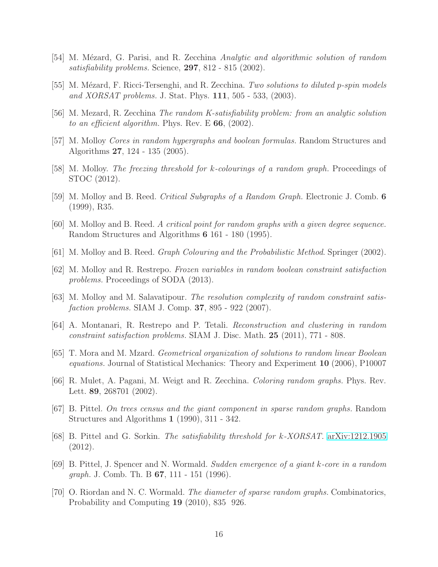- <span id="page-16-8"></span><span id="page-16-0"></span>[54] M. Mézard, G. Parisi, and R. Zecchina Analytic and algorithmic solution of random satisfiability problems. Science, 297, 812 - 815 (2002).
- <span id="page-16-1"></span>[55] M. Mézard, F. Ricci-Tersenghi, and R. Zecchina. Two solutions to diluted p-spin models and XORSAT problems. J. Stat. Phys. 111, 505 - 533, (2003).
- <span id="page-16-7"></span>[56] M. Mezard, R. Zecchina The random K-satisfiability problem: from an analytic solution to an efficient algorithm. Phys. Rev. E  $66$ , (2002).
- <span id="page-16-3"></span>[57] M. Molloy Cores in random hypergraphs and boolean formulas. Random Structures and Algorithms 27, 124 - 135 (2005).
- <span id="page-16-5"></span>[58] M. Molloy. The freezing threshold for k-colourings of a random graph. Proceedings of STOC (2012).
- <span id="page-16-13"></span>[59] M. Molloy and B. Reed. Critical Subgraphs of a Random Graph. Electronic J. Comb. 6 (1999), R35.
- <span id="page-16-12"></span>[60] M. Molloy and B. Reed. A critical point for random graphs with a given degree sequence. Random Structures and Algorithms 6 161 - 180 (1995).
- <span id="page-16-4"></span>[61] M. Molloy and B. Reed. Graph Colouring and the Probabilistic Method. Springer (2002).
- [62] M. Molloy and R. Restrepo. Frozen variables in random boolean constraint satisfaction problems. Proceedings of SODA (2013).
- <span id="page-16-10"></span>[63] M. Molloy and M. Salavatipour. The resolution complexity of random constraint satisfaction problems. SIAM J. Comp. **37**, 895 - 922 (2007).
- [64] A. Montanari, R. Restrepo and P. Tetali. Reconstruction and clustering in random constraint satisfaction problems. SIAM J. Disc. Math. 25 (2011), 771 - 808.
- [65] T. Mora and M. Mzard. Geometrical organization of solutions to random linear Boolean equations. Journal of Statistical Mechanics: Theory and Experiment 10 (2006), P10007
- <span id="page-16-9"></span>[66] R. Mulet, A. Pagani, M. Weigt and R. Zecchina. Coloring random graphs. Phys. Rev. Lett. **89**, 268701 (2002).
- <span id="page-16-2"></span>[67] B. Pittel. On trees census and the giant component in sparse random graphs. Random Structures and Algorithms 1 (1990), 311 - 342.
- <span id="page-16-6"></span>[68] B. Pittel and G. Sorkin. The satisfiability threshold for k-XORSAT. [arXiv:1212.1905](http://arxiv.org/abs/1212.1905) (2012).
- [69] B. Pittel, J. Spencer and N. Wormald. Sudden emergence of a giant k-core in a random *graph.* J. Comb. Th. B  $67$ , 111 - 151 (1996).
- <span id="page-16-11"></span>[70] O. Riordan and N. C. Wormald. The diameter of sparse random graphs. Combinatorics, Probability and Computing 19 (2010), 835 926.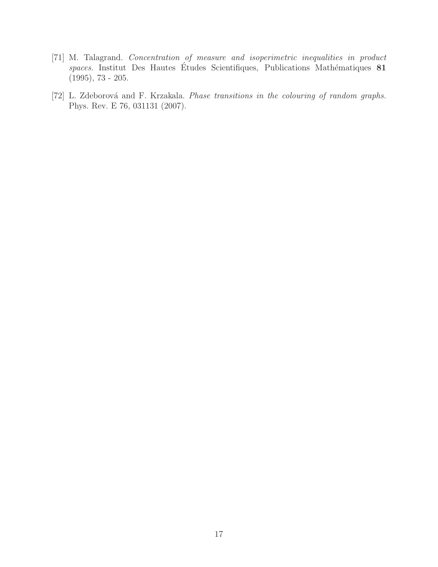- [71] M. Talagrand. Concentration of measure and isoperimetric inequalities in product  $spaces.$  Institut Des Hautes Études Scientifiques, Publications Mathématiques  $81$  $(1995), 73 - 205.$
- <span id="page-17-0"></span>[72] L. Zdeborová and F. Krzakala. Phase transitions in the colouring of random graphs. Phys. Rev. E 76, 031131 (2007).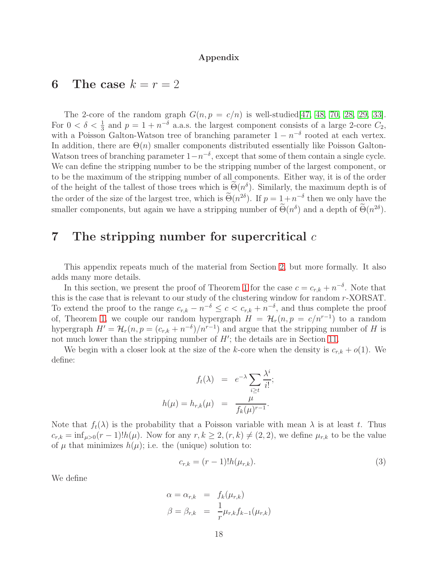#### Appendix

### <span id="page-18-0"></span>6 The case  $k = r = 2$

The 2-core of the random graph  $G(n, p = c/n)$  is well-studied[\[47,](#page-15-1) [48,](#page-15-12) [70,](#page-16-11) [28,](#page-14-11) [29,](#page-14-12) [33\]](#page-14-13). For  $0 < \delta < \frac{1}{3}$  and  $p = 1 + n^{-\delta}$  a.a.s. the largest component consists of a large 2-core  $C_2$ , with a Poisson Galton-Watson tree of branching parameter  $1 - n^{-\delta}$  rooted at each vertex. In addition, there are  $\Theta(n)$  smaller components distributed essentially like Poisson Galton-Watson trees of branching parameter  $1-n^{-\delta}$ , except that some of them contain a single cycle. We can define the stripping number to be the stripping number of the largest component, or to be the maximum of the stripping number of all components. Either way, it is of the order of the height of the tallest of those trees which is  $\Theta(n^{\delta})$ . Similarly, the maximum depth is of the order of the size of the largest tree, which is  $\Theta(n^{2\delta})$ . If  $p = 1 + n^{-\delta}$  then we only have the smaller components, but again we have a stripping number of  $\Theta(n^{\delta})$  and a depth of  $\Theta(n^{2\delta})$ .

### <span id="page-18-1"></span>7 The stripping number for supercritical  $c$

This appendix repeats much of the material from Section [2,](#page-6-0) but more formally. It also adds many more details.

In this section, we present the proof of Theorem [1](#page-3-1) for the case  $c = c_{r,k} + n^{-\delta}$ . Note that this is the case that is relevant to our study of the clustering window for random r-XORSAT. To extend the proof to the range  $c_{r,k} - n^{-\delta} \leq c < c_{r,k} + n^{-\delta}$ , and thus complete the proof of, Theorem [1,](#page-3-1) we couple our random hypergraph  $H = H_r(n, p = c/n^{r-1})$  to a random hypergraph  $H' = \mathcal{H}_r(n, p = (c_{r,k} + n^{-\delta})/n^{r-1})$  and argue that the stripping number of H is not much lower than the stripping number of  $H'$ ; the details are in Section [11.](#page-40-0)

We begin with a closer look at the size of the k-core when the density is  $c_{r,k} + o(1)$ . We define:

$$
f_t(\lambda) = e^{-\lambda} \sum_{i \ge t} \frac{\lambda^i}{i!};
$$
  

$$
h(\mu) = h_{r,k}(\mu) = \frac{\mu}{f_k(\mu)^{r-1}}.
$$

Note that  $f_t(\lambda)$  is the probability that a Poisson variable with mean  $\lambda$  is at least t. Thus  $c_{r,k} = \inf_{\mu>0}(r-1)!h(\mu)$ . Now for any  $r, k \geq 2, (r, k) \neq (2, 2)$ , we define  $\mu_{r,k}$  to be the value of  $\mu$  that minimizes  $h(\mu)$ ; i.e. the (unique) solution to:

<span id="page-18-2"></span>
$$
c_{r,k} = (r-1)!h(\mu_{r,k}).
$$
\n(3)

We define

$$
\alpha = \alpha_{r,k} = f_k(\mu_{r,k})
$$
  

$$
\beta = \beta_{r,k} = \frac{1}{r} \mu_{r,k} f_{k-1}(\mu_{r,k})
$$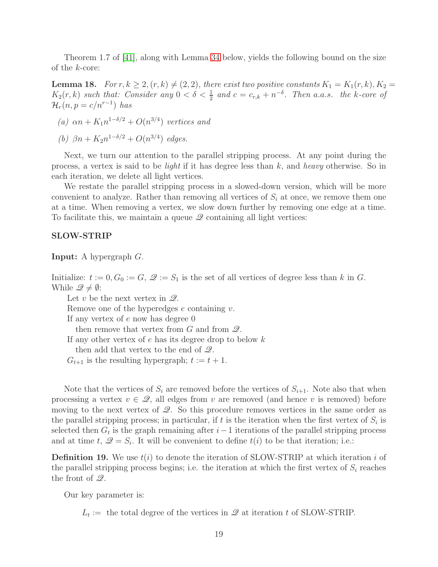Theorem 1.7 of [\[41\]](#page-15-6), along with Lemma [34](#page-27-0) below, yields the following bound on the size of the k-core:

<span id="page-19-0"></span>**Lemma 18.** For  $r, k \geq 2, (r, k) \neq (2, 2)$ , there exist two positive constants  $K_1 = K_1(r, k), K_2 =$  $K_2(r, k)$  such that: Consider any  $0 < \delta < \frac{1}{2}$  and  $c = c_{r,k} + n^{-\delta}$ . Then a.a.s. the k-core of  $\mathcal{H}_r(n,p=c/n^{r-1})$  has

(a) 
$$
\alpha n + K_1 n^{1-\delta/2} + O(n^{3/4})
$$
 vertices and

(b)  $\beta n + K_2 n^{1-\delta/2} + O(n^{3/4})$  edges.

Next, we turn our attention to the parallel stripping process. At any point during the process, a vertex is said to be *light* if it has degree less than  $k$ , and *heavy* otherwise. So in each iteration, we delete all light vertices.

We restate the parallel stripping process in a slowed-down version, which will be more convenient to analyze. Rather than removing all vertices of  $S_i$  at once, we remove them one at a time. When removing a vertex, we slow down further by removing one edge at a time. To facilitate this, we maintain a queue  $\mathscr Q$  containing all light vertices:

#### SLOW-STRIP

Input: A hypergraph G.

Initialize:  $t := 0, G_0 := G$ ,  $\mathcal{Q} := S_1$  is the set of all vertices of degree less than k in G. While  $\mathscr{Q} \neq \emptyset$ :

Let v be the next vertex in  $\mathscr{Q}$ .

Remove one of the hyperedges  $e$  containing  $v$ .

If any vertex of  $e$  now has degree  $0$ 

then remove that vertex from  $G$  and from  $\mathscr Q$ .

If any other vertex of  $e$  has its degree drop to below  $k$ 

then add that vertex to the end of  $\mathscr{Q}$ .

 $G_{t+1}$  is the resulting hypergraph;  $t := t + 1$ .

Note that the vertices of  $S_i$  are removed before the vertices of  $S_{i+1}$ . Note also that when processing a vertex  $v \in \mathcal{Q}$ , all edges from v are removed (and hence v is removed) before moving to the next vertex of  $\mathcal{Q}$ . So this procedure removes vertices in the same order as the parallel stripping process; in particular, if t is the iteration when the first vertex of  $S_i$  is selected then  $G_t$  is the graph remaining after  $i-1$  iterations of the parallel stripping process and at time t,  $\mathcal{Q} = S_i$ . It will be convenient to define  $t(i)$  to be that iteration; i.e.:

**Definition 19.** We use  $t(i)$  to denote the iteration of SLOW-STRIP at which iteration i of the parallel stripping process begins; i.e. the iteration at which the first vertex of  $S_i$  reaches the front of Q.

Our key parameter is:

 $L_t :=$  the total degree of the vertices in  $\mathscr Q$  at iteration t of SLOW-STRIP.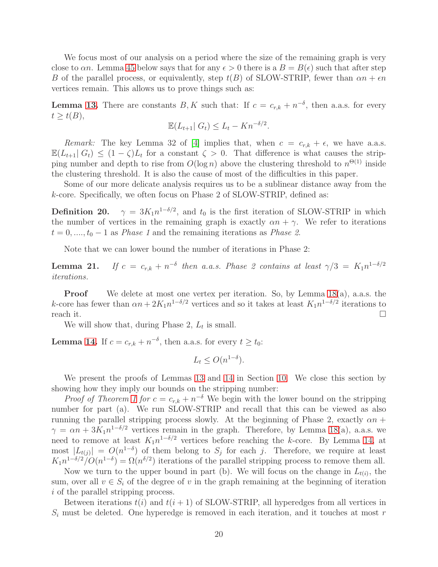We focus most of our analysis on a period where the size of the remaining graph is very close to  $\alpha n$ . Lemma [45](#page-34-0) below says that for any  $\epsilon > 0$  there is a  $B = B(\epsilon)$  such that after step B of the parallel process, or equivalently, step  $t(B)$  of SLOW-STRIP, fewer than  $\alpha n + \epsilon n$ vertices remain. This allows us to prove things such as:

**Lemma [13.](#page-7-0)** There are constants B, K such that: If  $c = c_{r,k} + n^{-\delta}$ , then a.a.s. for every  $t \geq t(B),$ 

$$
\mathbb{E}(L_{t+1} | G_t) \le L_t - Kn^{-\delta/2}.
$$

Remark: The key Lemma 32 of [\[4\]](#page-12-0) implies that, when  $c = c_{r,k} + \epsilon$ , we have a.a.s.  $\mathbb{E}(L_{t+1}|G_t) \leq (1-\zeta)L_t$  for a constant  $\zeta > 0$ . That difference is what causes the stripping number and depth to rise from  $O(\log n)$  above the clustering threshold to  $n^{\Theta(1)}$  inside the clustering threshold. It is also the cause of most of the difficulties in this paper.

Some of our more delicate analysis requires us to be a sublinear distance away from the k-core. Specifically, we often focus on Phase 2 of SLOW-STRIP, defined as:

<span id="page-20-0"></span>**Definition 20.**  $\gamma = 3K_1 n^{1-\delta/2}$ , and  $t_0$  is the first iteration of SLOW-STRIP in which the number of vertices in the remaining graph is exactly  $\alpha n + \gamma$ . We refer to iterations  $t = 0, \ldots, t_0 - 1$  as *Phase 1* and the remaining iterations as *Phase 2*.

Note that we can lower bound the number of iterations in Phase 2:

<span id="page-20-1"></span>**Lemma 21.** If  $c = c_{r,k} + n^{-\delta}$  then a.a.s. Phase 2 contains at least  $\gamma/3 = K_1 n^{1-\delta/2}$ iterations.

**Proof** We delete at most one vertex per iteration. So, by Lemma  $18(a)$ , a.a.s. the k-core has fewer than  $\alpha n + 2K_1 n^{1-\delta/2}$  vertices and so it takes at least  $K_1 n^{1-\delta/2}$  iterations to reach it.  $\Box$ 

We will show that, during Phase  $2, L_t$  is small.

**Lemma [14.](#page-7-1)** If  $c = c_{r,k} + n^{-\delta}$ , then a.a.s. for every  $t \geq t_0$ :

$$
L_t \le O(n^{1-\delta}).
$$

We present the proofs of Lemmas [13](#page-7-0) and [14](#page-7-1) in Section [10.](#page-26-0) We close this section by showing how they imply our bounds on the stripping number:

*Proof of Theorem [1](#page-3-1) for*  $c = c_{r,k} + n^{-\delta}$  We begin with the lower bound on the stripping number for part (a). We run SLOW-STRIP and recall that this can be viewed as also running the parallel stripping process slowly. At the beginning of Phase 2, exactly  $\alpha n$  +  $\gamma = \alpha n + 3K_1 n^{1-\delta/2}$  vertices remain in the graph. Therefore, by Lemma [18\(](#page-19-0)a), a.a.s. we need to remove at least  $K_1 n^{1-\delta/2}$  vertices before reaching the k-core. By Lemma [14,](#page-7-1) at most  $|L_{t(j)}| = O(n^{1-\delta})$  of them belong to  $S_j$  for each j. Therefore, we require at least  $K_1 n^{1-\delta/2}/O(n^{1-\delta}) = \Omega(n^{\delta/2})$  iterations of the parallel stripping process to remove them all.

Now we turn to the upper bound in part (b). We will focus on the change in  $L_{t(i)}$ , the sum, over all  $v \in S_i$  of the degree of v in the graph remaining at the beginning of iteration i of the parallel stripping process.

Between iterations  $t(i)$  and  $t(i + 1)$  of SLOW-STRIP, all hyperedges from all vertices in  $S_i$  must be deleted. One hyperedge is removed in each iteration, and it touches at most r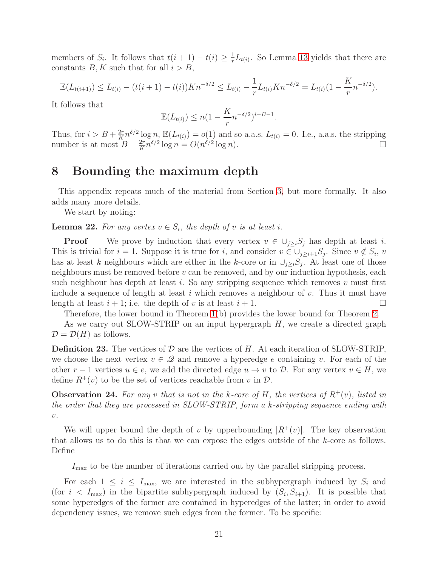members of  $S_i$ . It follows that  $t(i + 1) - t(i) \geq \frac{1}{r}$  $\frac{1}{r}L_{t(i)}$ . So Lemma [13](#page-7-0) yields that there are constants  $B, K$  such that for all  $i > B$ ,

$$
\mathbb{E}(L_{t(i+1)}) \leq L_{t(i)} - (t(i+1) - t(i))Kn^{-\delta/2} \leq L_{t(i)} - \frac{1}{r}L_{t(i)}Kn^{-\delta/2} = L_{t(i)}(1 - \frac{K}{r}n^{-\delta/2}).
$$

It follows that

$$
\mathbb{E}(L_{t(i)}) \le n(1 - \frac{K}{r}n^{-\delta/2})^{i-B-1}.
$$

Thus, for  $i > B + \frac{2r}{K} n^{\delta/2} \log n$ ,  $\mathbb{E}(L_{t(i)}) = o(1)$  and so a.a.s.  $L_{t(i)} = 0$ . I.e., a.a.s. the stripping number is at most  $B + \frac{2r}{K}$  $\frac{2r}{K}n^{\delta/2}\log n = O(n^{\delta/2}\log n).$ 

### <span id="page-21-1"></span>8 Bounding the maximum depth

This appendix repeats much of the material from Section [3,](#page-8-1) but more formally. It also adds many more details.

We start by noting:

<span id="page-21-0"></span>**Lemma 22.** For any vertex  $v \in S_i$ , the depth of v is at least i.

**Proof** We prove by induction that every vertex  $v \in \bigcup_{j>i} S_j$  has depth at least i. This is trivial for  $i = 1$ . Suppose it is true for i, and consider  $v \in \bigcup_{j \geq i+1} S_j$ . Since  $v \notin S_i$ , v has at least k neighbours which are either in the k-core or in  $\cup_{j\geq i}S_j$ . At least one of those neighbours must be removed before  $v$  can be removed, and by our induction hypothesis, each such neighbour has depth at least  $i$ . So any stripping sequence which removes  $v$  must first include a sequence of length at least i which removes a neighbour of  $v$ . Thus it must have length at least  $i + 1$ ; i.e. the depth of v is at least  $i + 1$ .

Therefore, the lower bound in Theorem [1\(](#page-3-1)b) provides the lower bound for Theorem [2.](#page-3-3)

As we carry out SLOW-STRIP on an input hypergraph  $H$ , we create a directed graph  $\mathcal{D} = \mathcal{D}(H)$  as follows.

**Definition 23.** The vertices of  $D$  are the vertices of  $H$ . At each iteration of SLOW-STRIP, we choose the next vertex  $v \in \mathscr{Q}$  and remove a hyperedge e containing v. For each of the other  $r-1$  vertices  $u \in e$ , we add the directed edge  $u \to v$  to  $\mathcal{D}$ . For any vertex  $v \in H$ , we define  $R^+(v)$  to be the set of vertices reachable from v in  $\mathcal{D}$ .

**Observation 24.** For any v that is not in the k-core of H, the vertices of  $R^+(v)$ , listed in the order that they are processed in SLOW-STRIP, form a k-stripping sequence ending with  $\upsilon$  .

We will upper bound the depth of v by upperbounding  $|R^+(v)|$ . The key observation that allows us to do this is that we can expose the edges outside of the k-core as follows. Define

 $I_{\text{max}}$  to be the number of iterations carried out by the parallel stripping process.

For each  $1 \leq i \leq I_{\text{max}}$ , we are interested in the subhypergraph induced by  $S_i$  and (for  $i < I_{\text{max}}$ ) in the bipartite subhypergraph induced by  $(S_i, S_{i+1})$ . It is possible that some hyperedges of the former are contained in hyperedges of the latter; in order to avoid dependency issues, we remove such edges from the former. To be specific: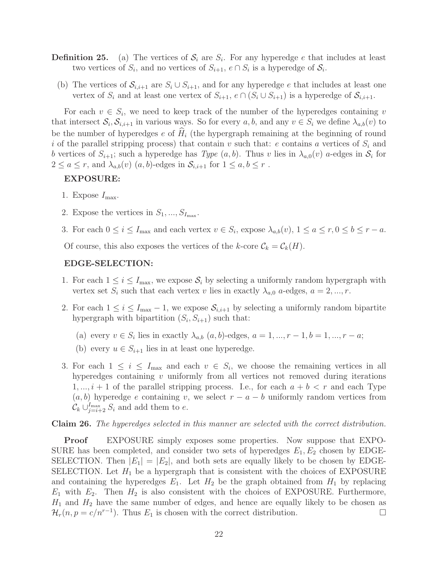- **Definition 25.** (a) The vertices of  $S_i$  are  $S_i$ . For any hyperedge e that includes at least two vertices of  $S_i$ , and no vertices of  $S_{i+1}$ ,  $e \cap S_i$  is a hyperedge of  $S_i$ .
	- (b) The vertices of  $S_{i,i+1}$  are  $S_i \cup S_{i+1}$ , and for any hyperedge e that includes at least one vertex of  $S_i$  and at least one vertex of  $S_{i+1}$ ,  $e \cap (S_i \cup S_{i+1})$  is a hyperedge of  $S_{i,i+1}$ .

For each  $v \in S_i$ , we need to keep track of the number of the hyperedges containing v that intersect  $S_i$ ,  $S_{i,i+1}$  in various ways. So for every  $a, b$ , and any  $v \in S_i$  we define  $\lambda_{a,b}(v)$  to be the number of hyperedges  $e$  of  $H_i$  (the hypergraph remaining at the beginning of round i of the parallel stripping process) that contain v such that: e contains a vertices of  $S_i$  and b vertices of  $S_{i+1}$ ; such a hyperedge has  $Type (a, b)$ . Thus v lies in  $\lambda_{a,0}(v)$  a-edges in  $S_i$  for  $2 \le a \le r$ , and  $\lambda_{a,b}(v)$   $(a,b)$ -edges in  $\mathcal{S}_{i,i+1}$  for  $1 \le a,b \le r$ .

#### EXPOSURE:

- 1. Expose  $I_{\text{max}}$ .
- 2. Expose the vertices in  $S_1, ..., S_{I_{\text{max}}}$ .
- 3. For each  $0 \le i \le I_{\text{max}}$  and each vertex  $v \in S_i$ , expose  $\lambda_{a,b}(v)$ ,  $1 \le a \le r, 0 \le b \le r a$ .

Of course, this also exposes the vertices of the k-core  $\mathcal{C}_k = \mathcal{C}_k(H)$ .

#### EDGE-SELECTION:

- 1. For each  $1 \leq i \leq I_{\text{max}}$ , we expose  $S_i$  by selecting a uniformly random hypergraph with vertex set  $S_i$  such that each vertex v lies in exactly  $\lambda_{a,0}$  a-edges,  $a = 2, ..., r$ .
- 2. For each  $1 \leq i \leq I_{\text{max}} 1$ , we expose  $\mathcal{S}_{i,i+1}$  by selecting a uniformly random bipartite hypergraph with bipartition  $(S_i, S_{i+1})$  such that:
	- (a) every  $v \in S_i$  lies in exactly  $\lambda_{a,b}$   $(a,b)$ -edges,  $a = 1, ..., r-1, b = 1, ..., r a;$
	- (b) every  $u \in S_{i+1}$  lies in at least one hyperedge.
- 3. For each  $1 \leq i \leq I_{\text{max}}$  and each  $v \in S_i$ , we choose the remaining vertices in all hyperedges containing v uniformly from all vertices not removed during iterations  $1, ..., i + 1$  of the parallel stripping process. I.e., for each  $a + b < r$  and each Type  $(a, b)$  hyperedge e containing v, we select  $r - a - b$  uniformly random vertices from  $\mathcal{C}_k \cup_{j=i+2}^{I_{\text{max}}} S_i$  and add them to e.

#### Claim 26. The hyperedges selected in this manner are selected with the correct distribution.

Proof EXPOSURE simply exposes some properties. Now suppose that EXPO-SURE has been completed, and consider two sets of hyperedges  $E_1, E_2$  chosen by EDGE-SELECTION. Then  $|E_1| = |E_2|$ , and both sets are equally likely to be chosen by EDGE-SELECTION. Let  $H_1$  be a hypergraph that is consistent with the choices of EXPOSURE and containing the hyperedges  $E_1$ . Let  $H_2$  be the graph obtained from  $H_1$  by replacing  $E_1$  with  $E_2$ . Then  $H_2$  is also consistent with the choices of EXPOSURE. Furthermore,  $H_1$  and  $H_2$  have the same number of edges, and hence are equally likely to be chosen as  $\mathcal{H}_r(n, p = c/n^{r-1})$ . Thus  $E_1$  is chosen with the correct distribution.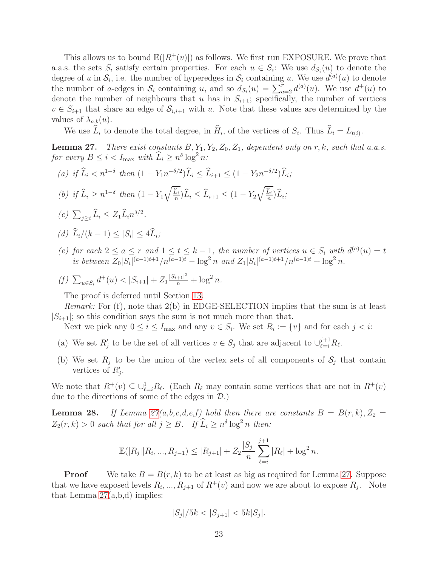This allows us to bound  $\mathbb{E}(|R^+(v)|)$  as follows. We first run EXPOSURE. We prove that a.a.s. the sets  $S_i$  satisfy certain properties. For each  $u \in S_i$ : We use  $d_{S_i}(u)$  to denote the degree of u in  $S_i$ , i.e. the number of hyperedges in  $S_i$  containing u. We use  $d^{(a)}(u)$  to denote the number of a-edges in  $S_i$  containing u, and so  $d_{S_i}(u) = \sum_{a=2}^r d^{(a)}(u)$ . We use  $d^+(u)$  to denote the number of neighbours that u has in  $S_{i+1}$ ; specifically, the number of vertices  $v \in S_{i+1}$  that share an edge of  $S_{i,i+1}$  with u. Note that these values are determined by the values of  $\lambda_{a,b}(u)$ .

We use  $L_i$  to denote the total degree, in  $H_i$ , of the vertices of  $S_i$ . Thus  $L_i = L_{t(i)}$ .

<span id="page-23-0"></span>**Lemma 27.** There exist constants  $B, Y_1, Y_2, Z_0, Z_1$ , dependent only on r, k, such that a.a.s. for every  $B \leq i < I_{\text{max}}$  with  $\widehat{L}_i \geq n^{\delta} \log^2 n$ :

- (a) if  $\hat{L}_i < n^{1-\delta}$  then  $(1 Y_1 n^{-\delta/2}) \hat{L}_i \leq \hat{L}_{i+1} \leq (1 Y_2 n^{-\delta/2}) \hat{L}_i$ ;
- (b) if  $\widehat{L}_i \geq n^{1-\delta}$  then  $(1 Y_1)$  $\sqrt{\hat{L}_i}$  $\frac{L_i}{n}$ ) $L_i \leq L_{i+1} \leq (1 - Y_2)$  $\sqrt{\hat{L}_i}$  $\frac{L_i}{n}$ ) $L_i$ ;
- (c)  $\sum_{j\geq i} \widehat{L}_i \leq Z_1 \widehat{L}_i n^{\delta/2}$ .
- (d)  $L_i/(k-1) \leq |S_i| \leq 4L_i;$
- (e) for each  $2 \le a \le r$  and  $1 \le t \le k-1$ , the number of vertices  $u \in S_i$  with  $d^{(a)}(u) = t$ is between  $Z_0|S_i|^{(a-1)t+1}/n^{(a-1)t} - \log^2 n$  and  $Z_1|S_i|^{(a-1)t+1}/n^{(a-1)t} + \log^2 n$ .
- (f)  $\sum_{u \in S_i} d^+(u) < |S_{i+1}| + Z_1 \frac{|S_{i+1}|^2}{n} + \log^2 n$ .

The proof is deferred until Section [13.](#page-49-0)

*Remark:* For  $(f)$ , note that  $2(b)$  in EDGE-SELECTION implies that the sum is at least  $|S_{i+1}|$ ; so this condition says the sum is not much more than that.

Next we pick any  $0 \le i \le I_{\text{max}}$  and any  $v \in S_i$ . We set  $R_i := \{v\}$  and for each  $j < i$ :

- (a) We set  $R'_j$  to be the set of all vertices  $v \in S_j$  that are adjacent to  $\bigcup_{\ell=i}^{j+1} R_\ell$ .
- (b) We set  $R_j$  to be the union of the vertex sets of all components of  $S_j$  that contain vertices of  $R'_j$ .

We note that  $R^+(v) \subseteq \bigcup_{\ell=i}^1 R_\ell$ . (Each  $R_\ell$  may contain some vertices that are not in  $R^+(v)$ ) due to the directions of some of the edges in  $\mathcal{D}$ .)

<span id="page-23-1"></span>**Lemma 28.** If Lemma  $27(a,b,c,d,e,f)$  hold then there are constants  $B = B(r,k), Z_2 =$  $Z_2(r, k) > 0$  such that for all  $j \geq B$ . If  $\widehat{L}_i \geq n^{\delta} \log^2 n$  then:

$$
\mathbb{E}(|R_j||R_i, ..., R_{j-1}) \le |R_{j+1}| + Z_2 \frac{|S_j|}{n} \sum_{\ell=i}^{j+1} |R_{\ell}| + \log^2 n.
$$

**Proof** We take  $B = B(r, k)$  to be at least as big as required for Lemma [27.](#page-23-0) Suppose that we have exposed levels  $R_i, ..., R_{j+1}$  of  $R^+(v)$  and now we are about to expose  $R_j$ . Note that Lemma  $27(a,b,d)$  implies:

$$
|S_j|/5k < |S_{j+1}| < 5k|S_j|.
$$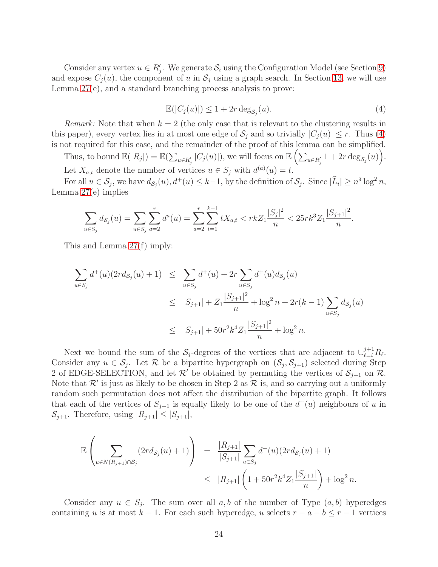Consider any vertex  $u \in R'_j$ . We generate  $S_i$  using the Configuration Model (see Section [9\)](#page-26-1) and expose  $C_i(u)$ , the component of u in  $S_i$  using a graph search. In Section [13,](#page-49-0) we will use Lemma [27\(](#page-23-0)e), and a standard branching process analysis to prove:

<span id="page-24-0"></span>
$$
\mathbb{E}(|C_j(u)|) \le 1 + 2r \deg_{\mathcal{S}_j}(u). \tag{4}
$$

*Remark:* Note that when  $k = 2$  (the only case that is relevant to the clustering results in this paper), every vertex lies in at most one edge of  $S_i$  and so trivially  $|C_i(u)| \leq r$ . Thus [\(4\)](#page-24-0) is not required for this case, and the remainder of the proof of this lemma can be simplified.

Thus, to bound  $\mathbb{E}(|R_j|) = \mathbb{E}(\sum_{u \in R'_j} |C_j(u)|)$ , we will focus on  $\mathbb{E}(\sum_{u \in R'_j} 1 + 2r \deg_{\mathcal{S}_j}(u)).$ Let  $X_{a,t}$  denote the number of vertices  $u \in S_j$  with  $d^{(a)}(u) = t$ .

For all  $u \in \mathcal{S}_j$ , we have  $d_{\mathcal{S}_j}(u)$ ,  $d^+(u) \leq k-1$ , by the definition of  $\mathcal{S}_j$ . Since  $|\mathcal{L}_i| \geq n^{\delta} \log^2 n$ , Lemma [27\(](#page-23-0)e) implies

$$
\sum_{u \in S_j} d_{S_j}(u) = \sum_{u \in S_j} \sum_{a=2}^r d^a(u) = \sum_{a=2}^r \sum_{t=1}^{k-1} t X_{a,t} < r k Z_1 \frac{|S_j|^2}{n} < 25 r k^3 Z_1 \frac{|S_{j+1}|^2}{n}.
$$

This and Lemma [27\(](#page-23-0)f) imply:

$$
\sum_{u \in S_j} d^+(u)(2r d_{S_j}(u) + 1) \leq \sum_{u \in S_j} d^+(u) + 2r \sum_{u \in S_j} d^+(u) d_{S_j}(u)
$$
  

$$
\leq |S_{j+1}| + Z_1 \frac{|S_{j+1}|^2}{n} + \log^2 n + 2r(k-1) \sum_{u \in S_j} d_{S_j}(u)
$$
  

$$
\leq |S_{j+1}| + 50r^2 k^4 Z_1 \frac{|S_{j+1}|^2}{n} + \log^2 n.
$$

Next we bound the sum of the  $S_j$ -degrees of the vertices that are adjacent to  $\cup_{\ell=i}^{j+1} R_{\ell}$ . Consider any  $u \in \mathcal{S}_j$ . Let R be a bipartite hypergraph on  $(\mathcal{S}_j, \mathcal{S}_{j+1})$  selected during Step 2 of EDGE-SELECTION, and let  $\mathcal{R}'$  be obtained by permuting the vertices of  $\mathcal{S}_{j+1}$  on  $\mathcal{R}$ . Note that  $\mathcal{R}'$  is just as likely to be chosen in Step 2 as  $\mathcal R$  is, and so carrying out a uniformly random such permutation does not affect the distribution of the bipartite graph. It follows that each of the vertices of  $S_{j+1}$  is equally likely to be one of the  $d^+(u)$  neighbours of u in  $\mathcal{S}_{j+1}$ . Therefore, using  $|R_{j+1}| \leq |S_{j+1}|$ ,

$$
\mathbb{E}\left(\sum_{u\in N(R_{j+1})\cap\mathcal{S}_j}(2rd_{\mathcal{S}_j}(u)+1)\right) = \frac{|R_{j+1}|}{|S_{j+1}|}\sum_{u\in\mathcal{S}_j}d^+(u)(2rd_{\mathcal{S}_j}(u)+1)
$$
  

$$
\leq |R_{j+1}|\left(1+50r^2k^4Z_1\frac{|S_{j+1}|}{n}\right)+\log^2 n.
$$

Consider any  $u \in S_j$ . The sum over all  $a, b$  of the number of Type  $(a, b)$  hyperedges containing u is at most  $k - 1$ . For each such hyperedge, u selects  $r - a - b \leq r - 1$  vertices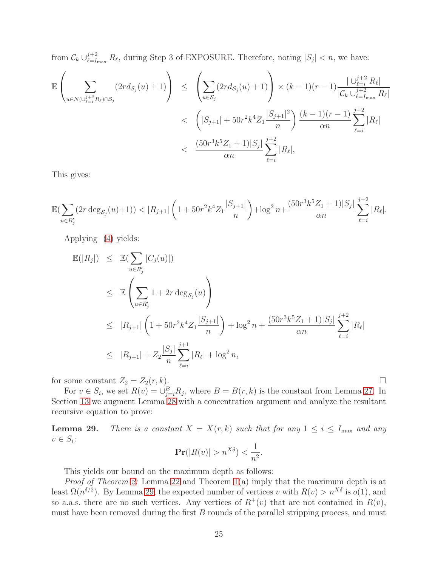from  $\mathcal{C}_k \cup_{\ell=\text{I}_{\text{max}}}^{j+2} R_{\ell}$ , during Step 3 of EXPOSURE. Therefore, noting  $|S_j| < n$ , we have:

$$
\mathbb{E}\left(\sum_{u\in N(\cup_{\ell=i}^{j+2}R_{\ell})\cap\mathcal{S}_{j}}(2rd_{\mathcal{S}_{j}}(u)+1)\right) \leq \left(\sum_{u\in\mathcal{S}_{j}}(2rd_{\mathcal{S}_{j}}(u)+1)\right) \times (k-1)(r-1)\frac{|\cup_{\ell=i}^{j+2}R_{\ell}|}{|\mathcal{C}_{k}\cup_{\ell=I_{\max}}^{j+2}R_{\ell}|} \n< \left(|S_{j+1}|+50r^{2}k^{4}Z_{1}\frac{|S_{j+1}|^{2}}{n}\right)\frac{(k-1)(r-1)}{\alpha n}\sum_{\ell=i}^{j+2}|R_{\ell}| \n< \frac{(50r^{3}k^{5}Z_{1}+1)|S_{j}|}{\alpha n}\sum_{\ell=i}^{j+2}|R_{\ell}|,
$$

This gives:

$$
\mathbb{E}\left(\sum_{u\in R_j'} (2r\deg_{\mathcal{S}_j}(u)+1)) < |R_{j+1}|\left(1+50r^2k^4Z_1\frac{|S_{j+1}|}{n}\right) + \log^2 n + \frac{(50r^3k^5Z_1+1)|S_j|}{\alpha n} \sum_{\ell=i}^{j+2} |R_{\ell}|.
$$

Applying [\(4\)](#page-24-0) yields:

$$
\mathbb{E}(|R_j|) \leq \mathbb{E}(\sum_{u \in R'_j} |C_j(u)|)
$$
\n
$$
\leq \mathbb{E}\left(\sum_{u \in R'_j} 1 + 2r \deg_{S_j}(u)\right)
$$
\n
$$
\leq |R_{j+1}| \left(1 + 50r^2k^4Z_1\frac{|S_{j+1}|}{n}\right) + \log^2 n + \frac{(50r^3k^5Z_1 + 1)|S_j|}{\alpha n} \sum_{\ell=i}^{j+2} |R_{\ell}|
$$
\n
$$
\leq |R_{j+1}| + Z_2 \frac{|S_j|}{n} \sum_{\ell=i}^{j+1} |R_{\ell}| + \log^2 n,
$$

for some constant  $Z_2 = Z_2(r, k)$ .

For  $v \in S_i$ , we set  $R(v) = \bigcup_{j=i}^B R_j$ , where  $B = B(r, k)$  is the constant from Lemma [27.](#page-23-0) In Section [13](#page-49-0) we augment Lemma [28](#page-23-1) with a concentration argument and analyze the resultant recursive equation to prove:

<span id="page-25-0"></span>**Lemma 29.** There is a constant  $X = X(r, k)$  such that for any  $1 \le i \le I_{\text{max}}$  and any  $v \in S_i$ :

$$
\mathbf{Pr}(|R(v)| > n^{X\delta}) < \frac{1}{n^2}.
$$

This yields our bound on the maximum depth as follows:

Proof of Theorem [2:](#page-3-3) Lemma [22](#page-21-0) and Theorem [1\(](#page-3-1)a) imply that the maximum depth is at least  $\Omega(n^{\delta/2})$ . By Lemma [29,](#page-25-0) the expected number of vertices v with  $R(v) > n^{X\delta}$  is  $o(1)$ , and so a.a.s. there are no such vertices. Any vertices of  $R^+(v)$  that are not contained in  $R(v)$ , must have been removed during the first  $B$  rounds of the parallel stripping process, and must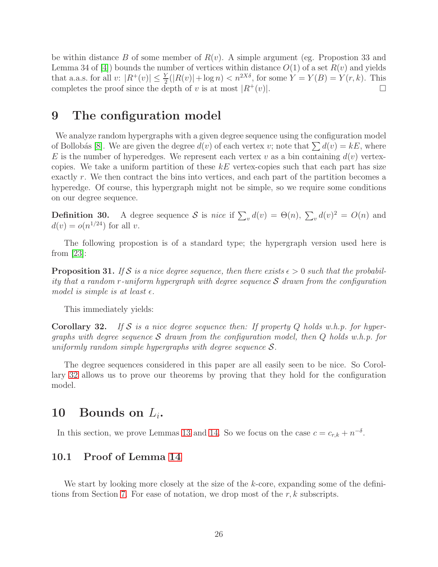be within distance B of some member of  $R(v)$ . A simple argument (eg. Propostion 33 and Lemma 34 of [\[4\]](#page-12-0)) bounds the number of vertices within distance  $O(1)$  of a set  $R(v)$  and yields that a.a.s. for all  $v: |R^+(v)| \leq \frac{Y}{2}(|R(v)| + \log n) < n^{2X\delta}$ , for some  $Y = Y(B) = Y(r, k)$ . This completes the proof since the depth of v is at most  $|R^+(v)|$ .

### <span id="page-26-1"></span>9 The configuration model

We analyze random hypergraphs with a given degree sequence using the configuration model of Bollobás [\[8\]](#page-13-12). We are given the degree  $d(v)$  of each vertex v; note that  $\sum d(v) = kE$ , where E is the number of hyperedges. We represent each vertex v as a bin containing  $d(v)$  vertexcopies. We take a uniform partition of these  $kE$  vertex-copies such that each part has size exactly r. We then contract the bins into vertices, and each part of the partition becomes a hyperedge. Of course, this hypergraph might not be simple, so we require some conditions on our degree sequence.

<span id="page-26-3"></span>**Definition 30.** A degree sequence S is nice if  $\sum_{v} d(v) = \Theta(n)$ ,  $\sum_{v} d(v)^2 = O(n)$  and  $d(v) = o(n^{1/24})$  for all v.

The following propostion is of a standard type; the hypergraph version used here is from  $|23|$ :

**Proposition 31.** If S is a nice degree sequence, then there exists  $\epsilon > 0$  such that the probability that a random r-uniform hypergraph with degree sequence  $S$  drawn from the configuration model is simple is at least  $\epsilon$ .

This immediately yields:

<span id="page-26-2"></span>**Corollary 32.** If S is a nice degree sequence then: If property Q holds w.h.p. for hypergraphs with degree sequence S drawn from the configuration model, then  $Q$  holds w.h.p. for uniformly random simple hypergraphs with degree sequence  $S$ .

The degree sequences considered in this paper are all easily seen to be nice. So Corollary [32](#page-26-2) allows us to prove our theorems by proving that they hold for the configuration model.

### <span id="page-26-0"></span>10 Bounds on  $L_i$ .

In this section, we prove Lemmas [13](#page-7-0) and [14.](#page-7-1) So we focus on the case  $c = c_{r,k} + n^{-\delta}$ .

### <span id="page-26-4"></span>10.1 Proof of Lemma [14](#page-7-1)

We start by looking more closely at the size of the k-core, expanding some of the defini-tions from Section [7.](#page-18-1) For ease of notation, we drop most of the  $r, k$  subscripts.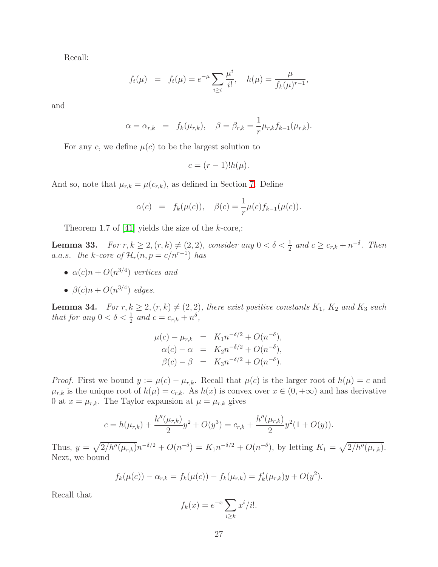Recall:

$$
f_t(\mu) = f_t(\mu) = e^{-\mu} \sum_{i \ge t} \frac{\mu^i}{i!}, \quad h(\mu) = \frac{\mu}{f_k(\mu)^{r-1}},
$$

and

$$
\alpha = \alpha_{r,k} = f_k(\mu_{r,k}), \quad \beta = \beta_{r,k} = \frac{1}{r} \mu_{r,k} f_{k-1}(\mu_{r,k}).
$$

For any c, we define  $\mu(c)$  to be the largest solution to

$$
c = (r-1)!h(\mu).
$$

And so, note that  $\mu_{r,k} = \mu(c_{r,k})$ , as defined in Section [7.](#page-18-1) Define

$$
\alpha(c) = f_k(\mu(c)), \quad \beta(c) = \frac{1}{r}\mu(c)f_{k-1}(\mu(c)).
$$

Theorem 1.7 of  $[41]$  yields the size of the k-core,:

<span id="page-27-1"></span>**Lemma 33.** For  $r, k \geq 2, (r, k) \neq (2, 2)$ , consider any  $0 < \delta < \frac{1}{2}$  and  $c \geq c_{r,k} + n^{-\delta}$ . Then a.a.s. the k-core of  $\mathcal{H}_r(n,p=c/n^{r-1})$  has

- $\alpha(c)n + O(n^{3/4})$  vertices and
- $\beta(c)n + O(n^{3/4})$  edges.

<span id="page-27-0"></span>**Lemma 34.** For  $r, k \geq 2, (r, k) \neq (2, 2)$ , there exist positive constants  $K_1$ ,  $K_2$  and  $K_3$  such that for any  $0 < \delta < \frac{1}{2}$  and  $c = c_{r,k} + n^{\delta}$ ,

$$
\mu(c) - \mu_{r,k} = K_1 n^{-\delta/2} + O(n^{-\delta}), \n\alpha(c) - \alpha = K_2 n^{-\delta/2} + O(n^{-\delta}), \n\beta(c) - \beta = K_3 n^{-\delta/2} + O(n^{-\delta}).
$$

*Proof.* First we bound  $y := \mu(c) - \mu_{r,k}$ . Recall that  $\mu(c)$  is the larger root of  $h(\mu) = c$  and  $\mu_{r,k}$  is the unique root of  $h(\mu) = c_{r,k}$ . As  $h(x)$  is convex over  $x \in (0, +\infty)$  and has derivative 0 at  $x = \mu_{r,k}$ . The Taylor expansion at  $\mu = \mu_{r,k}$  gives

$$
c = h(\mu_{r,k}) + \frac{h''(\mu_{r,k})}{2}y^2 + O(y^3) = c_{r,k} + \frac{h''(\mu_{r,k})}{2}y^2(1 + O(y)).
$$

Thus,  $y = \sqrt{\frac{2}{h''(\mu_{r,k})}} n^{-\delta/2} + O(n^{-\delta}) = K_1 n^{-\delta/2} + O(n^{-\delta})$ , by letting  $K_1 = \sqrt{\frac{2}{h''(\mu_{r,k})}}$ . Next, we bound

$$
f_k(\mu(c)) - \alpha_{r,k} = f_k(\mu(c)) - f_k(\mu_{r,k}) = f'_k(\mu_{r,k})y + O(y^2).
$$

Recall that

$$
f_k(x) = e^{-x} \sum_{i \ge k} x^i / i!.
$$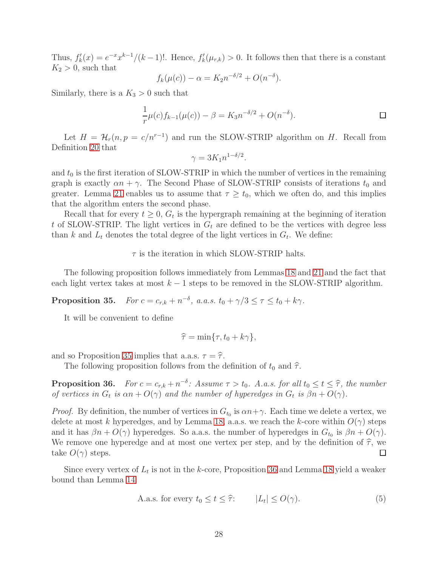Thus,  $f'_k(x) = e^{-x}x^{k-1}/(k-1)!$ . Hence,  $f'_k(\mu_{r,k}) > 0$ . It follows then that there is a constant  $K_2 > 0$ , such that

$$
f_k(\mu(c)) - \alpha = K_2 n^{-\delta/2} + O(n^{-\delta}).
$$

Similarly, there is a  $K_3 > 0$  such that

$$
\frac{1}{r}\mu(c)f_{k-1}(\mu(c)) - \beta = K_3 n^{-\delta/2} + O(n^{-\delta}).
$$

Let  $H = \mathcal{H}_r(n, p = c/n^{r-1})$  and run the SLOW-STRIP algorithm on H. Recall from Definition [20](#page-20-0) that

$$
\gamma = 3K_1 n^{1-\delta/2}.
$$

and  $t_0$  is the first iteration of SLOW-STRIP in which the number of vertices in the remaining graph is exactly  $\alpha n + \gamma$ . The Second Phase of SLOW-STRIP consists of iterations  $t_0$  and greater. Lemma [21](#page-20-1) enables us to assume that  $\tau \geq t_0$ , which we often do, and this implies that the algorithm enters the second phase.

Recall that for every  $t \geq 0$ ,  $G_t$  is the hypergraph remaining at the beginning of iteration t of SLOW-STRIP. The light vertices in  $G_t$  are defined to be the vertices with degree less than k and  $L_t$  denotes the total degree of the light vertices in  $G_t$ . We define:

#### $\tau$  is the iteration in which SLOW-STRIP halts.

The following proposition follows immediately from Lemmas [18](#page-19-0) and [21](#page-20-1) and the fact that each light vertex takes at most  $k - 1$  steps to be removed in the SLOW-STRIP algorithm.

<span id="page-28-0"></span>Proposition 35.  $-\delta$ , a.a.s.  $t_0 + \gamma/3 \leq \tau \leq t_0 + k\gamma$ .

It will be convenient to define

$$
\widehat{\tau} = \min\{\tau, t_0 + k\gamma\},\
$$

and so Proposition [35](#page-28-0) implies that a.a.s.  $\tau = \hat{\tau}$ .

The following proposition follows from the definition of  $t_0$  and  $\hat{\tau}$ .

<span id="page-28-1"></span>**Proposition 36.** For  $c = c_{r,k} + n^{-\delta}$ : Assume  $\tau > t_0$ . A.a.s. for all  $t_0 \le t \le \hat{\tau}$ , the number of vertices in  $G_t$  is  $\alpha n + O(\gamma)$  and the number of hyperedges in  $G_t$  is  $\beta n + O(\gamma)$ .

*Proof.* By definition, the number of vertices in  $G_{t_0}$  is  $\alpha n + \gamma$ . Each time we delete a vertex, we delete at most k hyperedges, and by Lemma [18,](#page-19-0) a.a.s. we reach the k-core within  $O(\gamma)$  steps and it has  $\beta n + O(\gamma)$  hyperedges. So a.a.s. the number of hyperedges in  $G_{t_0}$  is  $\beta n + O(\gamma)$ . We remove one hyperedge and at most one vertex per step, and by the definition of  $\hat{\tau}$ , we take  $O(\gamma)$  steps. take  $O(\gamma)$  steps.

Since every vertex of  $L_t$  is not in the k-core, Proposition [36](#page-28-1) and Lemma [18](#page-19-0) yield a weaker bound than Lemma [14:](#page-7-1)

<span id="page-28-2"></span>A.a.s. for every 
$$
t_0 \le t \le \hat{\tau}
$$
:  $|L_t| \le O(\gamma)$ . (5)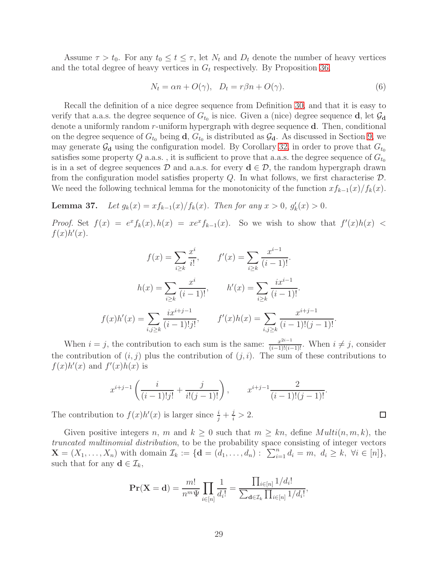Assume  $\tau > t_0$ . For any  $t_0 \le t \le \tau$ , let  $N_t$  and  $D_t$  denote the number of heavy vertices and the total degree of heavy vertices in  $G_t$  respectively. By Proposition [36,](#page-28-1)

<span id="page-29-1"></span>
$$
N_t = \alpha n + O(\gamma), \quad D_t = r\beta n + O(\gamma). \tag{6}
$$

Recall the definition of a nice degree sequence from Definition [30,](#page-26-3) and that it is easy to verify that a.a.s. the degree sequence of  $G_{t_0}$  is nice. Given a (nice) degree sequence **d**, let  $\mathcal{G}_{d}$ denote a uniformly random r-uniform hypergraph with degree sequence d. Then, conditional on the degree sequence of  $G_{t_0}$  being **d**,  $G_{t_0}$  is distributed as  $\mathcal{G}_{d}$ . As discussed in Section [9,](#page-26-1) we may generate  $\mathcal{G}_d$  using the configuration model. By Corollary [32,](#page-26-2) in order to prove that  $G_{t_0}$ satisfies some property Q a.a.s., it is sufficient to prove that a.a.s. the degree sequence of  $G_{t_0}$ is in a set of degree sequences D and a.a.s. for every  $d \in \mathcal{D}$ , the random hypergraph drawn from the configuration model satisfies property  $Q$ . In what follows, we first characterise  $D$ . We need the following technical lemma for the monotonicity of the function  $xf_{k-1}(x)/f_k(x)$ .

<span id="page-29-0"></span>**Lemma 37.** Let  $g_k(x) = xf_{k-1}(x)/f_k(x)$ . Then for any  $x > 0$ ,  $g'_k(x) > 0$ .

*Proof.* Set  $f(x) = e^x f_k(x)$ ,  $h(x) = xe^x f_{k-1}(x)$ . So we wish to show that  $f'(x)h(x)$  $f(x)h'(x)$ .

$$
f(x) = \sum_{i \ge k} \frac{x^i}{i!}, \qquad f'(x) = \sum_{i \ge k} \frac{x^{i-1}}{(i-1)!}.
$$

$$
h(x) = \sum_{i \ge k} \frac{x^i}{(i-1)!}, \qquad h'(x) = \sum_{i \ge k} \frac{ix^{i-1}}{(i-1)!}.
$$

$$
f(x)h'(x) = \sum_{i,j \ge k} \frac{ix^{i+j-1}}{(i-1)!(j!}, \qquad f'(x)h(x) = \sum_{i,j \ge k} \frac{x^{i+j-1}}{(i-1)!(j-1)!}.
$$

When  $i = j$ , the contribution to each sum is the same:  $\frac{x^{2i-1}}{(i-1)!(i-1)!}$ . When  $i \neq j$ , consider the contribution of  $(i, j)$  plus the contribution of  $(j, i)$ . The sum of these contributions to  $f(x)h'(x)$  and  $f'(x)h(x)$  is

$$
x^{i+j-1}\left(\frac{i}{(i-1)!j!} + \frac{j}{i!(j-1)!}\right), \qquad x^{i+j-1}\frac{2}{(i-1)!(j-1)!}.
$$

The contribution to  $f(x)h'(x)$  is larger since  $\frac{i}{j} + \frac{j}{i} > 2$ .

Given positive integers n, m and  $k \geq 0$  such that  $m \geq kn$ , define  $Multi(n, m, k)$ , the truncated multinomial distribution, to be the probability space consisting of integer vectors  $\mathbf{X} = (X_1, \ldots, X_n)$  with domain  $\mathcal{I}_k := \{ \mathbf{d} = (d_1, \ldots, d_n) : \sum_{i=1}^n d_i = m, \ d_i \geq k, \ \forall i \in [n] \},\$ such that for any  $\mathbf{d} \in \mathcal{I}_k$ ,

$$
\mathbf{Pr}(\mathbf{X} = \mathbf{d}) = \frac{m!}{n^m \Psi} \prod_{i \in [n]} \frac{1}{d_i!} = \frac{\prod_{i \in [n]} 1/d_i!}{\sum_{\mathbf{d} \in \mathcal{I}_k} \prod_{i \in [n]} 1/d_i!},
$$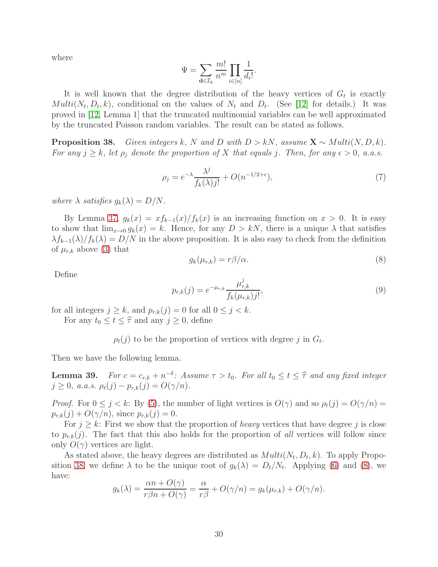where

$$
\Psi = \sum_{\mathbf{d} \in \mathcal{I}_k} \frac{m!}{n^m} \prod_{i \in [n]} \frac{1}{d_i!}.
$$

It is well known that the degree distribution of the heavy vertices of  $G_t$  is exactly  $Multi(N_t, D_t, k)$ , conditional on the values of  $N_t$  and  $D_t$ . (See [\[12\]](#page-13-14) for details.) It was proved in [\[12,](#page-13-14) Lemma 1] that the truncated multinomial variables can be well approximated by the truncated Poisson random variables. The result can be stated as follows.

<span id="page-30-0"></span>**Proposition 38.** Given integers k, N and D with  $D > kN$ , assume  $X \sim Multi(N, D, k)$ . For any  $j \geq k$ , let  $\rho_j$  denote the proportion of X that equals j. Then, for any  $\epsilon > 0$ , a.a.s.

<span id="page-30-2"></span>
$$
\rho_j = e^{-\lambda} \frac{\lambda^j}{f_k(\lambda)j!} + O(n^{-1/2 + \epsilon}),\tag{7}
$$

where  $\lambda$  satisfies  $g_k(\lambda) = D/N$ .

By Lemma [37,](#page-29-0)  $g_k(x) = x f_{k-1}(x) / f_k(x)$  is an increasing function on  $x > 0$ . It is easy to show that  $\lim_{x\to 0} g_k(x) = k$ . Hence, for any  $D > kN$ , there is a unique  $\lambda$  that satisfies  $\lambda f_{k-1}(\lambda)/f_k(\lambda) = D/N$  in the above proposition. It is also easy to check from the definition of  $\mu_{r,k}$  above [\(3\)](#page-18-2) that

<span id="page-30-1"></span>
$$
g_k(\mu_{r,k}) = r\beta/\alpha. \tag{8}
$$

Define

<span id="page-30-3"></span>
$$
p_{r,k}(j) = e^{-\mu_{r,k}} \frac{\mu_{r,k}^j}{f_k(\mu_{r,k})j!},\tag{9}
$$

for all integers  $j \geq k$ , and  $p_{r,k}(j) = 0$  for all  $0 \leq j < k$ .

For any  $t_0 \le t \le \hat{\tau}$  and any  $j \ge 0$ , define

 $\rho_t(j)$  to be the proportion of vertices with degree j in  $G_t$ .

Then we have the following lemma.

<span id="page-30-4"></span>**Lemma 39.** For  $c = c_{r,k} + n^{-\delta}$ : Assume  $\tau > t_0$ . For all  $t_0 \le t \le \hat{\tau}$  and any fixed integer  $j \geq 0$ , a.a.s.  $\rho_t(j) - p_{r,k}(j) = O(\gamma/n)$ .

*Proof.* For  $0 \le j \le k$ : By [\(5\)](#page-28-2), the number of light vertices is  $O(\gamma)$  and so  $\rho_t(j) = O(\gamma/n)$  $p_{r,k}(j) + O(\gamma/n)$ , since  $p_{r,k}(j) = 0$ .

For  $j \geq k$ : First we show that the proportion of *heavy* vertices that have degree j is close to  $p_{r,k}(j)$ . The fact that this also holds for the proportion of all vertices will follow since only  $O(\gamma)$  vertices are light.

As stated above, the heavy degrees are distributed as  $Multi(N_t, D_t, k)$ . To apply Propo-sition [38,](#page-30-0) we define  $\lambda$  to be the unique root of  $g_k(\lambda) = D_t/N_t$ . Applying [\(6\)](#page-29-1) and [\(8\)](#page-30-1), we have:

$$
g_k(\lambda) = \frac{\alpha n + O(\gamma)}{r \beta n + O(\gamma)} = \frac{\alpha}{r \beta} + O(\gamma/n) = g_k(\mu_{r,k}) + O(\gamma/n).
$$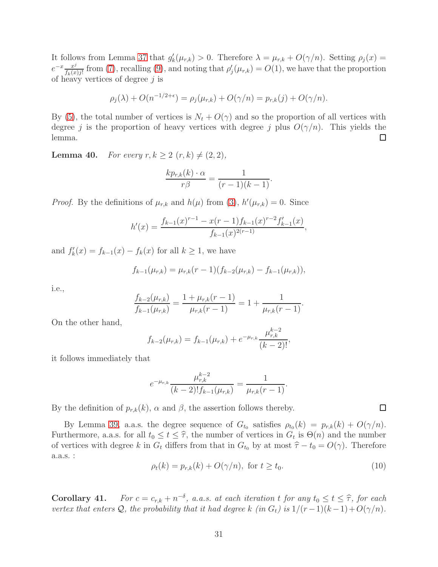It follows from Lemma [37](#page-29-0) that  $g'_k(\mu_{r,k}) > 0$ . Therefore  $\lambda = \mu_{r,k} + O(\gamma/n)$ . Setting  $\rho_j(x) =$  $e^{-x} \frac{x^j}{f(x)}$  $\frac{x^j}{f_k(x)j!}$  from [\(7\)](#page-30-2), recalling [\(9\)](#page-30-3), and noting that  $\rho'_j(\mu_{r,k}) = O(1)$ , we have that the proportion of heavy vertices of degree  $j$  is

$$
\rho_j(\lambda) + O(n^{-1/2 + \epsilon}) = \rho_j(\mu_{r,k}) + O(\gamma/n) = p_{r,k}(j) + O(\gamma/n).
$$

By [\(5\)](#page-28-2), the total number of vertices is  $N_t + O(\gamma)$  and so the proportion of all vertices with degree j is the proportion of heavy vertices with degree j plus  $O(\gamma/n)$ . This yields the lemma.  $\Box$ 

<span id="page-31-1"></span>**Lemma 40.** For every  $r, k \geq 2$   $(r, k) \neq (2, 2)$ ,

$$
\frac{kp_{r,k}(k)\cdot\alpha}{r\beta}=\frac{1}{(r-1)(k-1)}.
$$

*Proof.* By the definitions of  $\mu_{r,k}$  and  $h(\mu)$  from [\(3\)](#page-18-2),  $h'(\mu_{r,k}) = 0$ . Since

$$
h'(x) = \frac{f_{k-1}(x)^{r-1} - x(r-1)f_{k-1}(x)^{r-2}f'_{k-1}(x)}{f_{k-1}(x)^{2(r-1)}},
$$

and  $f'_k(x) = f_{k-1}(x) - f_k(x)$  for all  $k \ge 1$ , we have

$$
f_{k-1}(\mu_{r,k}) = \mu_{r,k}(r-1)(f_{k-2}(\mu_{r,k}) - f_{k-1}(\mu_{r,k})),
$$

i.e.,

$$
\frac{f_{k-2}(\mu_{r,k})}{f_{k-1}(\mu_{r,k})} = \frac{1 + \mu_{r,k}(r-1)}{\mu_{r,k}(r-1)} = 1 + \frac{1}{\mu_{r,k}(r-1)}.
$$

On the other hand,

$$
f_{k-2}(\mu_{r,k}) = f_{k-1}(\mu_{r,k}) + e^{-\mu_{r,k}} \frac{\mu_{r,k}^{k-2}}{(k-2)!},
$$

it follows immediately that

$$
e^{-\mu_{r,k}} \frac{\mu_{r,k}^{k-2}}{(k-2)! f_{k-1}(\mu_{r,k})} = \frac{1}{\mu_{r,k}(r-1)}.
$$

By the definition of  $p_{r,k}(k)$ ,  $\alpha$  and  $\beta$ , the assertion follows thereby.

By Lemma [39,](#page-30-4) a.a.s. the degree sequence of  $G_{t_0}$  satisfies  $\rho_{t_0}(k) = p_{r,k}(k) + O(\gamma/n)$ . Furthermore, a.a.s. for all  $t_0 \leq t \leq \hat{\tau}$ , the number of vertices in  $G_t$  is  $\Theta(n)$  and the number of vertices with degree k in  $G_t$  differs from that in  $G_{t_0}$  by at most  $\hat{\tau} - t_0 = O(\gamma)$ . Therefore a.a.s. :

<span id="page-31-0"></span>
$$
\rho_t(k) = p_{r,k}(k) + O(\gamma/n), \text{ for } t \ge t_0.
$$
\n
$$
(10)
$$

<span id="page-31-2"></span>**Corollary 41.** For  $c = c_{r,k} + n^{-\delta}$ , a.a.s. at each iteration t for any  $t_0 \le t \le \hat{\tau}$ , for each interaction that it has described the contraction of the second second second second second second second second second sec vertex that enters Q, the probability that it had degree k (in  $G_t$ ) is  $1/(r-1)(k-1)+O(\gamma/n)$ .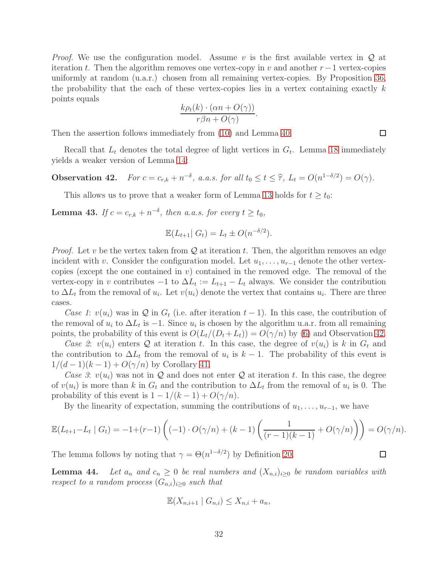*Proof.* We use the configuration model. Assume v is the first available vertex in  $\mathcal Q$  at iteration t. Then the algorithm removes one vertex-copy in v and another  $r-1$  vertex-copies uniformly at random (u.a.r.) chosen from all remaining vertex-copies. By Proposition [36,](#page-28-1) the probability that the each of these vertex-copies lies in a vertex containing exactly  $k$ points equals

$$
\frac{k\rho_t(k)\cdot(\alpha n + O(\gamma))}{r\beta n + O(\gamma)}.
$$

Then the assertion follows immediately from [\(10\)](#page-31-0) and Lemma [40.](#page-31-1)

Recall that  $L_t$  denotes the total degree of light vertices in  $G_t$ . Lemma [18](#page-19-0) immediately yields a weaker version of Lemma [14:](#page-7-1)

<span id="page-32-0"></span>Observation 42.  $\overline{\phantom{a}}^{\delta}$ , a.a.s. for all  $t_0 \leq t \leq \widehat{\tau}$ ,  $L_t = O(n^{1-\delta/2}) = O(\gamma)$ .

This allows us to prove that a weaker form of Lemma [13](#page-7-0) holds for  $t \geq t_0$ :

<span id="page-32-1"></span>**Lemma 43.** If  $c = c_{r,k} + n^{-\delta}$ , then a.a.s. for every  $t \ge t_0$ ,

$$
\mathbb{E}(L_{t+1} | G_t) = L_t \pm O(n^{-\delta/2}).
$$

*Proof.* Let v be the vertex taken from  $Q$  at iteration t. Then, the algorithm removes an edge incident with v. Consider the configuration model. Let  $u_1, \ldots, u_{r-1}$  denote the other vertexcopies (except the one contained in  $v$ ) contained in the removed edge. The removal of the vertex-copy in v contributes  $-1$  to  $\Delta L_t := L_{t+1} - L_t$  always. We consider the contribution to  $\Delta L_t$  from the removal of  $u_i$ . Let  $v(u_i)$  denote the vertex that contains  $u_i$ . There are three cases.

Case 1:  $v(u_i)$  was in Q in  $G_t$  (i.e. after iteration  $t-1$ ). In this case, the contribution of the removal of  $u_i$  to  $\Delta L_t$  is  $-1$ . Since  $u_i$  is chosen by the algorithm u.a.r. from all remaining points, the probability of this event is  $O(L_t/(D_t + L_t)) = O(\gamma/n)$  by [\(6\)](#page-29-1) and Observation [42.](#page-32-0)

Case 2:  $v(u_i)$  enters Q at iteration t. In this case, the degree of  $v(u_i)$  is k in  $G_t$  and the contribution to  $\Delta L_t$  from the removal of  $u_i$  is  $k-1$ . The probability of this event is  $1/(d-1)(k-1) + O(\gamma/n)$  by Corollary [41.](#page-31-2)

Case 3:  $v(u_i)$  was not in Q and does not enter Q at iteration t. In this case, the degree of  $v(u_i)$  is more than k in  $G_t$  and the contribution to  $\Delta L_t$  from the removal of  $u_i$  is 0. The probability of this event is  $1 - 1/(k - 1) + O(\gamma/n)$ .

By the linearity of expectation, summing the contributions of  $u_1, \ldots, u_{r-1}$ , we have

$$
\mathbb{E}(L_{t+1} - L_t \mid G_t) = -1 + (r-1) \left( (-1) \cdot O(\gamma/n) + (k-1) \left( \frac{1}{(r-1)(k-1)} + O(\gamma/n) \right) \right) = O(\gamma/n).
$$

The lemma follows by noting that  $\gamma = \Theta(n^{1-\delta/2})$  by Definition [20.](#page-20-0)

<span id="page-32-2"></span>**Lemma 44.** Let  $a_n$  and  $c_n \geq 0$  be real numbers and  $(X_{n,i})_{i>0}$  be random variables with respect to a random process  $(G_{n,i})_{i\geq 0}$  such that

$$
\mathbb{E}(X_{n,i+1} \mid G_{n,i}) \le X_{n,i} + a_n,
$$

 $\Box$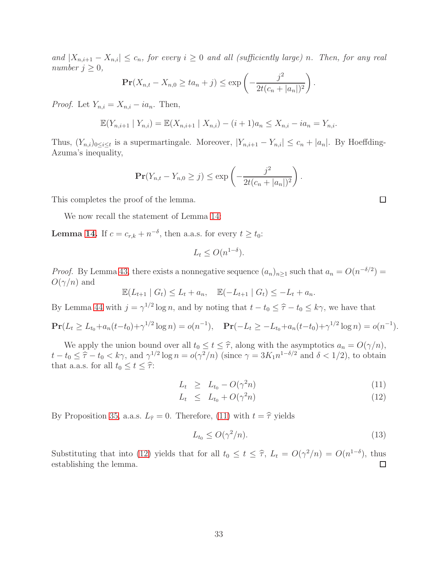and  $|X_{n,i+1}-X_{n,i}|\leq c_n$ , for every  $i\geq 0$  and all (sufficiently large) n. Then, for any real number  $j \geq 0$ ,

$$
\Pr(X_{n,t} - X_{n,0} \ge ta_n + j) \le \exp\left(-\frac{j^2}{2t(c_n + |a_n|)^2}\right).
$$

*Proof.* Let  $Y_{n,i} = X_{n,i} - ia_n$ . Then,

$$
\mathbb{E}(Y_{n,i+1} | Y_{n,i}) = \mathbb{E}(X_{n,i+1} | X_{n,i}) - (i+1)a_n \leq X_{n,i} - ia_n = Y_{n,i}.
$$

Thus,  $(Y_{n,i})_{0\leq i\leq t}$  is a supermartingale. Moreover,  $|Y_{n,i+1}-Y_{n,i}|\leq c_n+|a_n|$ . By Hoeffding-Azuma's inequality,

$$
\mathbf{Pr}(Y_{n,t} - Y_{n,0} \ge j) \le \exp\left(-\frac{j^2}{2t(c_n + |a_n|)^2}\right).
$$

This completes the proof of the lemma.

We now recall the statement of Lemma [14:](#page-7-1)

**Lemma [14.](#page-7-1)** If  $c = c_{r,k} + n^{-\delta}$ , then a.a.s. for every  $t \ge t_0$ :

$$
L_t \le O(n^{1-\delta}).
$$

*Proof.* By Lemma [43,](#page-32-1) there exists a nonnegative sequence  $(a_n)_{n\geq 1}$  such that  $a_n = O(n^{-\delta/2})$  $O(\gamma/n)$  and

$$
\mathbb{E}(L_{t+1} | G_t) \le L_t + a_n, \quad \mathbb{E}(-L_{t+1} | G_t) \le -L_t + a_n.
$$

By Lemma [44](#page-32-2) with  $j = \gamma^{1/2} \log n$ , and by noting that  $t - t_0 \leq \hat{\tau} - t_0 \leq k\gamma$ , we have that

$$
\mathbf{Pr}(L_t \ge L_{t_0} + a_n(t - t_0) + \gamma^{1/2} \log n) = o(n^{-1}), \quad \mathbf{Pr}(-L_t \ge -L_{t_0} + a_n(t - t_0) + \gamma^{1/2} \log n) = o(n^{-1}).
$$

We apply the union bound over all  $t_0 \le t \le \hat{\tau}$ , along with the asymptotics  $a_n = O(\gamma/n)$ ,  $t - t_0 \leq \hat{\tau} - t_0 < k\gamma$ , and  $\gamma^{1/2} \log n = o(\gamma^2/n)$  (since  $\gamma = 3K_1 n^{1-\delta/2}$  and  $\delta < 1/2$ ), to obtain that a.a.s. for all  $t_0 \leq t \leq \hat{\tau}$ :

<span id="page-33-0"></span>
$$
L_t \ge L_{t_0} - O(\gamma^2 n) \tag{11}
$$

$$
L_t \leq L_{t_0} + O(\gamma^2 n) \tag{12}
$$

By Proposition [35,](#page-28-0) a.a.s.  $L_{\hat{\tau}} = 0$ . Therefore, [\(11\)](#page-33-0) with  $t = \hat{\tau}$  yields

<span id="page-33-1"></span>
$$
L_{t_0} \le O(\gamma^2/n). \tag{13}
$$

Substituting that into [\(12\)](#page-33-0) yields that for all  $t_0 \le t \le \hat{\tau}$ ,  $L_t = O(\gamma^2/n) = O(n^{1-\delta})$ , thus establishing the lemma. □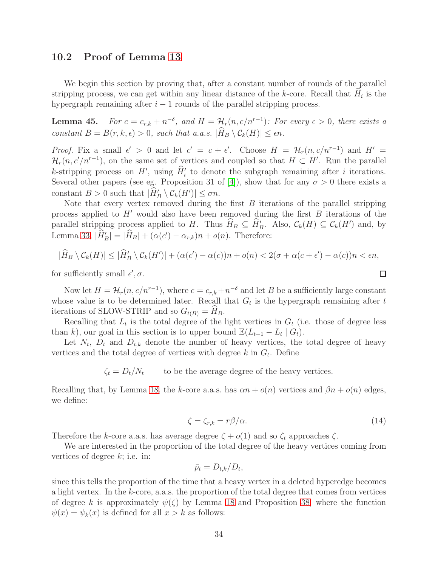### <span id="page-34-1"></span>10.2 Proof of Lemma [13](#page-7-0)

We begin this section by proving that, after a constant number of rounds of the parallel stripping process, we can get within any linear distance of the  $k$ -core. Recall that  $H_i$  is the hypergraph remaining after  $i - 1$  rounds of the parallel stripping process.

<span id="page-34-0"></span>**Lemma 45.** For  $c = c_{r,k} + n^{-\delta}$ , and  $H = H_r(n, c/n^{r-1})$ : For every  $\epsilon > 0$ , there exists a constant  $B = B(r, k, \epsilon) > 0$ , such that a.a.s.  $|\widehat{H}_B \setminus C_k(H)| \leq \epsilon n$ .

*Proof.* Fix a small  $\epsilon' > 0$  and let  $c' = c + \epsilon'$ . Choose  $H = \mathcal{H}_r(n, c/n^{r-1})$  and  $H' =$  $\mathcal{H}_r(n, c'/n^{r-1})$ , on the same set of vertices and coupled so that  $H \subset H'$ . Run the parallel k-stripping process on  $H'$ , using  $\hat{H}'_i$  to denote the subgraph remaining after *i* iterations. Several other papers (see eg. Proposition 31 of [\[4\]](#page-12-0)), show that for any  $\sigma > 0$  there exists a constant  $B > 0$  such that  $|\hat{H}'_B \setminus \mathcal{C}_k(H')| \leq \sigma n$ .

Note that every vertex removed during the first  $B$  iterations of the parallel stripping process applied to  $H'$  would also have been removed during the first  $B$  iterations of the parallel stripping process applied to H. Thus  $\hat{H}_B \subseteq \hat{H}'_B$ . Also,  $\mathcal{C}_k(H) \subseteq \mathcal{C}_k(H')$  and, by Lemma [33,](#page-27-1)  $|\hat{H}'_B| = |\hat{H}_B| + (\alpha(c') - \alpha_{r,k})n + o(n)$ . Therefore:

$$
|\widehat{H}_B \setminus \mathcal{C}_k(H)| \leq |\widehat{H}'_B \setminus \mathcal{C}_k(H')| + (\alpha(c') - \alpha(c))n + o(n) < 2(\sigma + \alpha(c + \epsilon') - \alpha(c))n < \epsilon n,
$$

for sufficiently small  $\epsilon', \sigma$ .

Now let  $H = \mathcal{H}_r(n, c/n^{r-1})$ , where  $c = c_{r,k} + n^{-\delta}$  and let B be a sufficiently large constant whose value is to be determined later. Recall that  $G_t$  is the hypergraph remaining after t iterations of SLOW-STRIP and so  $G_{t(B)} = H_B$ .

Recalling that  $L_t$  is the total degree of the light vertices in  $G_t$  (i.e. those of degree less than k), our goal in this section is to upper bound  $\mathbb{E}(L_{t+1} - L_t | G_t)$ .

Let  $N_t$ ,  $D_t$  and  $D_{t,k}$  denote the number of heavy vertices, the total degree of heavy vertices and the total degree of vertices with degree  $k$  in  $G_t$ . Define

 $\zeta_t = D_t/N_t$  to be the average degree of the heavy vertices.

Recalling that, by Lemma [18,](#page-19-0) the k-core a.a.s. has  $\alpha n + o(n)$  vertices and  $\beta n + o(n)$  edges, we define:

$$
\zeta = \zeta_{r,k} = r\beta/\alpha. \tag{14}
$$

 $\Box$ 

Therefore the k-core a.a.s. has average degree  $\zeta + o(1)$  and so  $\zeta_t$  approaches  $\zeta$ .

We are interested in the proportion of the total degree of the heavy vertices coming from vertices of degree  $k$ ; i.e. in:

$$
\bar{p}_t = D_{t,k}/D_t,
$$

since this tells the proportion of the time that a heavy vertex in a deleted hyperedge becomes a light vertex. In the k-core, a.a.s. the proportion of the total degree that comes from vertices of degree k is approximately  $\psi(\zeta)$  by Lemma [18](#page-19-0) and Proposition [38,](#page-30-0) where the function  $\psi(x) = \psi_k(x)$  is defined for all  $x > k$  as follows: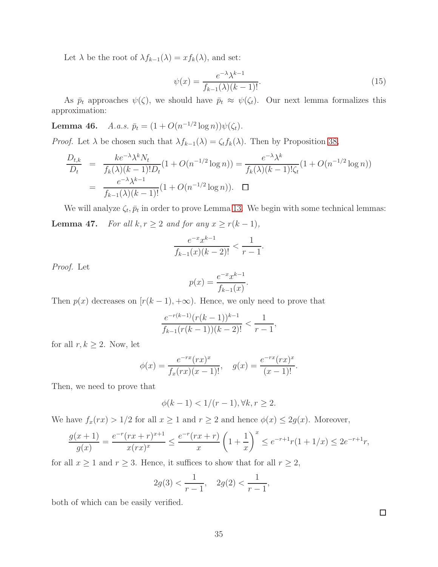Let  $\lambda$  be the root of  $\lambda f_{k-1}(\lambda) = x f_k(\lambda)$ , and set:

$$
\psi(x) = \frac{e^{-\lambda}\lambda^{k-1}}{f_{k-1}(\lambda)(k-1)!}.\tag{15}
$$

As  $\bar{p}_t$  approaches  $\psi(\zeta)$ , we should have  $\bar{p}_t \approx \psi(\zeta_t)$ . Our next lemma formalizes this approximation:

<span id="page-35-1"></span>**Lemma 46.** A.a.s.  $\bar{p}_t = (1 + O(n^{-1/2} \log n)) \psi(\zeta_t)$ .

*Proof.* Let  $\lambda$  be chosen such that  $\lambda f_{k-1}(\lambda) = \zeta_t f_k(\lambda)$ . Then by Proposition [38,](#page-30-0)

$$
\frac{D_{t,k}}{D_t} = \frac{ke^{-\lambda}\lambda^k N_t}{f_k(\lambda)(k-1)!D_t}(1+O(n^{-1/2}\log n)) = \frac{e^{-\lambda}\lambda^k}{f_k(\lambda)(k-1)!\zeta_t}(1+O(n^{-1/2}\log n))
$$

$$
= \frac{e^{-\lambda}\lambda^{k-1}}{f_{k-1}(\lambda)(k-1)!}(1+O(n^{-1/2}\log n)). \quad \Box
$$

<span id="page-35-0"></span>We will analyze  $\zeta_t$ ,  $\bar{p}_t$  in order to prove Lemma [13.](#page-7-0) We begin with some technical lemmas: **Lemma 47.** For all  $k, r \ge 2$  and for any  $x \ge r(k-1)$ ,

$$
\frac{e^{-x}x^{k-1}}{f_{k-1}(x)(k-2)!} < \frac{1}{r-1}.
$$

Proof. Let

$$
p(x) = \frac{e^{-x}x^{k-1}}{f_{k-1}(x)}.
$$

Then  $p(x)$  decreases on  $[r(k-1), +\infty)$ . Hence, we only need to prove that

$$
\frac{e^{-r(k-1)}(r(k-1))^{k-1}}{f_{k-1}(r(k-1))(k-2)!} < \frac{1}{r-1},
$$

for all  $r, k \geq 2$ . Now, let

$$
\phi(x) = \frac{e^{-rx}(rx)^x}{f_x(rx)(x-1)!}, \quad g(x) = \frac{e^{-rx}(rx)^x}{(x-1)!}.
$$

Then, we need to prove that

$$
\phi(k-1) < 1/(r-1), \forall k, r \ge 2.
$$

We have  $f_x(rx) > 1/2$  for all  $x \ge 1$  and  $r \ge 2$  and hence  $\phi(x) \le 2g(x)$ . Moreover,

$$
\frac{g(x+1)}{g(x)} = \frac{e^{-r}(rx+r)^{x+1}}{x(rx)^x} \le \frac{e^{-r}(rx+r)}{x} \left(1+\frac{1}{x}\right)^x \le e^{-r+1}r(1+1/x) \le 2e^{-r+1}r,
$$

for all  $x \ge 1$  and  $r \ge 3$ . Hence, it suffices to show that for all  $r \ge 2$ ,

$$
2g(3) < \frac{1}{r-1}
$$
,  $2g(2) < \frac{1}{r-1}$ ,

both of which can be easily verified.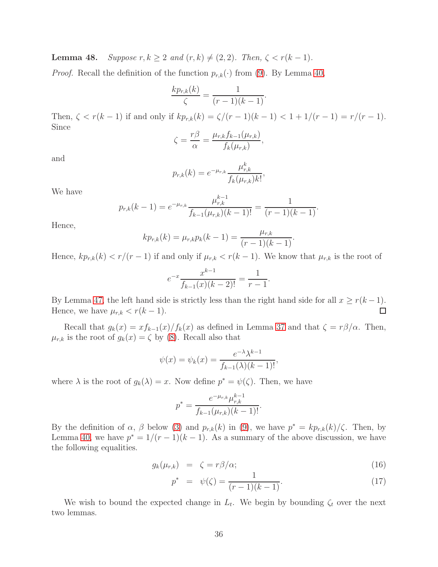<span id="page-36-1"></span>**Lemma 48.** Suppose  $r, k \geq 2$  and  $(r, k) \neq (2, 2)$ . Then,  $\zeta < r(k-1)$ .

*Proof.* Recall the definition of the function  $p_{r,k}(\cdot)$  from [\(9\)](#page-30-3). By Lemma [40,](#page-31-1)

$$
\frac{kp_{r,k}(k)}{\zeta} = \frac{1}{(r-1)(k-1)}.
$$

Then,  $\zeta < r(k-1)$  if and only if  $kp_{r,k}(k) = \zeta/(r-1)(k-1) < 1 + 1/(r-1) = r/(r-1)$ . Since

$$
\zeta = \frac{r\beta}{\alpha} = \frac{\mu_{r,k}f_{k-1}(\mu_{r,k})}{f_k(\mu_{r,k})},
$$

and

$$
p_{r,k}(k) = e^{-\mu_{r,k}} \frac{\mu_{r,k}^k}{f_k(\mu_{r,k})k!},
$$

We have

$$
p_{r,k}(k-1) = e^{-\mu_{r,k}} \frac{\mu_{r,k}^{k-1}}{f_{k-1}(\mu_{r,k})(k-1)!} = \frac{1}{(r-1)(k-1)}.
$$

Hence,

$$
kp_{r,k}(k) = \mu_{r,k}p_k(k-1) = \frac{\mu_{r,k}}{(r-1)(k-1)}.
$$

Hence,  $kp_{r,k}(k) < r/(r-1)$  if and only if  $\mu_{r,k} < r(k-1)$ . We know that  $\mu_{r,k}$  is the root of

$$
e^{-x} \frac{x^{k-1}}{f_{k-1}(x)(k-2)!} = \frac{1}{r-1}.
$$

By Lemma [47,](#page-35-0) the left hand side is strictly less than the right hand side for all  $x \ge r(k-1)$ . Hence, we have  $\mu_{r,k} < r(k-1)$ .  $\Box$ 

Recall that  $g_k(x) = x f_{k-1}(x) / f_k(x)$  as defined in Lemma [37](#page-29-0) and that  $\zeta = r\beta/\alpha$ . Then,  $\mu_{r,k}$  is the root of  $g_k(x) = \zeta$  by [\(8\)](#page-30-1). Recall also that

$$
\psi(x) = \psi_k(x) = \frac{e^{-\lambda} \lambda^{k-1}}{f_{k-1}(\lambda)(k-1)!},
$$

where  $\lambda$  is the root of  $g_k(\lambda) = x$ . Now define  $p^* = \psi(\zeta)$ . Then, we have

$$
p^* = \frac{e^{-\mu_{r,k}} \mu_{r,k}^{k-1}}{f_{k-1}(\mu_{r,k})(k-1)!}.
$$

By the definition of  $\alpha$ ,  $\beta$  below [\(3\)](#page-18-2) and  $p_{r,k}(k)$  in [\(9\)](#page-30-3), we have  $p^* = kp_{r,k}(k)/\zeta$ . Then, by Lemma [40,](#page-31-1) we have  $p^* = 1/(r-1)(k-1)$ . As a summary of the above discussion, we have the following equalities.

<span id="page-36-0"></span>
$$
g_k(\mu_{r,k}) = \zeta = r\beta/\alpha; \qquad (16)
$$

$$
p^* = \psi(\zeta) = \frac{1}{(r-1)(k-1)}.\tag{17}
$$

We wish to bound the expected change in  $L_t$ . We begin by bounding  $\zeta_t$  over the next two lemmas.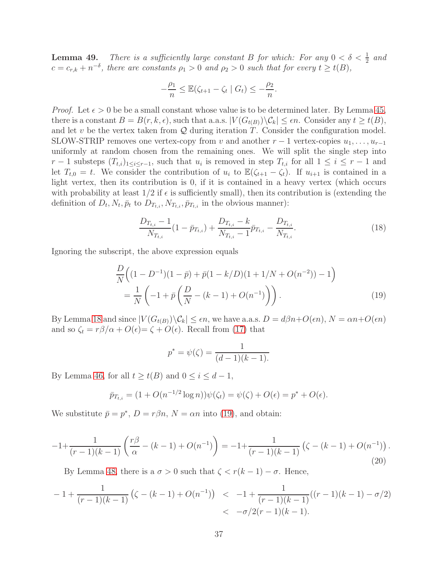<span id="page-37-2"></span>**Lemma 49.** There is a sufficiently large constant B for which: For any  $0 < \delta < \frac{1}{2}$  and  $c = c_{r,k} + n^{-\delta}$ , there are constants  $\rho_1 > 0$  and  $\rho_2 > 0$  such that for every  $t \geq t(B)$ ,

$$
-\frac{\rho_1}{n} \leq \mathbb{E}(\zeta_{t+1} - \zeta_t \mid G_t) \leq -\frac{\rho_2}{n}.
$$

*Proof.* Let  $\epsilon > 0$  be be a small constant whose value is to be determined later. By Lemma [45,](#page-34-0) there is a constant  $B = B(r, k, \epsilon)$ , such that a.a.s.  $|V(G_{t(B)}) \backslash C_k| \leq \epsilon n$ . Consider any  $t \geq t(B)$ , and let v be the vertex taken from  $Q$  during iteration T. Consider the configuration model. SLOW-STRIP removes one vertex-copy from v and another  $r-1$  vertex-copies  $u_1, \ldots, u_{r-1}$ uniformly at random chosen from the remaining ones. We will split the single step into  $r-1$  substeps  $(T_{t,i})_{1\leq i\leq r-1}$ , such that  $u_i$  is removed in step  $T_{t,i}$  for all  $1\leq i\leq r-1$  and let  $T_{t,0} = t$ . We consider the contribution of  $u_i$  to  $\mathbb{E}(\zeta_{t+1} - \zeta_t)$ . If  $u_{i+1}$  is contained in a light vertex, then its contribution is 0, if it is contained in a heavy vertex (which occurs with probability at least  $1/2$  if  $\epsilon$  is sufficiently small), then its contribution is (extending the definition of  $D_t$ ,  $N_t$ ,  $\bar{p}_t$  to  $D_{T_{t,i}}$ ,  $N_{T_{t,i}}$ ,  $\bar{p}_{T_{t,i}}$  in the obvious manner):

$$
\frac{D_{T_{t,i}} - 1}{N_{T_{t,i}}} (1 - \bar{p}_{T_{t,i}}) + \frac{D_{T_{t,i}} - k}{N_{T_{t,i}} - 1} \bar{p}_{T_{t,i}} - \frac{D_{T_{t,i}}}{N_{T_{t,i}}}.
$$
\n(18)

Ignoring the subscript, the above expression equals

<span id="page-37-0"></span>
$$
\frac{D}{N}\left((1 - D^{-1})(1 - \bar{p}) + \bar{p}(1 - k/D)(1 + 1/N + O(n^{-2})) - 1\right)
$$
\n
$$
= \frac{1}{N}\left(-1 + \bar{p}\left(\frac{D}{N} - (k - 1) + O(n^{-1})\right)\right).
$$
\n(19)

By Lemma [18](#page-19-0) and since  $|V(G_{t(B)})\backslash \mathcal{C}_k| \leq \epsilon n$ , we have a.a.s.  $D = d\beta n + O(\epsilon n)$ ,  $N = \alpha n + O(\epsilon n)$ and so  $\zeta_t = r\beta/\alpha + O(\epsilon) = \zeta + O(\epsilon)$ . Recall from [\(17\)](#page-36-0) that

$$
p^* = \psi(\zeta) = \frac{1}{(d-1)(k-1)}.
$$

By Lemma [46,](#page-35-1) for all  $t \geq t(B)$  and  $0 \leq i \leq d-1$ ,

$$
\bar{p}_{T_{t,i}} = (1 + O(n^{-1/2} \log n))\psi(\zeta_t) = \psi(\zeta) + O(\epsilon) = p^* + O(\epsilon).
$$

We substitute  $\bar{p} = p^*$ ,  $D = r\beta n$ ,  $N = \alpha n$  into [\(19\)](#page-37-0), and obtain:

<span id="page-37-1"></span>
$$
-1 + \frac{1}{(r-1)(k-1)} \left( \frac{r\beta}{\alpha} - (k-1) + O(n^{-1}) \right) = -1 + \frac{1}{(r-1)(k-1)} \left( \zeta - (k-1) + O(n^{-1}) \right). \tag{20}
$$

By Lemma [48,](#page-36-1) there is a  $\sigma > 0$  such that  $\zeta < r(k-1) - \sigma$ . Hence,

$$
-1 + \frac{1}{(r-1)(k-1)} (\zeta - (k-1) + O(n^{-1})) < -1 + \frac{1}{(r-1)(k-1)}((r-1)(k-1) - \sigma/2) < -\sigma/2(r-1)(k-1).
$$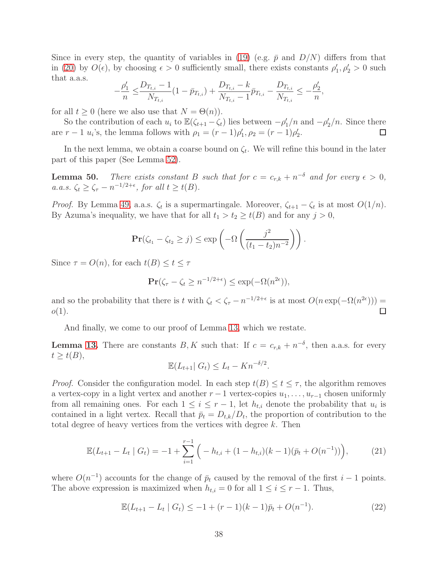Since in every step, the quantity of variables in [\(19\)](#page-37-0) (e.g.  $\bar{p}$  and  $D/N$ ) differs from that in [\(20\)](#page-37-1) by  $O(\epsilon)$ , by choosing  $\epsilon > 0$  sufficiently small, there exists constants  $\rho'_1, \rho'_2 > 0$  such that a.a.s.

$$
-\frac{\rho'_1}{n} \leq \frac{D_{T_{t,i}} - 1}{N_{T_{t,i}}} \left(1 - \bar{p}_{T_{t,i}}\right) + \frac{D_{T_{t,i}} - k}{N_{T_{t,i}} - 1} \bar{p}_{T_{t,i}} - \frac{D_{T_{t,i}}}{N_{T_{t,i}}} \leq -\frac{\rho'_2}{n},
$$

for all  $t \geq 0$  (here we also use that  $N = \Theta(n)$ ).

So the contribution of each  $u_i$  to  $\mathbb{E}(\zeta_{t+1} - \zeta_t)$  lies between  $-\rho'_1/n$  and  $-\rho'_2/n$ . Since there are  $r - 1$  u<sub>i</sub>'s, the lemma follows with  $\rho_1 = (r - 1)\rho'_1$ ,  $\rho_2 = (r - 1)\rho'_2$ .  $\Box$ 

In the next lemma, we obtain a coarse bound on  $\zeta_t$ . We will refine this bound in the later part of this paper (See Lemma [52\)](#page-42-0).

<span id="page-38-0"></span>**Lemma 50.** There exists constant B such that for  $c = c_{r,k} + n^{-\delta}$  and for every  $\epsilon > 0$ , a.a.s.  $\zeta_t \geq \zeta_{\tau} - n^{-1/2 + \epsilon}$ , for all  $t \geq t(B)$ .

*Proof.* By Lemma [49,](#page-37-2) a.a.s.  $\zeta_t$  is a supermartingale. Moreover,  $\zeta_{t+1} - \zeta_t$  is at most  $O(1/n)$ . By Azuma's inequality, we have that for all  $t_1 > t_2 \geq t(B)$  and for any  $j > 0$ ,

$$
\mathbf{Pr}(\zeta_{t_1}-\zeta_{t_2}\geq j)\leq \exp\left(-\Omega\left(\frac{j^2}{(t_1-t_2)n^{-2}}\right)\right).
$$

Since  $\tau = O(n)$ , for each  $t(B) \leq t \leq \tau$ 

$$
\mathbf{Pr}(\zeta_{\tau} - \zeta_t \ge n^{-1/2 + \epsilon}) \le \exp(-\Omega(n^{2\epsilon})),
$$

and so the probability that there is t with  $\zeta_t < \zeta_{\tau} - n^{-1/2+\epsilon}$  is at most  $O(n \exp(-\Omega(n^{2\epsilon})))$  $o(1)$ .  $\Box$ 

And finally, we come to our proof of Lemma [13,](#page-7-0) which we restate.

**Lemma [13.](#page-7-0)** There are constants  $B, K$  such that: If  $c = c_{r,k} + n^{-\delta}$ , then a.a.s. for every  $t \geq t(B),$ 

$$
\mathbb{E}(L_{t+1} | G_t) \le L_t - Kn^{-\delta/2}.
$$

*Proof.* Consider the configuration model. In each step  $t(B) \le t \le \tau$ , the algorithm removes a vertex-copy in a light vertex and another  $r-1$  vertex-copies  $u_1, \ldots, u_{r-1}$  chosen uniformly from all remaining ones. For each  $1 \leq i \leq r-1$ , let  $h_{t,i}$  denote the probability that  $u_i$  is contained in a light vertex. Recall that  $\bar{p}_t = D_{t,k}/D_t$ , the proportion of contribution to the total degree of heavy vertices from the vertices with degree  $k$ . Then

<span id="page-38-1"></span>
$$
\mathbb{E}(L_{t+1} - L_t \mid G_t) = -1 + \sum_{i=1}^{r-1} \left( -h_{t,i} + (1 - h_{t,i})(k-1)(\bar{p}_t + O(n^{-1})) \right), \tag{21}
$$

where  $O(n^{-1})$  accounts for the change of  $\bar{p}_t$  caused by the removal of the first  $i-1$  points. The above expression is maximized when  $h_{t,i} = 0$  for all  $1 \leq i \leq r - 1$ . Thus,

<span id="page-38-2"></span>
$$
\mathbb{E}(L_{t+1} - L_t \mid G_t) \leq -1 + (r-1)(k-1)\bar{p}_t + O(n^{-1}). \tag{22}
$$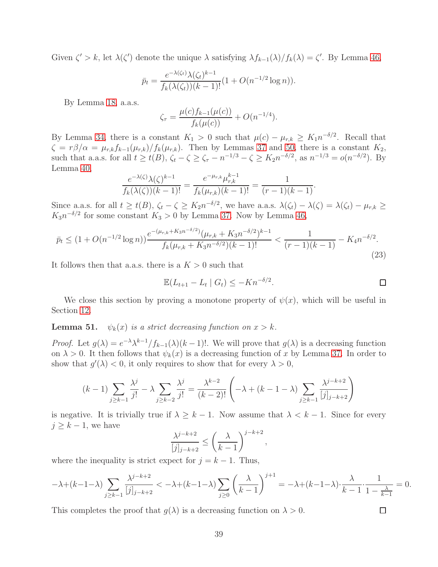Given  $\zeta' > k$ , let  $\lambda(\zeta')$  denote the unique  $\lambda$  satisfying  $\lambda f_{k-1}(\lambda)/f_k(\lambda) = \zeta'$ . By Lemma [46,](#page-35-1)

$$
\bar{p}_t = \frac{e^{-\lambda(\zeta_t)}\lambda(\zeta_t)^{k-1}}{f_k(\lambda(\zeta_t))(k-1)!} (1 + O(n^{-1/2}\log n)).
$$

By Lemma [18,](#page-19-0) a.a.s.

$$
\zeta_{\tau} = \frac{\mu(c) f_{k-1}(\mu(c))}{f_k(\mu(c))} + O(n^{-1/4}).
$$

By Lemma [34,](#page-27-0) there is a constant  $K_1 > 0$  such that  $\mu(c) - \mu_{r,k} \geq K_1 n^{-\delta/2}$ . Recall that  $\zeta = r\beta/\alpha = \mu_{r,k}f_{k-1}(\mu_{r,k})/f_k(\mu_{r,k})$ . Then by Lemmas [37](#page-29-0) and [50,](#page-38-0) there is a constant  $K_2$ , such that a.a.s. for all  $t \ge t(B)$ ,  $\zeta_t - \zeta \ge \zeta_{\tau} - n^{-1/3} - \zeta \ge K_2 n^{-\delta/2}$ , as  $n^{-1/3} = o(n^{-\delta/2})$ . By Lemma [40,](#page-31-1)

$$
\frac{e^{-\lambda(\zeta)}\lambda(\zeta)^{k-1}}{f_k(\lambda(\zeta))(k-1)!} = \frac{e^{-\mu_{r,k}}\mu_{r,k}^{k-1}}{f_k(\mu_{r,k})(k-1)!} = \frac{1}{(r-1)(k-1)}.
$$

Since a.a.s. for all  $t \geq t(B)$ ,  $\zeta_t - \zeta \geq K_2 n^{-\delta/2}$ , we have a.a.s.  $\lambda(\zeta_t) - \lambda(\zeta) = \lambda(\zeta_t) - \mu_{r,k} \geq$  $K_3 n^{-\delta/2}$  for some constant  $K_3 > 0$  by Lemma [37.](#page-29-0) Now by Lemma [46,](#page-35-1)

<span id="page-39-0"></span>
$$
\bar{p}_t \le (1 + O(n^{-1/2} \log n)) \frac{e^{-(\mu_{r,k} + K_3 n^{-\delta/2})} (\mu_{r,k} + K_3 n^{-\delta/2})^{k-1}}{f_k(\mu_{r,k} + K_3 n^{-\delta/2}) (k-1)!} < \frac{1}{(r-1)(k-1)} - K_4 n^{-\delta/2}.
$$
\n(23)

It follows then that a.a.s. there is a  $K > 0$  such that

$$
\mathbb{E}(L_{t+1} - L_t \mid G_t) \le -Kn^{-\delta/2}.
$$

 $\Box$ 

We close this section by proving a monotone property of  $\psi(x)$ , which will be useful in Section [12.](#page-41-0)

<span id="page-39-1"></span>**Lemma 51.**  $\psi_k(x)$  is a strict decreasing function on  $x > k$ .

*Proof.* Let  $g(\lambda) = e^{-\lambda} \lambda^{k-1} / f_{k-1}(\lambda) (k-1)!$ . We will prove that  $g(\lambda)$  is a decreasing function on  $\lambda > 0$ . It then follows that  $\psi_k(x)$  is a decreasing function of x by Lemma [37.](#page-29-0) In order to show that  $g'(\lambda) < 0$ , it only requires to show that for every  $\lambda > 0$ ,

$$
(k-1)\sum_{j\geq k-1} \frac{\lambda^j}{j!} - \lambda \sum_{j\geq k-2} \frac{\lambda^j}{j!} = \frac{\lambda^{k-2}}{(k-2)!} \left( -\lambda + (k-1-\lambda) \sum_{j\geq k-1} \frac{\lambda^{j-k+2}}{[j]_{j-k+2}} \right)
$$

is negative. It is trivially true if  $\lambda \geq k-1$ . Now assume that  $\lambda < k-1$ . Since for every  $j \geq k - 1$ , we have

$$
\frac{\lambda^{j-k+2}}{[j]_{j-k+2}} \le \left(\frac{\lambda}{k-1}\right)^{j-k+2},
$$

where the inequality is strict expect for  $j = k - 1$ . Thus,

$$
-\lambda + (k-1-\lambda)\sum_{j\geq k-1} \frac{\lambda^{j-k+2}}{[j]_{j-k+2}} < -\lambda + (k-1-\lambda)\sum_{j\geq 0} \left(\frac{\lambda}{k-1}\right)^{j+1} = -\lambda + (k-1-\lambda)\cdot \frac{\lambda}{k-1} \cdot \frac{1}{1-\frac{\lambda}{k-1}} = 0.
$$

This completes the proof that  $g(\lambda)$  is a decreasing function on  $\lambda > 0$ .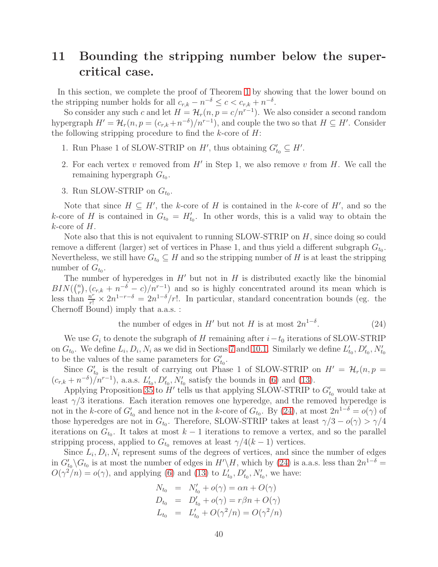# <span id="page-40-0"></span>11 Bounding the stripping number below the supercritical case.

In this section, we complete the proof of Theorem [1](#page-3-1) by showing that the lower bound on the stripping number holds for all  $c_{r,k} - n^{-\delta} \leq c < c_{r,k} + n^{-\delta}$ .

So consider any such c and let  $H = H_r(n, p = c/n^{r-1})$ . We also consider a second random hypergraph  $H' = \mathcal{H}_r(n, p = (c_{r,k} + n^{-\delta})/n^{r-1})$ , and couple the two so that  $H \subseteq H'$ . Consider the following stripping procedure to find the  $k$ -core of  $H$ :

- 1. Run Phase 1 of SLOW-STRIP on  $H'$ , thus obtaining  $G'_{t_0} \subseteq H'$ .
- 2. For each vertex  $v$  removed from  $H'$  in Step 1, we also remove  $v$  from  $H$ . We call the remaining hypergraph  $G_{t_0}$ .
- 3. Run SLOW-STRIP on  $G_{t_0}$ .

Note that since  $H \subseteq H'$ , the k-core of H is contained in the k-core of H', and so the k-core of H is contained in  $G_{t_0} = H'_{t_0}$ . In other words, this is a valid way to obtain the  $k$ -core of  $H$ .

Note also that this is not equivalent to running SLOW-STRIP on H, since doing so could remove a different (larger) set of vertices in Phase 1, and thus yield a different subgraph  $G_{t_0}$ . Nevertheless, we still have  $G_{t_0} \subseteq H$  and so the stripping number of H is at least the stripping number of  $G_{t_0}$ .

The number of hyperedges in  $H'$  but not in  $H$  is distributed exactly like the binomial  $BIN({n \choose r}$  $(r_r^{(n)}, (c_{r,k} + n^{-\delta} - c)/n^{r-1})$  and so is highly concentrated around its mean which is less than  $\frac{n^r}{r!} \times 2n^{1-r-\delta} = 2n^{1-\delta}/r!$ . In particular, standard concentration bounds (eg. the Chernoff Bound) imply that a.a.s. :

<span id="page-40-1"></span>the number of edges in 
$$
H'
$$
 but not  $H$  is at most  $2n^{1-\delta}$ . (24)

We use  $G_i$  to denote the subgraph of H remaining after  $i-t_0$  iterations of SLOW-STRIP on  $G_{t_0}$ . We define  $L_i, D_i, N_i$  as we did in Sections [7](#page-18-1) and [10.1.](#page-26-4) Similarly we define  $L'_{t_0}, D'_{t_0}, N'_{t_0}$ to be the values of the same parameters for  $G'_{t_0}$ .

Since  $G'_{t_0}$  is the result of carrying out Phase 1 of SLOW-STRIP on  $H' = \mathcal{H}_r(n, p =$  $(c_{r,k} + n^{-\delta})/n^{r-1}$ , a.a.s.  $L'_{t_0}, D'_{t_0}, N'_{t_0}$  satisfy the bounds in [\(6\)](#page-29-1) and [\(13\)](#page-33-1).

Applying Proposition [35](#page-28-0) to  $H'$  tells us that applying SLOW-STRIP to  $G'_{t_0}$  would take at least  $\gamma/3$  iterations. Each iteration removes one hyperedge, and the removed hyperedge is not in the k-core of  $G'_{t_0}$  and hence not in the k-core of  $G_{t_0}$ . By [\(24\)](#page-40-1), at most  $2n^{1-\delta} = o(\gamma)$  of those hyperedges are not in  $G_{t_0}$ . Therefore, SLOW-STRIP takes at least  $\gamma/3 - o(\gamma) > \gamma/4$ iterations on  $G_{t_0}$ . It takes at most  $k-1$  iterations to remove a vertex, and so the parallel stripping process, applied to  $G_{t_0}$  removes at least  $\gamma/4(k-1)$  vertices.

Since  $L_i, D_i, N_i$  represent sums of the degrees of vertices, and since the number of edges in  $G'_{t_0}\backslash G_{t_0}$  is at most the number of edges in  $H'\backslash H$ , which by [\(24\)](#page-40-1) is a.a.s. less than  $2n^{1-\delta}$  =  $O(\gamma^2/n) = o(\gamma)$ , and applying [\(6\)](#page-29-1) and [\(13\)](#page-33-1) to  $L'_{t_0}, D'_{t_0}, N'_{t_0}$ , we have:

$$
N_{t_0} = N'_{t_0} + o(\gamma) = \alpha n + O(\gamma)
$$
  
\n
$$
D_{t_0} = D'_{t_0} + o(\gamma) = r\beta n + O(\gamma)
$$
  
\n
$$
L_{t_0} = L'_{t_0} + O(\gamma^2/n) = O(\gamma^2/n)
$$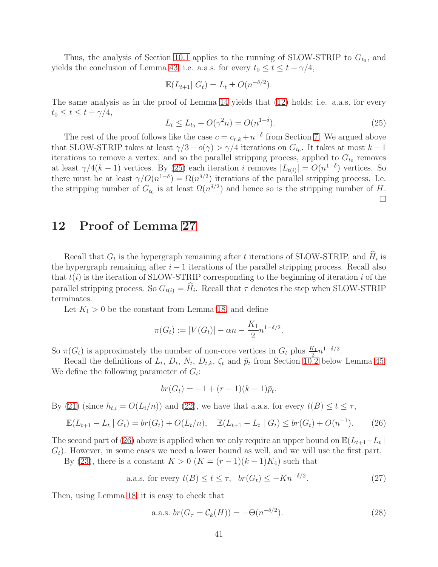Thus, the analysis of Section [10.1](#page-26-4) applies to the running of SLOW-STRIP to  $G_{t_0}$ , and yields the conclusion of Lemma [43;](#page-32-1) i.e. a.a.s. for every  $t_0 \le t \le t + \gamma/4$ ,

$$
\mathbb{E}(L_{t+1} | G_t) = L_t \pm O(n^{-\delta/2}).
$$

The same analysis as in the proof of Lemma [14](#page-7-1) yields that [\(12\)](#page-33-0) holds; i.e. a.a.s. for every  $t_0 \leq t \leq t + \gamma/4,$ 

<span id="page-41-1"></span>
$$
L_t \le L_{t_0} + O(\gamma^2 n) = O(n^{1-\delta}).
$$
\n(25)

The rest of the proof follows like the case  $c = c_{r,k} + n^{-\delta}$  from Section [7.](#page-18-1) We argued above that SLOW-STRIP takes at least  $\gamma/3 - o(\gamma) > \gamma/4$  iterations on  $G_{t_0}$ . It takes at most  $k - 1$ iterations to remove a vertex, and so the parallel stripping process, applied to  $G_{t_0}$  removes at least  $\gamma/4(k-1)$  vertices. By [\(25\)](#page-41-1) each iteration i removes  $|L_{t(i)}| = O(n^{1-\delta})$  vertices. So there must be at least  $\gamma/O(n^{1-\delta}) = \Omega(n^{\delta/2})$  iterations of the parallel stripping process. I.e. the stripping number of  $G_{t_0}$  is at least  $\Omega(n^{\delta/2})$  and hence so is the stripping number of H.  $\Box$ 

### <span id="page-41-0"></span>12 Proof of Lemma [27](#page-23-0)

Recall that  $G_t$  is the hypergraph remaining after t iterations of SLOW-STRIP, and  $H_i$  is the hypergraph remaining after  $i - 1$  iterations of the parallel stripping process. Recall also that  $t(i)$  is the iteration of SLOW-STRIP corresponding to the beginning of iteration i of the parallel stripping process. So  $G_{t(i)} = H_i$ . Recall that  $\tau$  denotes the step when SLOW-STRIP terminates.

Let  $K_1 > 0$  be the constant from Lemma [18,](#page-19-0) and define

$$
\pi(G_t) := |V(G_t)| - \alpha n - \frac{K_1}{2} n^{1-\delta/2}.
$$

So  $\pi(G_t)$  is approximately the number of non-core vertices in  $G_t$  plus  $\frac{K_1}{2}n^{1-\delta/2}$ .

Recall the definitions of  $L_t$ ,  $D_t$ ,  $N_t$ ,  $D_{t,k}$ ,  $\zeta_t$  and  $\bar{p}_t$  from Section [10.2](#page-34-1) below Lemma [45.](#page-34-0) We define the following parameter of  $G_t$ :

$$
br(G_t) = -1 + (r - 1)(k - 1)\bar{p}_t.
$$

By [\(21\)](#page-38-1) (since  $h_{t,i} = O(L_i/n)$ ) and [\(22\)](#page-38-2), we have that a.a.s. for every  $t(B) \le t \le \tau$ ,

<span id="page-41-2"></span>
$$
\mathbb{E}(L_{t+1} - L_t \mid G_t) = br(G_t) + O(L_t/n), \quad \mathbb{E}(L_{t+1} - L_t \mid G_t) \le br(G_t) + O(n^{-1}). \tag{26}
$$

The second part of [\(26\)](#page-41-2) above is applied when we only require an upper bound on  $\mathbb{E}(L_{t+1}-L_t)$  $G_t$ ). However, in some cases we need a lower bound as well, and we will use the first part.

By [\(23\)](#page-39-0), there is a constant  $K > 0$   $(K = (r-1)(k-1)K_4)$  such that

<span id="page-41-4"></span>a.a.s. for every  $t(B) \le t \le \tau$ ,  $br(G_t) \le -Kn^{-\delta/2}$ .  $(27)$ 

Then, using Lemma [18,](#page-19-0) it is easy to check that

<span id="page-41-3"></span>a.a.s. 
$$
br(G_{\tau} = C_k(H)) = -\Theta(n^{-\delta/2}).
$$
\n(28)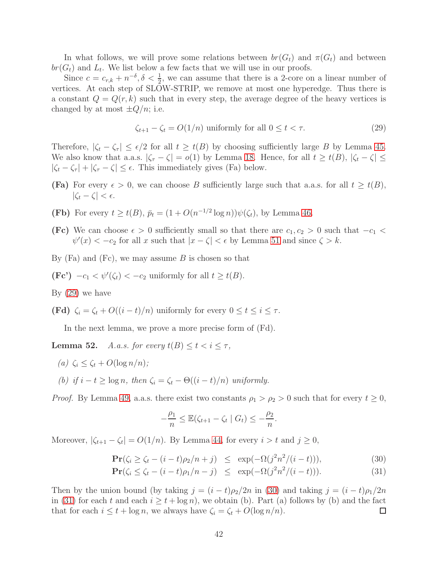In what follows, we will prove some relations between  $br(G_t)$  and  $\pi(G_t)$  and between  $br(G_t)$  and  $L_t$ . We list below a few facts that we will use in our proofs.

Since  $c = c_{r,k} + n^{-\delta}, \delta < \frac{1}{2}$ , we can assume that there is a 2-core on a linear number of vertices. At each step of SLOW-STRIP, we remove at most one hyperedge. Thus there is a constant  $Q = Q(r, k)$  such that in every step, the average degree of the heavy vertices is changed by at most  $\pm Q/n$ ; i.e.

<span id="page-42-1"></span>
$$
\zeta_{t+1} - \zeta_t = O(1/n) \text{ uniformly for all } 0 \le t < \tau. \tag{29}
$$

Therefore,  $|\zeta_t - \zeta_\tau| \leq \epsilon/2$  for all  $t \geq t(B)$  by choosing sufficiently large B by Lemma [45.](#page-34-0) We also know that a.a.s.  $|\zeta_{\tau} - \zeta| = o(1)$  by Lemma [18.](#page-19-0) Hence, for all  $t \geq t(B)$ ,  $|\zeta_t - \zeta| \leq$  $|\zeta_t - \zeta_\tau| + |\zeta_\tau - \zeta| \leq \epsilon$ . This immediately gives (Fa) below.

- **(Fa)** For every  $\epsilon > 0$ , we can choose B sufficiently large such that a.a.s. for all  $t \geq t(B)$ ,  $|\zeta_t - \zeta| < \epsilon.$
- **(Fb)** For every  $t \geq t(B)$ ,  $\bar{p}_t = (1 + O(n^{-1/2} \log n))\psi(\zeta_t)$ , by Lemma [46.](#page-35-1)
- (Fc) We can choose  $\epsilon > 0$  sufficiently small so that there are  $c_1, c_2 > 0$  such that  $-c_1 <$  $\psi'(x) < -c_2$  for all x such that  $|x - \zeta| < \epsilon$  by Lemma [51](#page-39-1) and since  $\zeta > k$ .
- By  $(Fa)$  and  $(Fc)$ , we may assume B is chosen so that
- $(\text{Fc'})$   $-c_1 < \psi'(\zeta_t) < -c_2$  uniformly for all  $t \geq t(B)$ .

By  $(29)$  we have

(Fd)  $\zeta_i = \zeta_t + O((i-t)/n)$  uniformly for every  $0 \le t \le i \le \tau$ .

In the next lemma, we prove a more precise form of (Fd).

<span id="page-42-0"></span>**Lemma 52.** A.a.s. for every  $t(B) \le t < i \le \tau$ ,

- (a)  $\zeta_i \leq \zeta_t + O(\log n/n);$
- (b) if  $i t \geq \log n$ , then  $\zeta_i = \zeta_t \Theta((i t)/n)$  uniformly.

*Proof.* By Lemma [49,](#page-37-2) a.a.s. there exist two constants  $\rho_1 > \rho_2 > 0$  such that for every  $t \geq 0$ ,

$$
-\frac{\rho_1}{n} \leq \mathbb{E}(\zeta_{t+1} - \zeta_t \mid G_t) \leq -\frac{\rho_2}{n}.
$$

Moreover,  $|\zeta_{t+1} - \zeta_t| = O(1/n)$ . By Lemma [44,](#page-32-2) for every  $i > t$  and  $j \ge 0$ ,

<span id="page-42-2"></span>
$$
\Pr(\zeta_i \ge \zeta_t - (i-t)\rho_2/n + j) \le \exp(-\Omega(j^2n^2/(i-t))), \tag{30}
$$

$$
\Pr(\zeta_i \le \zeta_t - (i-t)\rho_1/n - j) \le \exp(-\Omega(j^2n^2/(i-t))). \tag{31}
$$

Then by the union bound (by taking  $j = (i - t)\rho_2/2n$  in [\(30\)](#page-42-2) and taking  $j = (i - t)\rho_1/2n$ in [\(31\)](#page-42-2) for each t and each  $i > t + \log n$ , we obtain (b). Part (a) follows by (b) and the fact that for each  $i \leq t + \log n$ , we always have  $\zeta_i = \zeta_t + O(\log n/n)$ . □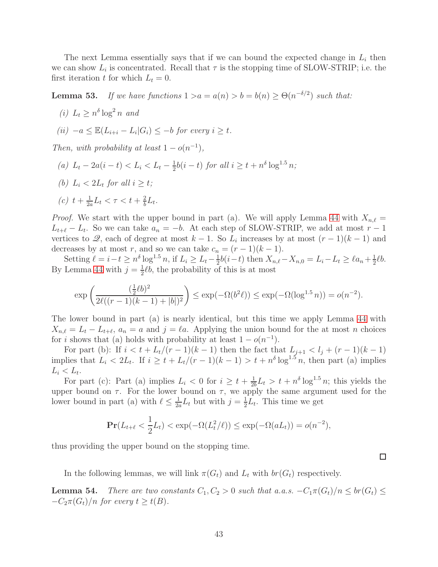The next Lemma essentially says that if we can bound the expected change in  $L_i$  then we can show  $L_i$  is concentrated. Recall that  $\tau$  is the stopping time of SLOW-STRIP; i.e. the first iteration t for which  $L_t = 0$ .

<span id="page-43-0"></span>**Lemma 53.** If we have functions  $1 > a = a(n) > b = b(n) \geq \Theta(n^{-\delta/2})$  such that:

(*i*)  $L_t \geq n^{\delta} \log^2 n$  and

$$
(ii) \ -a \leq \mathbb{E}(L_{i+i} - L_i | G_i) \leq -b \ \text{for every} \ i \geq t.
$$

Then, with probability at least  $1 - o(n^{-1})$ ,

- (a)  $L_t 2a(i-t) < L_i < L_t \frac{1}{2}$  $\frac{1}{2}b(i-t)$  for all  $i \geq t + n^{\delta} \log^{1.5} n;$
- (b)  $L_i < 2L_t$  for all  $i \geq t$ ;

(c) 
$$
t + \frac{1}{2a}L_t < \tau < t + \frac{2}{b}L_t
$$
.

*Proof.* We start with the upper bound in part (a). We will apply Lemma [44](#page-32-2) with  $X_{n,\ell} =$  $L_{t+\ell} - L_t$ . So we can take  $a_n = -b$ . At each step of SLOW-STRIP, we add at most  $r-1$ vertices to  $\mathscr{Q}$ , each of degree at most  $k-1$ . So  $L_i$  increases by at most  $(r-1)(k-1)$  and decreases by at most r, and so we can take  $c_n = (r-1)(k-1)$ .

Setting  $\ell = i - t \geq n^{\delta} \log^{1.5} n$ , if  $L_i \geq L_i - \frac{1}{2}$  $\frac{1}{2}b(i-t)$  then  $X_{n,\ell}-X_{n,0}=L_i-L_t\geq \ell a_n+\frac{1}{2}$  $rac{1}{2}\ell b.$ By Lemma [44](#page-32-2) with  $j=\frac{1}{2}$  $\frac{1}{2}$ lb, the probability of this is at most

$$
\exp\left(\frac{(\frac{1}{2}\ell b)^2}{2\ell((r-1)(k-1)+|b|)^2}\right) \le \exp(-\Omega(b^2\ell)) \le \exp(-\Omega(\log^{1.5} n)) = o(n^{-2}).
$$

The lower bound in part (a) is nearly identical, but this time we apply Lemma [44](#page-32-2) with  $X_{n,\ell} = L_t - L_{t+\ell}, a_n = a$  and  $j = \ell a$ . Applying the union bound for the at most n choices for *i* shows that (a) holds with probability at least  $1 - o(n^{-1})$ .

For part (b): If  $i < t + L_t/(r-1)(k-1)$  then the fact that  $L_{j+1} < l_j + (r-1)(k-1)$ implies that  $L_i < 2L_t$ . If  $i \geq t + L_t/(r-1)(k-1) > t + n^{\delta} \log^{1.5} n$ , then part (a) implies  $L_i < L_t$ .

For part (c): Part (a) implies  $L_i < 0$  for  $i \geq t + \frac{1}{2l}$  $\frac{1}{2b}L_t > t + n^{\delta} \log^{1.5} n$ ; this yields the upper bound on  $\tau$ . For the lower bound on  $\tau$ , we apply the same argument used for the lower bound in part (a) with  $\ell \leq \frac{1}{2\ell}$  $\frac{1}{2a}L_t$  but with  $j=\frac{1}{2}$  $\frac{1}{2}L_t$ . This time we get

$$
\Pr(L_{t+\ell} < \frac{1}{2}L_t) < \exp(-\Omega(L_t^2/\ell)) \le \exp(-\Omega(aL_t)) = o(n^{-2}),
$$

 $\Box$ 

thus providing the upper bound on the stopping time.

In the following lemmas, we will link  $\pi(G_t)$  and  $L_t$  with  $br(G_t)$  respectively.

<span id="page-43-1"></span>**Lemma 54.** There are two constants  $C_1, C_2 > 0$  such that a.a.s.  $-C_1\pi(G_t)/n \le br(G_t) \le$  $-C_2\pi(G_t)/n$  for every  $t \geq t(B)$ .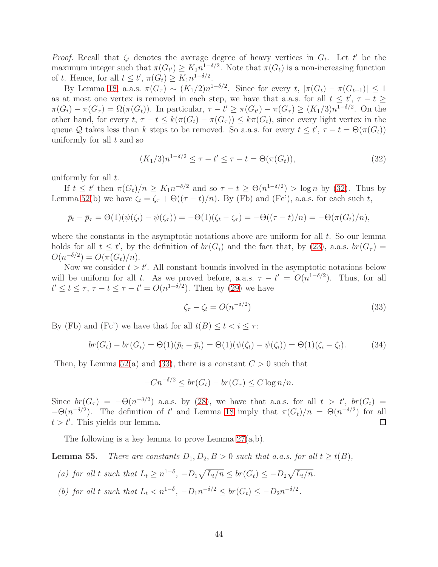*Proof.* Recall that  $\zeta_t$  denotes the average degree of heavy vertices in  $G_t$ . Let t' be the maximum integer such that  $\pi(G_{t'}) \geq K_1 n^{1-\delta/2}$ . Note that  $\pi(G_t)$  is a non-increasing function of t. Hence, for all  $t \leq t'$ ,  $\pi(G_t) \geq K_1 n^{1-\delta/2}$ .

By Lemma [18,](#page-19-0) a.a.s.  $\pi(G_{\tau}) \sim (K_1/2)n^{1-\delta/2}$ . Since for every  $t, |\pi(G_t) - \pi(G_{t+1})| \leq 1$ as at most one vertex is removed in each step, we have that a.a.s. for all  $t \leq t'$ ,  $\tau - t \geq$  $\pi(G_t) - \pi(G_{\tau}) = \Omega(\pi(G_t))$ . In particular,  $\tau - t' \geq \pi(G_{t'}) - \pi(G_{\tau}) \geq (K_1/3)n^{1-\delta/2}$ . On the other hand, for every  $t, \tau - t \leq k(\pi(G_t) - \pi(G_{\tau})) \leq k\pi(G_t)$ , since every light vertex in the queue Q takes less than k steps to be removed. So a.a.s. for every  $t \leq t', \tau - t = \Theta(\pi(G_t))$ uniformly for all  $t$  and so

<span id="page-44-0"></span>
$$
(K_1/3)n^{1-\delta/2} \le \tau - t' \le \tau - t = \Theta(\pi(G_t)),
$$
\n(32)

uniformly for all  $t$ .

If  $t \leq t'$  then  $\pi(G_t)/n \geq K_1 n^{-\delta/2}$  and so  $\tau - t \geq \Theta(n^{1-\delta/2}) > \log n$  by [\(32\)](#page-44-0). Thus by Lemma [52\(](#page-42-0)b) we have  $\zeta_t = \zeta_\tau + \Theta((\tau - t)/n)$ . By (Fb) and (Fc'), a.a.s. for each such t,

$$
\bar{p}_t - \bar{p}_\tau = \Theta(1)(\psi(\zeta_t) - \psi(\zeta_\tau)) = -\Theta(1)(\zeta_t - \zeta_\tau) = -\Theta((\tau - t)/n) = -\Theta(\pi(G_t)/n),
$$

where the constants in the asymptotic notations above are uniform for all  $t$ . So our lemma holds for all  $t \leq t'$ , by the definition of  $br(G_i)$  and the fact that, by [\(23\)](#page-39-0), a.a.s.  $br(G_{\tau}) =$  $O(n^{-\delta/2}) = O(\pi(G_t)/n).$ 

Now we consider  $t > t'$ . All constant bounds involved in the asymptotic notations below will be uniform for all t. As we proved before, a.a.s.  $\tau - t' = O(n^{1-\delta/2})$ . Thus, for all  $t' \leq t \leq \tau$ ,  $\tau - t \leq \tau - t' = O(n^{1-\delta/2})$ . Then by [\(29\)](#page-42-1) we have

<span id="page-44-1"></span>
$$
\zeta_{\tau} - \zeta_t = O(n^{-\delta/2})\tag{33}
$$

By (Fb) and (Fc') we have that for all  $t(B) \le t < i \le \tau$ :

<span id="page-44-2"></span>
$$
br(Gt) - br(Gi) = \Theta(1)(\bar{p}_t - \bar{p}_i) = \Theta(1)(\psi(\zeta_t) - \psi(\zeta_i)) = \Theta(1)(\zeta_i - \zeta_t).
$$
 (34)

Then, by Lemma [52\(](#page-42-0)a) and [\(33\)](#page-44-1), there is a constant  $C > 0$  such that

$$
-Cn^{-\delta/2} \le br(G_t) - br(G_\tau) \le C \log n/n.
$$

Since  $br(G_{\tau}) = -\Theta(n^{-\delta/2})$  a.a.s. by [\(28\)](#page-41-3), we have that a.a.s. for all  $t > t'$ ,  $br(G_t) =$  $-\Theta(n^{-\delta/2})$ . The definition of t' and Lemma [18](#page-19-0) imply that  $\pi(G_t)/n = \Theta(n^{-\delta/2})$  for all  $t > t'$ . This yields our lemma.  $\Box$ 

The following is a key lemma to prove Lemma [27\(](#page-23-0)a,b).

<span id="page-44-3"></span>**Lemma 55.** There are constants  $D_1, D_2, B > 0$  such that a.a.s. for all  $t \geq t(B)$ ,

(a) for all t such that  $L_t \geq n^{1-\delta}$ ,  $-D_1\sqrt{L_t/n} \leq br(G_t) \leq -D_2\sqrt{L_t/n}$ .

(b) for all t such that  $L_t < n^{1-\delta}$ ,  $-D_1 n^{-\delta/2} \le br(G_t) \le -D_2 n^{-\delta/2}$ .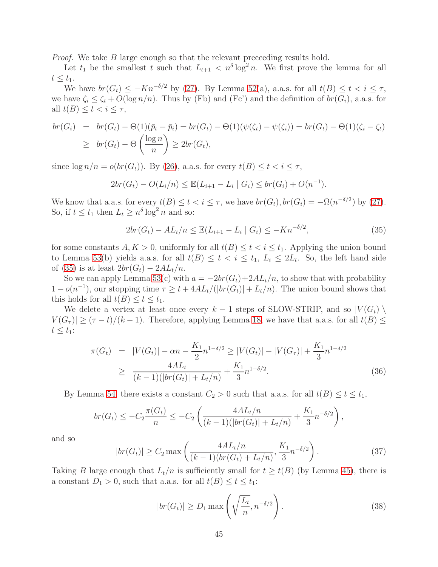Proof. We take B large enough so that the relevant preceeding results hold.

Let  $t_1$  be the smallest t such that  $L_{t+1} < n^{\delta} \log^2 n$ . We first prove the lemma for all  $t \leq t_1$ .

We have  $br(G_t) \leq -Kn^{-\delta/2}$  by [\(27\)](#page-41-4). By Lemma [52\(](#page-42-0)a), a.a.s. for all  $t(B) \leq t < i \leq \tau$ , we have  $\zeta_i \leq \zeta_t + O(\log n/n)$ . Thus by (Fb) and (Fc') and the definition of  $br(G_i)$ , a.a.s. for all  $t(B) \leq t < i \leq \tau$ ,

$$
br(G_i) = br(G_t) - \Theta(1)(\bar{p}_t - \bar{p}_i) = br(G_t) - \Theta(1)(\psi(\zeta_t) - \psi(\zeta_i)) = br(G_t) - \Theta(1)(\zeta_i - \zeta_t)
$$
  
\n
$$
\geq br(G_t) - \Theta\left(\frac{\log n}{n}\right) \geq 2br(G_t),
$$

since  $\log n/n = o(\text{br}(G_t))$ . By [\(26\)](#page-41-2), a.a.s. for every  $t(B) \leq t < i \leq \tau$ ,

$$
2br(G_t) - O(L_i/n) \leq \mathbb{E}(L_{i+1} - L_i \mid G_i) \leq br(G_i) + O(n^{-1}).
$$

We know that a.a.s. for every  $t(B) \le t < i \le \tau$ , we have  $br(G_t)$ ,  $br(G_i) = -\Omega(n^{-\delta/2})$  by [\(27\)](#page-41-4). So, if  $t \le t_1$  then  $L_t \ge n^{\delta} \log^2 n$  and so:

<span id="page-45-0"></span>
$$
2br(G_t) - AL_i/n \le \mathbb{E}(L_{i+1} - L_i \mid G_i) \le -Kn^{-\delta/2},\tag{35}
$$

for some constants  $A, K > 0$ , uniformly for all  $t(B) \le t < i \le t_1$ . Applying the union bound to Lemma [53\(](#page-43-0)b) yields a.a.s. for all  $t(B) \leq t < i \leq t_1, L_i \leq 2L_t$ . So, the left hand side of [\(35\)](#page-45-0) is at least  $2br(G_t) - 2AL_t/n$ .

So we can apply Lemma [53\(](#page-43-0)c) with  $a = -2br(G_t)+2AL_t/n$ , to show that with probability  $1 - o(n^{-1})$ , our stopping time  $\tau \geq t + 4AL_t/(|br(G_t)| + L_t/n)$ . The union bound shows that this holds for all  $t(B) \leq t \leq t_1$ .

We delete a vertex at least once every  $k-1$  steps of SLOW-STRIP, and so  $|V(G_t)\rangle$  $|V(G_{\tau})| \geq (\tau - t)/(k - 1)$ . Therefore, applying Lemma [18,](#page-19-0) we have that a.a.s. for all  $t(B) \leq$  $t \leq t_1$ :

$$
\pi(G_t) = |V(G_t)| - \alpha n - \frac{K_1}{2} n^{1-\delta/2} \ge |V(G_t)| - |V(G_\tau)| + \frac{K_1}{3} n^{1-\delta/2}
$$
  
\n
$$
\ge \frac{4AL_t}{(k-1)(|br(G_t)| + L_t/n)} + \frac{K_1}{3} n^{1-\delta/2}.
$$
\n(36)

By Lemma [54,](#page-43-1) there exists a constant  $C_2 > 0$  such that a.a.s. for all  $t(B) \le t \le t_1$ ,

$$
br(G_t) \leq -C_2 \frac{\pi(G_t)}{n} \leq -C_2 \left( \frac{4AL_t/n}{(k-1)(|br(G_t)| + L_t/n)} + \frac{K_1}{3} n^{-\delta/2} \right),
$$

and so

$$
|br(G_t)| \ge C_2 \max\left(\frac{4AL_t/n}{(k-1)(br(G_t) + L_t/n)}, \frac{K_1}{3}n^{-\delta/2}\right). \tag{37}
$$

Taking B large enough that  $L_t/n$  is sufficiently small for  $t \geq t(B)$  (by Lemma [45\)](#page-34-0), there is a constant  $D_1 > 0$ , such that a.a.s. for all  $t(B) \le t \le t_1$ :

<span id="page-45-1"></span>
$$
|br(G_t)| \ge D_1 \max\left(\sqrt{\frac{L_t}{n}}, n^{-\delta/2}\right). \tag{38}
$$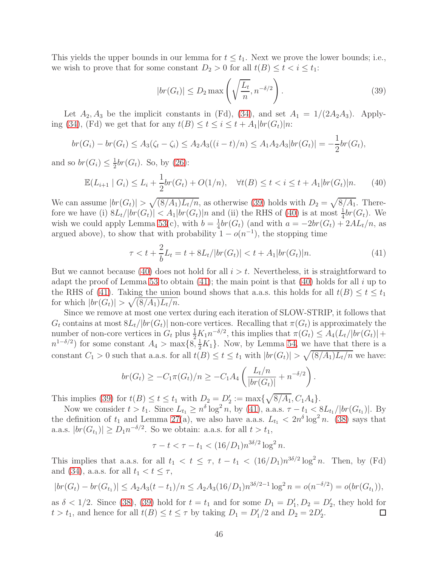This yields the upper bounds in our lemma for  $t \leq t_1$ . Next we prove the lower bounds; i.e., we wish to prove that for some constant  $D_2 > 0$  for all  $t(B) \le t < i \le t_1$ :

<span id="page-46-0"></span>
$$
|br(G_t)| \le D_2 \max\left(\sqrt{\frac{L_t}{n}}, n^{-\delta/2}\right). \tag{39}
$$

Let  $A_2, A_3$  be the implicit constants in (Fd), [\(34\)](#page-44-2), and set  $A_1 = 1/(2A_2A_3)$ . Apply-ing [\(34\)](#page-44-2), (Fd) we get that for any  $t(B) \le t \le i \le t + A_1 |br(G_t)|n$ :

$$
br(G_i) - br(G_t) \le A_3(\zeta_t - \zeta_i) \le A_2 A_3((i-t)/n) \le A_1 A_2 A_3 |br(G_t)| = -\frac{1}{2} br(G_t),
$$

and so  $br(G_i) \leq \frac{1}{2}$  $\frac{1}{2}$ br( $G_t$ ). So, by [\(26\)](#page-41-2):

<span id="page-46-1"></span>
$$
\mathbb{E}(L_{i+1} \mid G_i) \le L_i + \frac{1}{2} br(G_t) + O(1/n), \quad \forall t(B) \le t < i \le t + A_1 |br(G_t)|n. \tag{40}
$$

We can assume  $|br(G_t)| > \sqrt{(8/A_1)L_t/n}$ , as otherwise [\(39\)](#page-46-0) holds with  $D_2 = \sqrt{8/A_1}$ . Therefore we have (i)  $8L_t/|br(G_t)| < A_1|br(G_t)|n$  and (ii) the RHS of [\(40\)](#page-46-1) is at most  $\frac{1}{4}br(G_t)$ . We wish we could apply Lemma [53\(](#page-43-0)c), with  $b = \frac{1}{4}$  $\frac{1}{4}$ br(G<sub>t</sub>) (and with  $a = -2br(G_t) + 2AL_t/n$ , as argued above), to show that with probability  $1 - o(n^{-1})$ , the stopping time

<span id="page-46-2"></span>
$$
\tau < t + \frac{2}{b}L_t = t + 8L_t / |br(G_t)| < t + A_1 |br(G_t)|n. \tag{41}
$$

But we cannot because [\(40\)](#page-46-1) does not hold for all  $i > t$ . Nevertheless, it is straightforward to adapt the proof of Lemma [53](#page-43-0) to obtain  $(41)$ ; the main point is that  $(40)$  holds for all i up to the RHS of [\(41\)](#page-46-2). Taking the union bound shows that a.a.s. this holds for all  $t(B) \le t \le t_1$ for which  $|br(G_t)| > \sqrt{(8/A_1)L_t/n}$ .

Since we remove at most one vertex during each iteration of SLOW-STRIP, it follows that  $G_t$  contains at most  $8L_t/|br(G_t)|$  non-core vertices. Recalling that  $\pi(G_t)$  is approximately the number of non-core vertices in  $G_t$  plus  $\frac{1}{2}K_1n^{-\delta/2}$ , this implies that  $\pi(G_t) \leq A_4(L_t/|br(G_t)| +$  $n^{1-\delta/2}$ ) for some constant  $A_4 > \max\{8, \frac{1}{2}K_1\}$ . Now, by Lemma [54,](#page-43-1) we have that there is a constant  $C_1 > 0$  such that a.a.s. for all  $t(B) \le t \le t_1$  with  $|br(G_t)| > \sqrt{(8/A_1)L_t/n}$  we have:

$$
br(G_t) \geq -C_1 \pi(G_t)/n \geq -C_1 A_4 \left( \frac{L_t/n}{|br(G_t)|} + n^{-\delta/2} \right).
$$

This implies [\(39\)](#page-46-0) for  $t(B) \le t \le t_1$  with  $D_2 = D'_2 := \max{\sqrt{8/A_1}, C_1A_4}.$ 

Now we consider  $t > t_1$ . Since  $L_{t_1} \geq n^{\delta} \log^2 n$ , by [\(41\)](#page-46-2), a.a.s.  $\tau - t_1 < 8L_{t_1}/|br(G_{t_1})|$ . By the definition of  $t_1$  and Lemma [27\(](#page-23-0)a), we also have a.a.s.  $L_{t_1} < 2n^{\delta} \log^2 n$ . [\(38\)](#page-45-1) says that a.a.s.  $|br(G_{t_1})| \ge D_1 n^{-\delta/2}$ . So we obtain: a.a.s. for all  $t > t_1$ ,

$$
\tau - t < \tau - t_1 < (16/D_1) n^{3\delta/2} \log^2 n.
$$

This implies that a.a.s. for all  $t_1 < t \leq \tau$ ,  $t - t_1 < (16/D_1)n^{3\delta/2} \log^2 n$ . Then, by (Fd) and [\(34\)](#page-44-2), a.a.s. for all  $t_1 < t \leq \tau$ ,

$$
|br(G_t) - br(G_{t_1})| \le A_2 A_3 (t - t_1)/n \le A_2 A_3 (16/D_1) n^{3\delta/2 - 1} \log^2 n = o(n^{-\delta/2}) = o(br(G_{t_1})),
$$

as  $\delta < 1/2$ . Since [\(38\)](#page-45-1), [\(39\)](#page-46-0) hold for  $t = t_1$  and for some  $D_1 = D'_1, D_2 = D'_2$ , they hold for  $t > t_1$ , and hence for all  $t(B) \le t \le \tau$  by taking  $D_1 = D'_1/2$  and  $D_2 = 2D'_2$ . □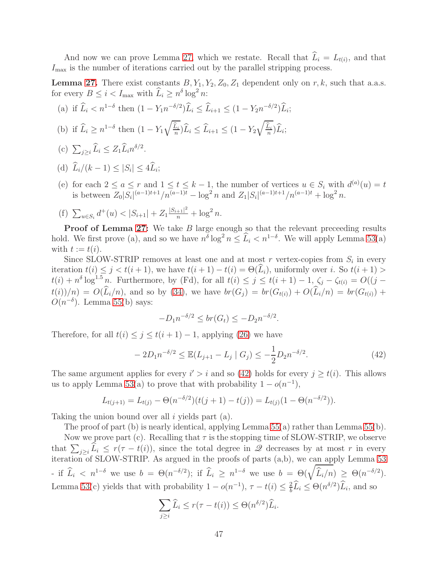And now we can prove Lemma [27,](#page-23-0) which we restate. Recall that  $L_i = L_{t(i)}$ , and that  $I_{\text{max}}$  is the number of iterations carried out by the parallel stripping process.

**Lemma [27.](#page-23-0)** There exist constants  $B, Y_1, Y_2, Z_0, Z_1$  dependent only on r, k, such that a.a.s. for every  $B \leq i < I_{\text{max}}$  with  $\widehat{L}_i \geq n^{\delta} \log^2 n$ :

(a) if 
$$
\hat{L}_i < n^{1-\delta}
$$
 then  $(1 - Y_1 n^{-\delta/2}) \hat{L}_i \leq \hat{L}_{i+1} \leq (1 - Y_2 n^{-\delta/2}) \hat{L}_i;$ 

- (b) if  $\widehat{L}_i \geq n^{1-\delta}$  then  $(1 Y_1)$  $\sqrt{\hat{L}_i}$  $\frac{L_i}{n}$ ) $L_i \leq L_{i+1} \leq (1 - Y_2)$  $\sqrt{\hat{L}_i}$  $\frac{L_i}{n}$ ) $L_i$ ;
- (c)  $\sum_{j\geq i} \widehat{L}_i \leq Z_1 \widehat{L}_i n^{\delta/2}$ .
- (d)  $L_i/(k-1) \leq |S_i| \leq 4L_i;$
- (e) for each  $2 \le a \le r$  and  $1 \le t \le k-1$ , the number of vertices  $u \in S_i$  with  $d^{(a)}(u) = t$ is between  $Z_0|S_i|^{(a-1)t+1}/n^{(a-1)t} - \log^2 n$  and  $Z_1|S_i|^{(a-1)t+1}/n^{(a-1)t} + \log^2 n$ .
- (f)  $\sum_{u \in S_i} d^+(u) < |S_{i+1}| + Z_1 \frac{|S_{i+1}|^2}{n} + \log^2 n$ .

**Proof of Lemma [27:](#page-23-0)** We take B large enough so that the relevant preceeding results hold. We first prove (a), and so we have  $n^{\delta} \log^2 n \leq \hat{L}_i < n^{1-\delta}$ . We will apply Lemma [53\(](#page-43-0)a) with  $t := t(i)$ .

Since SLOW-STRIP removes at least one and at most r vertex-copies from  $S_i$  in every iteration  $t(i) \leq j < t(i+1)$ , we have  $t(i+1) - t(i) = \Theta(\widehat{L}_i)$ , uniformly over i. So  $t(i+1) >$  $t(i) + n^{\delta} \log^{1.5} n$ . Furthermore, by (Fd), for all  $t(i) \leq j \leq t(i+1) - 1$ ,  $\zeta_j - \zeta_{t(i)} = O((j$  $t(i)/n = O(\widehat{L}_i/n)$ , and so by [\(34\)](#page-44-2), we have  $br(G_i) = br(G_{t(i)}) + O(\widehat{L}_i/n) = br(G_{t(i)}) +$  $O(n^{-\delta})$ . Lemma [55\(](#page-44-3)b) says:

$$
-D_1 n^{-\delta/2} \le br(G_t) \le -D_2 n^{-\delta/2}.
$$

Therefore, for all  $t(i) \leq j \leq t(i + 1) - 1$ , applying [\(26\)](#page-41-2) we have

<span id="page-47-0"></span>
$$
-2D_1 n^{-\delta/2} \le \mathbb{E}(L_{j+1} - L_j \mid G_j) \le -\frac{1}{2}D_2 n^{-\delta/2}.
$$
\n(42)

The same argument applies for every  $i' > i$  and so [\(42\)](#page-47-0) holds for every  $j \geq t(i)$ . This allows us to apply Lemma [53\(](#page-43-0)a) to prove that with probability  $1 - o(n^{-1})$ ,

$$
L_{t(j+1)} = L_{t(j)} - \Theta(n^{-\delta/2})(t(j+1) - t(j)) = L_{t(j)}(1 - \Theta(n^{-\delta/2})).
$$

Taking the union bound over all  $i$  yields part (a).

The proof of part (b) is nearly identical, applying Lemma [55\(](#page-44-3)a) rather than Lemma [55\(](#page-44-3)b).

Now we prove part (c). Recalling that  $\tau$  is the stopping time of SLOW-STRIP, we observe that  $\sum_{j\geq i} \hat{L}_i \leq r(\tau - t(i))$ , since the total degree in  $\mathscr Q$  decreases by at most r in every iteration of SLOW-STRIP. As argued in the proofs of parts (a,b), we can apply Lemma [53](#page-43-0) - if  $\widehat{L}_i < n^{1-\delta}$  we use  $b = \Theta(n^{-\delta/2})$ ; if  $\widehat{L}_i \ge n^{1-\delta}$  we use  $b = \Theta(\sqrt{\widehat{L}_i/n}) \ge \Theta(n^{-\delta/2})$ . Lemma [53\(](#page-43-0)c) yields that with probability  $1 - o(n^{-1})$ ,  $\tau - t(i) \leq \frac{2}{b}$  $\frac{2}{b}\tilde{L}_i \leq \Theta(n^{\delta/2})\tilde{L}_i$ , and so

$$
\sum_{j\geq i} \widehat{L}_i \leq r(\tau - t(i)) \leq \Theta(n^{\delta/2}) \widehat{L}_i.
$$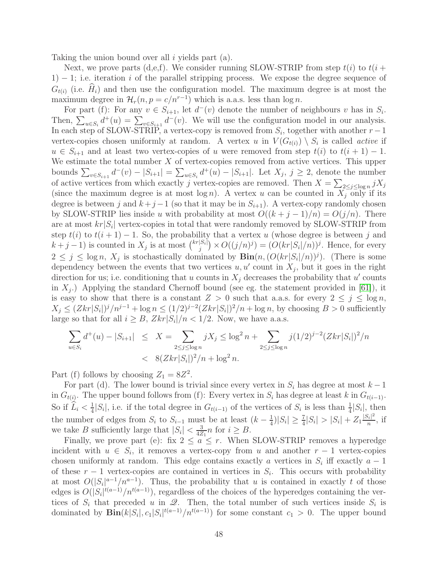Taking the union bound over all  $i$  yields part (a).

Next, we prove parts (d,e,f). We consider running SLOW-STRIP from step  $t(i)$  to  $t(i +$  $1) - 1$ ; i.e. iteration i of the parallel stripping process. We expose the degree sequence of  $G_{t(i)}$  (i.e.  $\hat{H}_i$ ) and then use the configuration model. The maximum degree is at most the maximum degree in  $\mathcal{H}_r(n, p = c/n^{r-1})$  which is a.a.s. less than  $\log n$ .

For part (f): For any  $v \in S_{i+1}$ , let  $d^-(v)$  denote the number of neighbours v has in  $S_i$ . Then,  $\sum_{u \in S_i} d^+(u) = \sum_{v \in S_{i+1}} d^-(v)$ . We will use the configuration model in our analysis. In each step of SLOW-STRIP, a vertex-copy is removed from  $S_i$ , together with another  $r-1$ vertex-copies chosen uniformly at random. A vertex u in  $V(G_{t(i)}) \setminus S_i$  is called *active* if  $u \in S_{i+1}$  and at least two vertex-copies of u were removed from step  $t(i)$  to  $t(i+1) - 1$ . We estimate the total number  $X$  of vertex-copies removed from active vertices. This upper bounds  $\sum_{v \in S_{i+1}} d^-(v) - |S_{i+1}| = \sum_{u \in S_i} d^+(u) - |S_{i+1}|$ . Let  $X_j, j \ge 2$ , denote the number of active vertices from which exactly j vertex-copies are removed. Then  $X = \sum_{2 \leq j \leq \log n} jX_j$ (since the maximum degree is at most  $\log n$ ). A vertex u can be counted in  $X_j$  only if its degree is between j and  $k+j-1$  (so that it may be in  $S_{i+1}$ ). A vertex-copy randomly chosen by SLOW-STRIP lies inside u with probability at most  $O((k + j - 1)/n) = O(j/n)$ . There are at most  $kr|S_i|$  vertex-copies in total that were randomly removed by SLOW-STRIP from step  $t(i)$  to  $t(i + 1) - 1$ . So, the probability that a vertex u (whose degree is between j and  $k+j-1$ ) is counted in  $X_j$  is at most  $\binom{kr|S_i|}{r}$  $j_j^{|S_i|}$   $\times O((j/n)^j) = (O(kr|S_i|/n))^j$ . Hence, for every  $2 \leq j \leq \log n$ ,  $X_j$  is stochastically dominated by  $\text{Bin}(n, (O(kr|S_i|/n))^j)$ . (There is some dependency between the events that two vertices  $u, u'$  count in  $X_j$ , but it goes in the right direction for us; i.e. conditioning that u counts in  $X_j$  decreases the probability that u' counts in  $X_j$ .) Applying the standard Chernoff bound (see eg. the statement provided in [\[61\]](#page-16-12)), it is easy to show that there is a constant  $Z > 0$  such that a.a.s. for every  $2 \leq j \leq \log n$ ,  $X_j \leq (Zkr|S_i|)^j/n^{j-1} + \log n \leq (1/2)^{j-2}(Zkr|S_i|)^2/n + \log n$ , by choosing  $B > 0$  sufficiently large so that for all  $i \geq B$ ,  $Zkr|S_i|/n < 1/2$ . Now, we have a.a.s.

$$
\sum_{u \in S_i} d^+(u) - |S_{i+1}| \leq X = \sum_{2 \leq j \leq \log n} jX_j \leq \log^2 n + \sum_{2 \leq j \leq \log n} j(1/2)^{j-2} (Zkr|S_i|)^2/n
$$
  
<  $8(Zkr|S_i|)^2/n + \log^2 n$ .

Part (f) follows by choosing  $Z_1 = 8Z^2$ .

For part (d). The lower bound is trivial since every vertex in  $S_i$  has degree at most  $k-1$ in  $G_{t(i)}$ . The upper bound follows from (f): Every vertex in  $S_i$  has degree at least k in  $G_{t(i-1)}$ . So if  $\widehat{L}_i < \frac{1}{4}$  $\frac{1}{4}|S_i|$ , i.e. if the total degree in  $G_{t(i-1)}$  of the vertices of  $S_i$  is less than  $\frac{1}{4}|S_i|$ , then the number of edges from  $S_i$  to  $S_{i-1}$  must be at least  $(k-\frac{1}{4})$  $\frac{1}{4}$ )| $S_i$ |  $\geq \frac{7}{4}$ | $S_i$ |  $>$   $|S_i|$  +  $Z_1 \frac{|S_i|^2}{n}$  $\frac{b_i|^{2}}{n}$ , if we take B sufficiently large that  $|S_i| < \frac{3}{4Z}$  $\frac{3}{4Z_1}n$  for  $i \geq B$ .

Finally, we prove part (e): fix  $2 \le a \le r$ . When SLOW-STRIP removes a hyperedge incident with  $u \in S_i$ , it removes a vertex-copy from u and another  $r-1$  vertex-copies chosen uniformly at random. This edge contains exactly a vertices in  $S_i$  iff exactly  $a-1$ of these  $r-1$  vertex-copies are contained in vertices in  $S_i$ . This occurs with probability at most  $O(|S_i|^{a-1}/n^{a-1})$ . Thus, the probability that u is contained in exactly t of those edges is  $O(|S_i|^{t(a-1)}/n^{t(a-1)})$ , regardless of the choices of the hyperedges containing the vertices of  $S_i$  that preceded u in  $\mathscr{Q}$ . Then, the total number of such vertices inside  $S_i$  is dominated by  $\text{Bin}(k|S_i|, c_1|S_i|^{t(a-1)}/n^{t(a-1)})$  for some constant  $c_1 > 0$ . The upper bound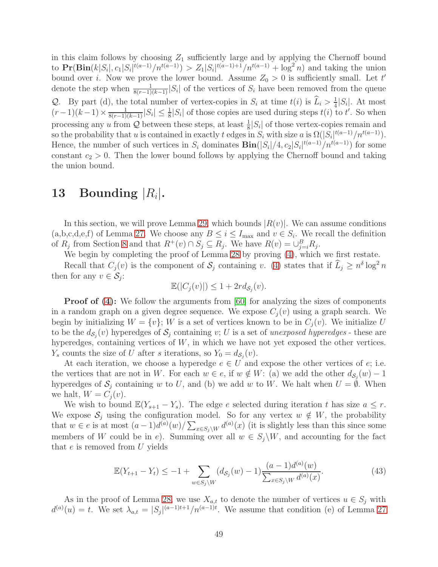in this claim follows by choosing  $Z_1$  sufficiently large and by applying the Chernoff bound to  $\Pr(\text{Bin}(k|S_i|, c_1|S_i|^{t(a-1)}/n^{t(a-1)}) > Z_1|S_i|^{t(a-1)+1}/n^{t(a-1)} + \log^2 n)$  and taking the union bound over *i*. Now we prove the lower bound. Assume  $Z_0 > 0$  is sufficiently small. Let t' denote the step when  $\frac{1}{8(r-1)(k-1)} |S_i|$  of the vertices of  $S_i$  have been removed from the queue Q. By part (d), the total number of vertex-copies in  $S_i$  at time  $t(i)$  is  $\widetilde{L}_i > \frac{1}{4}$  $\frac{1}{4}|S_i|$ . At most  $(r-1)(k-1) \times \frac{1}{8(r-1)(k-1)} |S_i| \leq \frac{1}{8} |S_i|$  of those copies are used during steps  $t(i)$  to  $t'$ . So when processing any u from Q between these steps, at least  $\frac{1}{8}|S_i|$  of those vertex-copies remain and so the probability that u is contained in exactly t edges in  $S_i$  with size a is  $\Omega(|S_i|^{t(a-1)}/n^{t(a-1)})$ . Hence, the number of such vertices in  $S_i$  dominates  $\text{Bin}(|S_i|/4, c_2|S_i|^{t(a-1)}/n^{t(a-1)})$  for some constant  $c_2 > 0$ . Then the lower bound follows by applying the Chernoff bound and taking the union bound.

# <span id="page-49-0"></span>13 Bounding  $|R_i|$ .

In this section, we will prove Lemma [29,](#page-25-0) which bounds  $|R(v)|$ . We can assume conditions  $(a,b,c,d,e,f)$  of Lemma [27.](#page-23-0) We choose any  $B \leq i \leq I_{\text{max}}$  and  $v \in S_i$ . We recall the definition of  $R_j$  from Section [8](#page-21-1) and that  $R^+(v) \cap S_j \subseteq R_j$ . We have  $R(v) = \bigcup_{j=i}^B R_j$ .

We begin by completing the proof of Lemma [28](#page-23-1) by proving [\(4\)](#page-24-0), which we first restate.

Recall that  $C_j(v)$  is the component of  $S_j$  containing v. [\(4\)](#page-24-0) states that if  $\widehat{L}_j \geq n^{\delta} \log^2 n$ then for any  $v \in \mathcal{S}_j$ :

$$
\mathbb{E}(|C_j(v)|) \le 1 + 2r d_{\mathcal{S}_j}(v).
$$

**Proof of [\(4\)](#page-24-0):** We follow the arguments from [\[60\]](#page-16-13) for analyzing the sizes of components in a random graph on a given degree sequence. We expose  $C_i(v)$  using a graph search. We begin by initializing  $W = \{v\}$ ; W is a set of vertices known to be in  $C_i(v)$ . We initialize U to be the  $d_{\mathcal{S}_j}(v)$  hyperedges of  $\mathcal{S}_j$  containing v; U is a set of unexposed hyperedges - these are hyperedges, containing vertices of  $W$ , in which we have not yet exposed the other vertices.  $Y_s$  counts the size of U after s iterations, so  $Y_0 = d_{\mathcal{S}_j}(v)$ .

At each iteration, we choose a hyperedge  $e \in U$  and expose the other vertices of  $e$ ; i.e. the vertices that are not in W. For each  $w \in e$ , if  $w \notin W$ : (a) we add the other  $d_{\mathcal{S}_j}(w) - 1$ hyperedges of  $S_j$  containing w to U, and (b) we add w to W. We halt when  $U = \emptyset$ . When we halt,  $W = C_j(v)$ .

We wish to bound  $\mathbb{E}(Y_{s+1} - Y_s)$ . The edge e selected during iteration t has size  $a \leq r$ . We expose  $\mathcal{S}_j$  using the configuration model. So for any vertex  $w \notin W$ , the probability that  $w \in e$  is at most  $(a-1)d^{(a)}(w)/\sum_{x \in S_j\backslash W} d^{(a)}(x)$  (it is slightly less than this since some members of W could be in e). Summing over all  $w \in S_i \backslash W$ , and accounting for the fact that  $e$  is removed from  $U$  yields

<span id="page-49-1"></span>
$$
\mathbb{E}(Y_{t+1} - Y_t) \le -1 + \sum_{w \in S_j \backslash W} (d_{S_j}(w) - 1) \frac{(a-1)d^{(a)}(w)}{\sum_{x \in S_j \backslash W} d^{(a)}(x)}.
$$
(43)

As in the proof of Lemma [28,](#page-23-1) we use  $X_{a,t}$  to denote the number of vertices  $u \in S_j$  with  $d^{(a)}(u) = t$ . We set  $\lambda_{a,t} = |S_j|^{(a-1)t+1}/n^{(a-1)t}$ . We assume that condition (e) of Lemma [27](#page-23-0)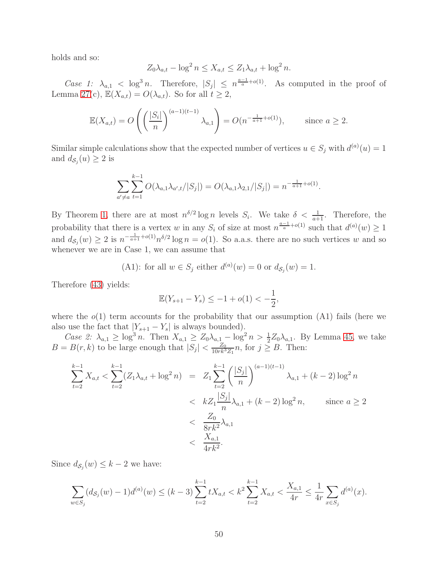holds and so:

$$
Z_0 \lambda_{a,t} - \log^2 n \le X_{a,t} \le Z_1 \lambda_{a,t} + \log^2 n.
$$

Case 1:  $\lambda_{a,1} < \log^3 n$ . Therefore,  $|S_j| \leq n^{\frac{a-1}{a}+o(1)}$ . As computed in the proof of Lemma [27\(](#page-23-0)c),  $\mathbb{E}(X_{a,t}) = O(\lambda_{a,t})$ . So for all  $t \geq 2$ ,

$$
\mathbb{E}(X_{a,t}) = O\left(\left(\frac{|S_i|}{n}\right)^{(a-1)(t-1)} \lambda_{a,1}\right) = O(n^{-\frac{1}{a+1} + o(1)}), \quad \text{since } a \ge 2.
$$

Similar simple calculations show that the expected number of vertices  $u \in S_j$  with  $d^{(a)}(u) = 1$ and  $d_{\mathcal{S}_j}(u) \geq 2$  is

$$
\sum_{a' \neq a} \sum_{t=1}^{k-1} O(\lambda_{a,1} \lambda_{a',t}/|S_j|) = O(\lambda_{a,1} \lambda_{2,1}/|S_j|) = n^{-\frac{1}{a+1} + o(1)}.
$$

By Theorem [1,](#page-3-1) there are at most  $n^{\delta/2} \log n$  levels  $S_i$ . We take  $\delta < \frac{1}{a+1}$ . Therefore, the probability that there is a vertex w in any  $S_i$  of size at most  $n^{\frac{a-1}{a}+o(1)}$  such that  $d^{(a)}(w) \geq 1$ and  $d_{\mathcal{S}_j}(w) \geq 2$  is  $n^{-\frac{1}{a+1} + o(1)} n^{\delta/2} \log n = o(1)$ . So a.a.s. there are no such vertices w and so whenever we are in Case 1, we can assume that

(A1): for all 
$$
w \in S_j
$$
 either  $d^{(a)}(w) = 0$  or  $d_{S_j}(w) = 1$ .

Therefore [\(43\)](#page-49-1) yields:

$$
\mathbb{E}(Y_{s+1} - Y_s) \le -1 + o(1) < -\frac{1}{2},
$$

where the  $o(1)$  term accounts for the probability that our assumption (A1) fails (here we also use the fact that  $|Y_{s+1} - Y_s|$  is always bounded).

Case 2:  $\lambda_{a,1} \geq \log^3 n$ . Then  $X_{a,1} \geq Z_0 \lambda_{a,1} - \log^2 n > \frac{1}{2} Z_0 \lambda_{a,1}$ . By Lemma [45,](#page-34-0) we take  $B = B(r, k)$  to be large enough that  $|S_j| < \frac{Z_0}{10rk^3}$  $\frac{Z_0}{10rk^3Z_1}n$ , for  $j \geq B$ . Then:

$$
\sum_{t=2}^{k-1} X_{a,t} < \sum_{t=2}^{k-1} (Z_1 \lambda_{a,t} + \log^2 n) = Z_1 \sum_{t=2}^{k-1} \left( \frac{|S_j|}{n} \right)^{(a-1)(t-1)} \lambda_{a,1} + (k-2) \log^2 n
$$
\n
$$
\langle k Z_1 \frac{|S_j|}{n} \lambda_{a,1} + (k-2) \log^2 n, \qquad \text{since } a \ge 2
$$
\n
$$
\langle \frac{Z_0}{8rk^2} \lambda_{a,1} \rangle
$$
\n
$$
\langle \frac{X_{a,1}}{4rk^2}.
$$

Since  $d_{\mathcal{S}_j}(w) \leq k-2$  we have:

$$
\sum_{w \in S_j} (d_{S_j}(w) - 1) d^{(a)}(w) \le (k - 3) \sum_{t=2}^{k-1} t X_{a,t} < k^2 \sum_{t=2}^{k-1} X_{a,t} < \frac{X_{a,1}}{4r} \le \frac{1}{4r} \sum_{x \in S_j} d^{(a)}(x).
$$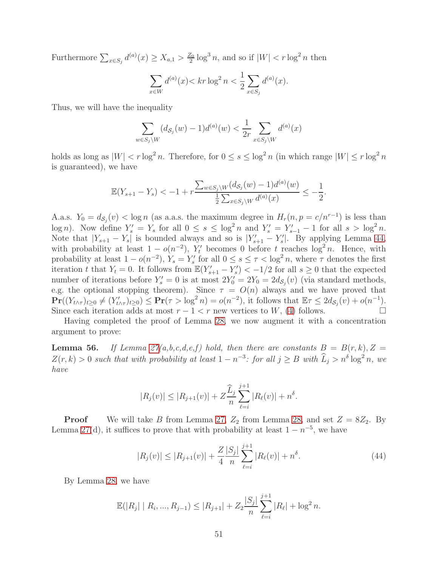Furthermore  $\sum_{x \in S_j} d^{(a)}(x) \ge X_{a,1} > \frac{Z_0}{2}$  $\frac{Z_0}{2} \log^3 n$ , and so if  $|W| < r \log^2 n$  then

$$
\sum_{x \in W} d^{(a)}(x) < kr \log^2 n < \frac{1}{2} \sum_{x \in S_j} d^{(a)}(x).
$$

Thus, we will have the inequality

$$
\sum_{w \in S_j \setminus W} (d_{S_j}(w) - 1) d^{(a)}(w) < \frac{1}{2r} \sum_{x \in S_j \setminus W} d^{(a)}(x)
$$

holds as long as  $|W| < r \log^2 n$ . Therefore, for  $0 \le s \le \log^2 n$  (in which range  $|W| \le r \log^2 n$ is guaranteed), we have

$$
\mathbb{E}(Y_{s+1} - Y_s) < -1 + r \frac{\sum_{w \in S_j \setminus W} (d_{S_j}(w) - 1) d^{(a)}(w)}{\frac{1}{2} \sum_{x \in S_j \setminus W} d^{(a)}(x)} \le -\frac{1}{2}.
$$

A.a.s.  $Y_0 = d_{\mathcal{S}_j}(v) < \log n$  (as a.a.s. the maximum degree in  $H_r(n, p = c/n^{r-1})$  is less than log n). Now define  $Y'_s = Y_s$  for all  $0 \le s \le \log^2 n$  and  $Y'_s = Y'_{s-1} - 1$  for all  $s > \log^2 n$ . Note that  $|Y_{s+1} - Y_s|$  is bounded always and so is  $|Y'_{s+1} - Y'_s|$ . By applying Lemma [44,](#page-32-2) with probability at least  $1 - o(n^{-2})$ ,  $Y'_t$  becomes 0 before t reaches  $\log^2 n$ . Hence, with probability at least  $1 - o(n^{-2})$ ,  $Y_s = Y'_s$  for all  $0 \le s \le \tau < \log^2 n$ , where  $\tau$  denotes the first iteration t that  $Y_t = 0$ . It follows from  $\mathbb{E}(Y'_{s+1} - Y'_s) < -1/2$  for all  $s \geq 0$  that the expected number of iterations before  $Y'_s = 0$  is at most  $2Y'_0 = 2Y_0 = 2d_{\mathcal{S}_j}(v)$  (via standard methods, e.g. the optional stopping theorem). Since  $\tau = O(n)$  always and we have proved that  $\mathbf{Pr}((Y_{t\wedge\tau})_{t\geq 0}\neq (Y'_{t\wedge\tau})_{t\geq 0})\leq \mathbf{Pr}(\tau > \log^2 n) = o(n^{-2}),$  it follows that  $\mathbb{E}\tau \leq 2d_{\mathcal{S}_j}(v) + o(n^{-1}).$ Since each iteration adds at most  $r - 1 < r$  new vertices to W, [\(4\)](#page-24-0) follows.

Having completed the proof of Lemma [28,](#page-23-1) we now augment it with a concentration argument to prove:

<span id="page-51-0"></span>**Lemma 56.** If Lemma  $27(a,b,c,d,e,f)$  hold, then there are constants  $B = B(r,k), Z =$  $Z(r, k) > 0$  such that with probability at least  $1 - n^{-3}$ : for all  $j \ge B$  with  $\widehat{L}_j > n^{\delta} \log^2 n$ , we have

$$
|R_j(v)| \leq |R_{j+1}(v)| + Z \frac{\widehat{L}_j}{n} \sum_{\ell=i}^{j+1} |R_{\ell}(v)| + n^{\delta}.
$$

**Proof** We will take B from Lemma [27,](#page-23-0)  $Z_2$  from Lemma [28,](#page-23-1) and set  $Z = 8Z_2$ . By Lemma [27\(](#page-23-0)d), it suffices to prove that with probability at least  $1 - n^{-5}$ , we have

$$
|R_j(v)| \le |R_{j+1}(v)| + \frac{Z}{4} \frac{|S_j|}{n} \sum_{\ell=i}^{j+1} |R_{\ell}(v)| + n^{\delta}.
$$
 (44)

By Lemma [28,](#page-23-1) we have

$$
\mathbb{E}(|R_j| | R_i, ..., R_{j-1}) \le |R_{j+1}| + Z_2 \frac{|S_j|}{n} \sum_{\ell=i}^{j+1} |R_{\ell}| + \log^2 n.
$$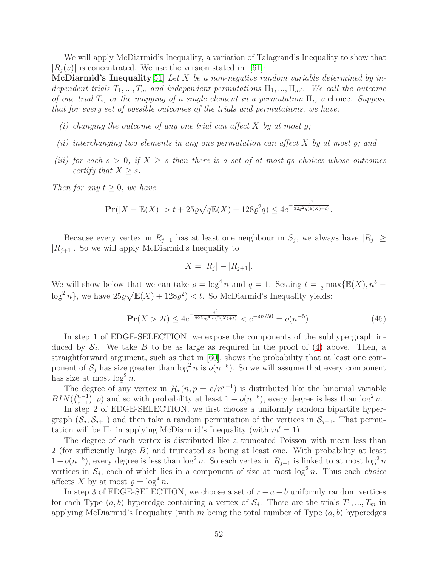We will apply McDiarmid's Inequality, a variation of Talagrand's Inequality to show that  $|R_i(v)|$  is concentrated. We use the version stated in [\[61\]](#page-16-12):

**McDiarmid's Inequality** [\[51\]](#page-15-13) Let X be a non-negative random variable determined by independent trials  $T_1, ..., T_m$  and independent permutations  $\Pi_1, ..., \Pi_{m'}$ . We call the outcome of one trial  $T_i$ , or the mapping of a single element in a permutation  $\Pi_i$ , a choice. Suppose that for every set of possible outcomes of the trials and permutations, we have:

- (i) changing the outcome of any one trial can affect X by at most  $\rho$ ;
- (ii) interchanging two elements in any one permutation can affect  $X$  by at most  $\rho$ ; and
- (iii) for each  $s > 0$ , if  $X \geq s$  then there is a set of at most qs choices whose outcomes certify that  $X > s$ .

Then for any  $t \geq 0$ , we have

$$
\mathbf{Pr}(|X - \mathbb{E}(X)| > t + 25\varrho\sqrt{q\mathbb{E}(X)} + 128\varrho^2 q) \le 4e^{-\frac{t^2}{32\varrho^2 q(\mathbb{E}(X) + t)}}.
$$

Because every vertex in  $R_{j+1}$  has at least one neighbour in  $S_j$ , we always have  $|R_j| \geq$  $|R_{i+1}|$ . So we will apply McDiarmid's Inequality to

$$
X = |R_j| - |R_{j+1}|.
$$

We will show below that we can take  $\varrho = \log^4 n$  and  $q = 1$ . Setting  $t = \frac{1}{2} \max{\{\mathbb{E}(X), n^{\delta}\}}$  $\log^2 n$ , we have  $25\varrho\sqrt{\mathbb{E}(X)} + 128\varrho^2) < t$ . So McDiarmid's Inequality yields:

<span id="page-52-0"></span>
$$
\mathbf{Pr}(X > 2t) \le 4e^{-\frac{t^2}{32\log^4 n(\mathbb{E}(X) + t)}} < e^{-\delta n/50} = o(n^{-5}).\tag{45}
$$

In step 1 of EDGE-SELECTION, we expose the components of the subhypergraph induced by  $S_j$ . We take B to be as large as required in the proof of [\(4\)](#page-24-0) above. Then, a straightforward argument, such as that in [\[60\]](#page-16-13), shows the probability that at least one component of  $S_j$  has size greater than  $\log^2 n$  is  $o(n^{-5})$ . So we will assume that every component has size at most  $\log^2 n$ .

The degree of any vertex in  $\mathcal{H}_r(n, p = c/n^{r-1})$  is distributed like the binomial variable  $BIN({n-1 \choose r-1}$  $(n-1)$ , p) and so with probability at least  $1 - o(n^{-5})$ , every degree is less than  $\log^2 n$ .

In step 2 of EDGE-SELECTION, we first choose a uniformly random bipartite hypergraph  $(S_j, S_{j+1})$  and then take a random permutation of the vertices in  $S_{j+1}$ . That permutation will be  $\Pi_1$  in applying McDiarmid's Inequality (with  $m' = 1$ ).

The degree of each vertex is distributed like a truncated Poisson with mean less than 2 (for sufficiently large B) and truncated as being at least one. With probability at least  $1-o(n^{-6})$ , every degree is less than  $\log^2 n$ . So each vertex in  $R_{j+1}$  is linked to at most  $\log^2 n$ vertices in  $S_j$ , each of which lies in a component of size at most  $\log^2 n$ . Thus each *choice* affects X by at most  $\rho = \log^4 n$ .

In step 3 of EDGE-SELECTION, we choose a set of  $r - a - b$  uniformly random vertices for each Type  $(a, b)$  hyperedge containing a vertex of  $S_j$ . These are the trials  $T_1, ..., T_m$  in applying McDiarmid's Inequality (with m being the total number of Type  $(a, b)$  hyperedges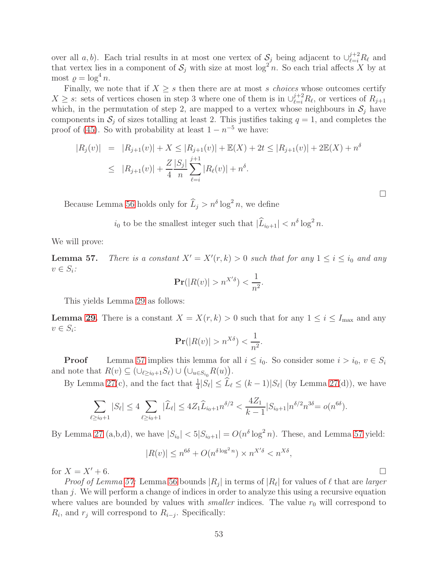over all a, b). Each trial results in at most one vertex of  $S_j$  being adjacent to  $\cup_{\ell=i}^{j+2} R_{\ell}$  and that vertex lies in a component of  $S_j$  with size at most  $\log^2 n$ . So each trial affects X by at most  $\rho = \log^4 n$ .

Finally, we note that if  $X \geq s$  then there are at most s choices whose outcomes certify  $X \geq s$ : sets of vertices chosen in step 3 where one of them is in  $\bigcup_{\ell=i}^{j+2} R_{\ell}$ , or vertices of  $R_{j+1}$ which, in the permutation of step 2, are mapped to a vertex whose neighbours in  $S_j$  have components in  $S_i$  of sizes totalling at least 2. This justifies taking  $q = 1$ , and completes the proof of [\(45\)](#page-52-0). So with probability at least  $1 - n^{-5}$  we have:

$$
|R_j(v)| = |R_{j+1}(v)| + X \le |R_{j+1}(v)| + \mathbb{E}(X) + 2t \le |R_{j+1}(v)| + 2\mathbb{E}(X) + n^{\delta}
$$
  

$$
\le |R_{j+1}(v)| + \frac{Z}{4} \frac{|S_j|}{n} \sum_{\ell=i}^{j+1} |R_{\ell}(v)| + n^{\delta}.
$$

Because Lemma [56](#page-51-0) holds only for  $\widehat{L}_j > n^{\delta} \log^2 n$ , we define

 $i_0$  to be the smallest integer such that  $|\widehat{L}_{i_0+1}| < n^{\delta} \log^2 n$ .

We will prove:

<span id="page-53-0"></span>**Lemma 57.** There is a constant  $X' = X'(r, k) > 0$  such that for any  $1 \le i \le i_0$  and any  $v \in S_i$ :

$$
\mathbf{Pr}(|R(v)| > n^{X'\delta}) < \frac{1}{n^2}.
$$

This yields Lemma [29](#page-25-0) as follows:

**Lemma [29.](#page-25-0)** There is a constant  $X = X(r, k) > 0$  such that for any  $1 \leq i \leq I_{\text{max}}$  and any  $v \in S_i$ :

$$
\mathbf{Pr}(|R(v)| > n^{X\delta}) < \frac{1}{n^2}.
$$

**Proof** Lemma [57](#page-53-0) implies this lemma for all  $i \leq i_0$ . So consider some  $i > i_0$ ,  $v \in S_i$ and note that  $R(v) \subseteq (\cup_{\ell \geq i_0+1} S_{\ell}) \cup (\cup_{u \in S_{i_0}} R(u)).$ 

By Lemma [27\(](#page-23-0)c), and the fact that  $\frac{1}{4}|S_{\ell}| \leq \tilde{L}_{\ell} \leq (k-1)|S_{\ell}|$  (by Lemma 27(d)), we have

$$
\sum_{\ell \ge i_0+1} |S_{\ell}| \le 4 \sum_{\ell \ge i_0+1} |\widehat{L}_{\ell}| \le 4Z_1 \widehat{L}_{i_0+1} n^{\delta/2} < \frac{4Z_1}{k-1} |S_{i_0+1}| n^{\delta/2} n^{3\delta} = o(n^{6\delta}).
$$

By Lemma [27](#page-23-0) (a,b,d), we have  $|S_{i_0}| < 5|S_{i_0+1}| = O(n^{\delta} \log^2 n)$ . These, and Lemma [57](#page-53-0) yield:

$$
|R(v)| \le n^{6\delta} + O(n^{\delta \log^2 n}) \times n^{X'\delta} < n^{X\delta},
$$

for  $X = X' + 6$ .

*Proof of Lemma [57:](#page-53-0)* Lemma [56](#page-51-0) bounds  $|R_j|$  in terms of  $|R_\ell|$  for values of  $\ell$  that are *larger* than j. We will perform a change of indices in order to analyze this using a recursive equation where values are bounded by values with *smaller* indices. The value  $r_0$  will correspond to  $R_i$ , and  $r_j$  will correspond to  $R_{i-j}$ . Specifically: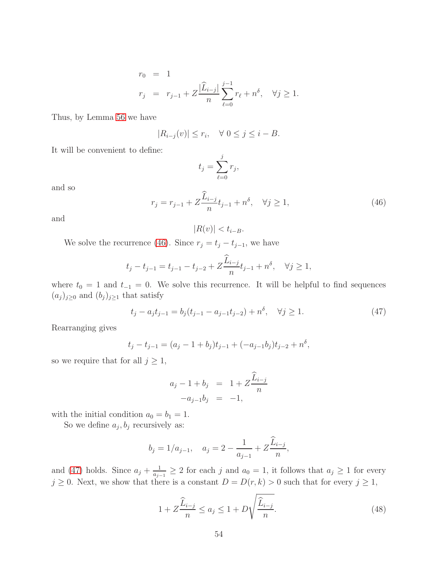$$
r_0 = 1
$$
  

$$
r_j = r_{j-1} + Z \frac{|\widehat{L}_{i-j}|}{n} \sum_{\ell=0}^{j-1} r_{\ell} + n^{\delta}, \quad \forall j \ge 1.
$$

Thus, by Lemma [56](#page-51-0) we have

$$
|R_{i-j}(v)| \le r_i, \quad \forall \ 0 \le j \le i - B.
$$

It will be convenient to define:

$$
t_j = \sum_{\ell=0}^j r_j,
$$

and so

<span id="page-54-0"></span>
$$
r_j = r_{j-1} + Z \frac{\hat{L}_{i-j}}{n} t_{j-1} + n^{\delta}, \quad \forall j \ge 1,
$$
\n(46)

and

$$
|R(v)| < t_{i-B}.
$$

We solve the recurrence [\(46\)](#page-54-0). Since  $r_j = t_j - t_{j-1}$ , we have

$$
t_j - t_{j-1} = t_{j-1} - t_{j-2} + Z \frac{\widehat{L}_{i-j}}{n} t_{j-1} + n^{\delta}, \quad \forall j \ge 1,
$$

where  $t_0 = 1$  and  $t_{-1} = 0$ . We solve this recurrence. It will be helpful to find sequences  $(a_j)_{j\geq0}$  and  $(b_j)_{j\geq1}$  that satisfy

<span id="page-54-1"></span>
$$
t_j - a_j t_{j-1} = b_j (t_{j-1} - a_{j-1} t_{j-2}) + n^{\delta}, \quad \forall j \ge 1.
$$
 (47)

Rearranging gives

$$
t_j - t_{j-1} = (a_j - 1 + b_j)t_{j-1} + (-a_{j-1}b_j)t_{j-2} + n^{\delta},
$$

so we require that for all  $j \geq 1$ ,

$$
a_j - 1 + b_j = 1 + Z \frac{\widehat{L}_{i-j}}{n}
$$
  
-a<sub>j-1</sub>b<sub>j</sub> = -1,

with the initial condition  $a_0 = b_1 = 1$ .

So we define  $a_j, b_j$  recursively as:

$$
b_j = 1/a_{j-1}
$$
,  $a_j = 2 - \frac{1}{a_{j-1}} + Z \frac{\widehat{L}_{i-j}}{n}$ ,

and [\(47\)](#page-54-1) holds. Since  $a_j + \frac{1}{a_j}$  $\frac{1}{a_{j-1}} \geq 2$  for each j and  $a_0 = 1$ , it follows that  $a_j \geq 1$  for every  $j \geq 0$ . Next, we show that there is a constant  $D = D(r, k) > 0$  such that for every  $j \geq 1$ ,

<span id="page-54-2"></span>
$$
1 + Z \frac{\widehat{L}_{i-j}}{n} \le a_j \le 1 + D \sqrt{\frac{\widehat{L}_{i-j}}{n}}.
$$
\n(48)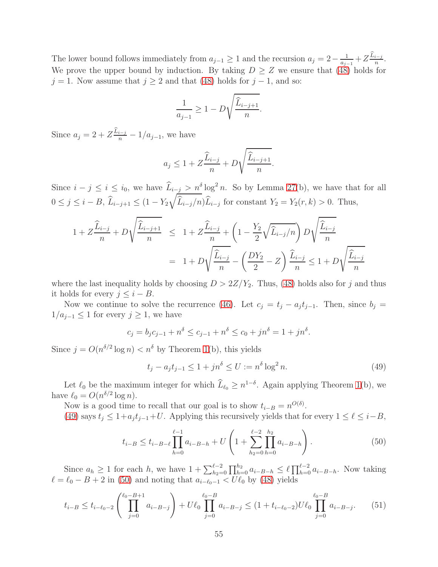The lower bound follows immediately from  $a_{j-1} \geq 1$  and the recursion  $a_j = 2 - \frac{1}{a_j}$  $\frac{1}{a_{j-1}}+Z\frac{\widehat{L}_{i-j}}{n}$  $\frac{i-j}{n}$ . We prove the upper bound by induction. By taking  $D \geq Z$  we ensure that [\(48\)](#page-54-2) holds for  $j = 1$ . Now assume that  $j \geq 2$  and that [\(48\)](#page-54-2) holds for  $j - 1$ , and so:

$$
\frac{1}{a_{j-1}} \ge 1 - D\sqrt{\frac{\widehat{L}_{i-j+1}}{n}}.
$$

Since  $a_j = 2 + Z \frac{\hat{L}_{i-j}}{n} - 1/a_{j-1}$ , we have

$$
a_j \le 1 + Z \frac{\widehat{L}_{i-j}}{n} + D \sqrt{\frac{\widehat{L}_{i-j+1}}{n}}.
$$

Since  $i - j \leq i \leq i_0$ , we have  $\widehat{L}_{i-j} > n^{\delta} \log^2 n$ . So by Lemma [27\(](#page-23-0)b), we have that for all  $0 \le j \le i - B$ ,  $L_{i-j+1} \le (1 - Y_2)$  $\sqrt{ }$  $L_{i-j}/n$ ,  $L_{i-j}$  for constant  $Y_2 = Y_2(r, k) > 0$ . Thus,

$$
1 + Z \frac{\widehat{L}_{i-j}}{n} + D \sqrt{\frac{\widehat{L}_{i-j+1}}{n}} \leq 1 + Z \frac{\widehat{L}_{i-j}}{n} + \left(1 - \frac{Y_2}{2} \sqrt{\widehat{L}_{i-j}/n}\right) D \sqrt{\frac{\widehat{L}_{i-j}}{n}}
$$
  
= 
$$
1 + D \sqrt{\frac{\widehat{L}_{i-j}}{n}} - \left(\frac{DY_2}{2} - Z\right) \frac{\widehat{L}_{i-j}}{n} \leq 1 + D \sqrt{\frac{\widehat{L}_{i-j}}{n}}
$$

where the last inequality holds by choosing  $D > 2Z/Y_2$ . Thus, [\(48\)](#page-54-2) holds also for j and thus it holds for every  $j \leq i - B$ .

Now we continue to solve the recurrence [\(46\)](#page-54-0). Let  $c_j = t_j - a_j t_{j-1}$ . Then, since  $b_j =$  $1/a_{j-1} \leq 1$  for every  $j \geq 1$ , we have

$$
c_j = b_j c_{j-1} + n^{\delta} \le c_{j-1} + n^{\delta} \le c_0 + j n^{\delta} = 1 + j n^{\delta}.
$$

Since  $j = O(n^{\delta/2} \log n) < n^{\delta}$  by Theorem [1\(](#page-3-1)b), this yields

<span id="page-55-0"></span>
$$
t_j - a_j t_{j-1} \le 1 + j n^{\delta} \le U := n^{\delta} \log^2 n.
$$
 (49)

Let  $\ell_0$  be the maximum integer for which  $L_{\ell_0} \geq n^{1-\delta}$ . Again applying Theorem [1\(](#page-3-1)b), we have  $\ell_0 = O(n^{\delta/2} \log n)$ .

Now is a good time to recall that our goal is to show  $t_{i-B} = n^{O(\delta)}$ .

[\(49\)](#page-55-0) says  $t_j \leq 1+a_j t_{j-1}+U$ . Applying this recursively yields that for every  $1 \leq \ell \leq i-B$ ,

<span id="page-55-1"></span>
$$
t_{i-B} \le t_{i-B-\ell} \prod_{h=0}^{\ell-1} a_{i-B-h} + U \left( 1 + \sum_{h_2=0}^{\ell-2} \prod_{h=0}^{h_2} a_{i-B-h} \right). \tag{50}
$$

Since  $a_h \geq 1$  for each h, we have  $1 + \sum_{h=0}^{\ell-2} \prod_{h=0}^{h_2} a_{i-B-h} \leq \ell \prod_{h=0}^{\ell-2} a_{i-B-h}$ . Now taking  $\ell = \ell_0 - B + 2$  in [\(50\)](#page-55-1) and noting that  $a_{i-\ell_0-1} < U\ell_0$  by [\(48\)](#page-54-2) yields

<span id="page-55-2"></span>
$$
t_{i-B} \le t_{i-\ell_0-2} \left( \prod_{j=0}^{\ell_0 - B + 1} a_{i-B-j} \right) + U\ell_0 \prod_{j=0}^{\ell_0 - B} a_{i-B-j} \le (1 + t_{i-\ell_0-2}) U\ell_0 \prod_{j=0}^{\ell_0 - B} a_{i-B-j}.
$$
 (51)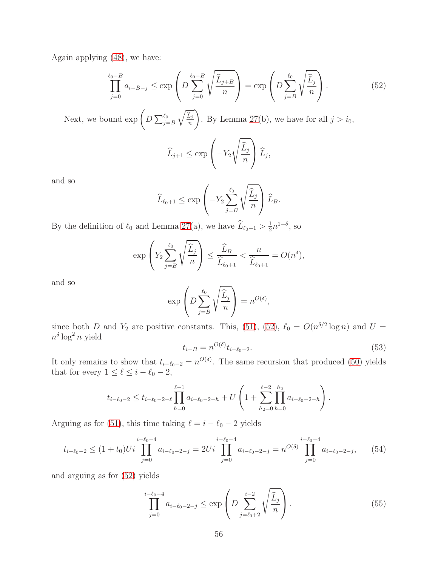Again applying [\(48\)](#page-54-2), we have:

<span id="page-56-0"></span>
$$
\prod_{j=0}^{\ell_0-B} a_{i-B-j} \le \exp\left(D\sum_{j=0}^{\ell_0-B} \sqrt{\frac{\widehat{L}_{j+B}}{n}}\right) = \exp\left(D\sum_{j=B}^{\ell_0} \sqrt{\frac{\widehat{L}_j}{n}}\right).
$$
\n(52)

Next, we bound  $\exp\left(D \sum_{j=B}^{\ell_0}\right)$  $\sqrt{\hat{L}_j}$ n  $\setminus$ . By Lemma [27\(](#page-23-0)b), we have for all  $j > i_0$ ,

$$
\widehat{L}_{j+1} \le \exp\left(-Y_2\sqrt{\frac{\widehat{L}_j}{n}}\right)\widehat{L}_j,
$$

and so

$$
\widehat{L}_{\ell_0+1} \le \exp\left(-Y_2 \sum_{j=B}^{\ell_0} \sqrt{\frac{\widehat{L}_j}{n}}\right) \widehat{L}_B.
$$

By the definition of  $\ell_0$  and Lemma [27\(](#page-23-0)a), we have  $\widehat{L}_{\ell_0+1} > \frac{1}{2}$  $\frac{1}{2}n^{1-\delta}$ , so

$$
\exp\left(Y_2 \sum_{j=B}^{\ell_0} \sqrt{\frac{\widehat{L}_j}{n}}\right) \le \frac{\widehat{L}_B}{\widehat{L}_{\ell_0+1}} < \frac{n}{\widehat{L}_{\ell_0+1}} = O(n^{\delta}),
$$

and so

$$
\exp\left(D\sum_{j=B}^{\ell_0}\sqrt{\frac{\widehat{L}_j}{n}}\right)=n^{O(\delta)},
$$

since both D and  $Y_2$  are positive constants. This, [\(51\)](#page-55-2), [\(52\)](#page-56-0),  $\ell_0 = O(n^{\delta/2} \log n)$  and  $U =$  $n^{\delta} \log^2 n$  yield

<span id="page-56-3"></span>
$$
t_{i-B} = n^{O(\delta)} t_{i-\ell_0 - 2}.\tag{53}
$$

It only remains to show that  $t_{i-\ell_0-2} = n^{O(\delta)}$ . The same recursion that produced [\(50\)](#page-55-1) yields that for every  $1 \leq \ell \leq i - \ell_0 - 2$ ,

$$
t_{i-\ell_0-2} \le t_{i-\ell_0-2-\ell} \prod_{h=0}^{\ell-1} a_{i-\ell_0-2-h} + U \left( 1 + \sum_{h_2=0}^{\ell-2} \prod_{h=0}^{h_2} a_{i-\ell_0-2-h} \right).
$$

Arguing as for [\(51\)](#page-55-2), this time taking  $\ell = i - \ell_0 - 2$  yields

<span id="page-56-1"></span>
$$
t_{i-\ell_0-2} \le (1+t_0)U_i \prod_{j=0}^{i-\ell_0-4} a_{i-\ell_0-2-j} = 2U_i \prod_{j=0}^{i-\ell_0-4} a_{i-\ell_0-2-j} = n^{O(\delta)} \prod_{j=0}^{i-\ell_0-4} a_{i-\ell_0-2-j}, \qquad (54)
$$

and arguing as for [\(52\)](#page-56-0) yields

<span id="page-56-2"></span>
$$
\prod_{j=0}^{i-\ell_0-4} a_{i-\ell_0-2-j} \le \exp\left(D \sum_{j=\ell_0+2}^{i-2} \sqrt{\frac{\widehat{L}_j}{n}}\right).
$$
\n(55)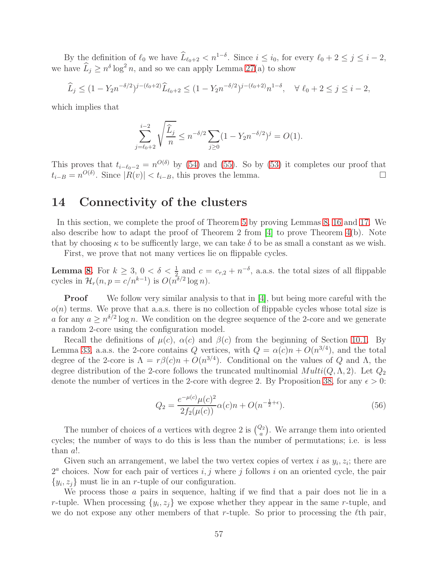By the definition of  $\ell_0$  we have  $\widehat{L}_{\ell_0+2} < n^{1-\delta}$ . Since  $i \leq i_0$ , for every  $\ell_0 + 2 \leq j \leq i - 2$ , we have  $\widehat{L}_j \geq n^{\delta} \log^2 n$ , and so we can apply Lemma [27\(](#page-23-0)a) to show

$$
\widehat{L}_j \le (1 - Y_2 n^{-\delta/2})^{j - (\ell_0 + 2)} \widehat{L}_{\ell_0 + 2} \le (1 - Y_2 n^{-\delta/2})^{j - (\ell_0 + 2)} n^{1 - \delta}, \quad \forall \ell_0 + 2 \le j \le i - 2,
$$

which implies that

$$
\sum_{j=\ell_0+2}^{i-2} \sqrt{\frac{\widehat{L}_j}{n}} \le n^{-\delta/2} \sum_{j\ge 0} (1 - Y_2 n^{-\delta/2})^j = O(1).
$$

This proves that  $t_{i-\ell_0-2} = n^{O(\delta)}$  by [\(54\)](#page-56-1) and [\(55\)](#page-56-2). So by [\(53\)](#page-56-3) it completes our proof that  $t_{i-B} = n^{O(\delta)}$ . Since  $|R(v)| < t_{i-B}$ , this proves the lemma.

### <span id="page-57-0"></span>14 Connectivity of the clusters

In this section, we complete the proof of Theorem [5](#page-5-2) by proving Lemmas [8,](#page-4-0) [16](#page-11-2) and [17.](#page-11-1) We also describe how to adapt the proof of Theorem 2 from  $[4]$  to prove Theorem  $4(b)$ . Note that by choosing  $\kappa$  to be sufficently large, we can take  $\delta$  to be as small a constant as we wish.

First, we prove that not many vertices lie on flippable cycles.

**Lemma [8.](#page-4-0)** For  $k \geq 3$ ,  $0 < \delta < \frac{1}{2}$  and  $c = c_{r,2} + n^{-\delta}$ , a.a.s. the total sizes of all flippable cycles in  $\mathcal{H}_r(n, p = c/n^{k-1})$  is  $O(n^{\delta/2} \log n)$ .

**Proof** We follow very similar analysis to that in  $[4]$ , but being more careful with the  $o(n)$  terms. We prove that a.a.s. there is no collection of flippable cycles whose total size is a for any  $a \geq n^{\delta/2} \log n$ . We condition on the degree sequence of the 2-core and we generate a random 2-core using the configuration model.

Recall the definitions of  $\mu(c)$ ,  $\alpha(c)$  and  $\beta(c)$  from the beginning of Section [10.1.](#page-26-4) By Lemma [33,](#page-27-1) a.a.s. the 2-core contains Q vertices, with  $Q = \alpha(c)n + O(n^{3/4})$ , and the total degree of the 2-core is  $\Lambda = r\beta(c)n + O(n^{3/4})$ . Conditional on the values of Q and  $\Lambda$ , the degree distribution of the 2-core follows the truncated multinomial  $Multi(Q, \Lambda, 2)$ . Let  $Q_2$ denote the number of vertices in the 2-core with degree 2. By Proposition [38,](#page-30-0) for any  $\epsilon > 0$ :

<span id="page-57-1"></span>
$$
Q_2 = \frac{e^{-\mu(c)}\mu(c)^2}{2f_2(\mu(c))}\alpha(c)n + O(n^{-\frac{1}{2}+\epsilon}).
$$
\n(56)

The number of choices of a vertices with degree 2 is  $\binom{Q_2}{a}$ . We arrange them into oriented cycles; the number of ways to do this is less than the number of permutations; i.e. is less than a!.

Given such an arrangement, we label the two vertex copies of vertex i as  $y_i, z_i$ ; there are  $2<sup>a</sup>$  choices. Now for each pair of vertices i, j where j follows i on an oriented cycle, the pair  $\{y_i, z_j\}$  must lie in an *r*-tuple of our configuration.

We process those  $a$  pairs in sequence, halting if we find that a pair does not lie in a r-tuple. When processing  $\{y_i, z_j\}$  we expose whether they appear in the same r-tuple, and we do not expose any other members of that r-tuple. So prior to processing the  $\ell$ th pair,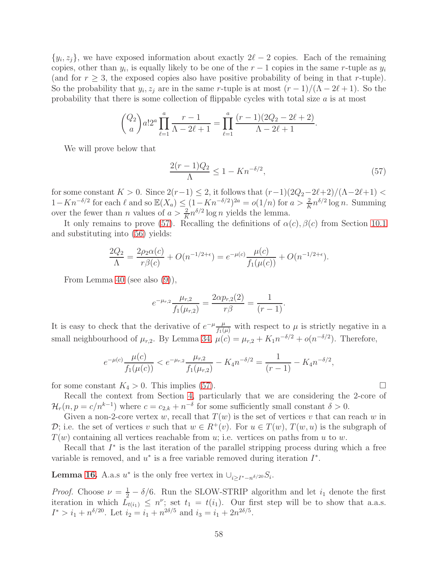$\{y_i, z_j\}$ , we have exposed information about exactly  $2\ell - 2$  copies. Each of the remaining copies, other than  $y_i$ , is equally likely to be one of the  $r-1$  copies in the same r-tuple as  $y_i$ (and for  $r \geq 3$ , the exposed copies also have positive probability of being in that r-tuple). So the probability that  $y_i, z_j$  are in the same r-tuple is at most  $(r-1)/(\Lambda - 2\ell + 1)$ . So the probability that there is some collection of flippable cycles with total size  $a$  is at most

$$
{Q_2 \choose a} a! 2^a \prod_{\ell=1}^a \frac{r-1}{\Lambda - 2\ell + 1} = \prod_{\ell=1}^a \frac{(r-1)(2Q_2 - 2\ell + 2)}{\Lambda - 2\ell + 1}.
$$

We will prove below that

<span id="page-58-0"></span>
$$
\frac{2(r-1)Q_2}{\Lambda} \le 1 - Kn^{-\delta/2},\tag{57}
$$

for some constant  $K > 0$ . Since  $2(r-1) \leq 2$ , it follows that  $(r-1)(2Q_2-2\ell+2)/(\Lambda-2\ell+1)$  $1 - Kn^{-\delta/2}$  for each  $\ell$  and so  $\mathbb{E}(X_a) \leq (1 - Kn^{-\delta/2})^{2a} = o(1/n)$  for  $a > \frac{2}{K}n^{\delta/2} \log n$ . Summing over the fewer than *n* values of  $a > \frac{2}{K}n^{\delta/2} \log n$  yields the lemma.

It only remains to prove [\(57\)](#page-58-0). Recalling the definitions of  $\alpha(c)$ ,  $\beta(c)$  from Section [10.1](#page-26-4) and substituting into [\(56\)](#page-57-1) yields:

$$
\frac{2Q_2}{\Lambda} = \frac{2\rho_2 \alpha(c)}{r\beta(c)} + O(n^{-1/2+\epsilon}) = e^{-\mu(c)} \frac{\mu(c)}{f_1(\mu(c))} + O(n^{-1/2+\epsilon}).
$$

From Lemma [40](#page-31-1) (see also [\(9\)](#page-30-3)),

$$
e^{-\mu_{r,2}} \frac{\mu_{r,2}}{f_1(\mu_{r,2})} = \frac{2\alpha p_{r,2}(2)}{r\beta} = \frac{1}{(r-1)}.
$$

It is easy to check that the derivative of  $e^{-\mu} \frac{\mu}{f_1(\mu)}$  with respect to  $\mu$  is strictly negative in a small neighbourhood of  $\mu_{r,2}$ . By Lemma [34,](#page-27-0)  $\mu(c) = \mu_{r,2} + K_1 n^{-\delta/2} + o(n^{-\delta/2})$ . Therefore,

$$
e^{-\mu(c)} \frac{\mu(c)}{f_1(\mu(c))} < e^{-\mu_{r,2}} \frac{\mu_{r,2}}{f_1(\mu_{r,2})} - K_4 n^{-\delta/2} = \frac{1}{(r-1)} - K_4 n^{-\delta/2},
$$

for some constant  $K_4 > 0$ . This implies [\(57\)](#page-58-0).

Recall the context from Section [4,](#page-9-0) particularly that we are considering the 2-core of  $\mathcal{H}_r(n,p=c/n^{k-1})$  where  $c=c_{2,k}+n^{-\delta}$  for some sufficiently small constant  $\delta>0$ .

Given a non-2-core vertex w, recall that  $T(w)$  is the set of vertices v that can reach w in D; i.e. the set of vertices v such that  $w \in R^+(v)$ . For  $u \in T(w)$ ,  $T(w, u)$  is the subgraph of  $T(w)$  containing all vertices reachable from u; i.e. vertices on paths from u to w.

Recall that  $I^*$  is the last iteration of the parallel stripping process during which a free variable is removed, and  $u^*$  is a free variable removed during iteration  $I^*$ .

**Lemma [16.](#page-11-2)** A.a.s  $u^*$  is the only free vertex in  $\bigcup_{i\geq I^*-n^{\delta/20}}S_i$ .

*Proof.* Choose  $\nu = \frac{1}{2} - \delta/6$ . Run the SLOW-STRIP algorithm and let  $i_1$  denote the first iteration in which  $\bar{L}_{t(i_1)} \leq n^{\nu}$ ; set  $t_1 = t(i_1)$ . Our first step will be to show that a.a.s.  $I^* > i_1 + n^{\delta/20}$ . Let  $i_2 = i_1 + n^{2\delta/5}$  and  $i_3 = i_1 + 2n^{2\delta/5}$ .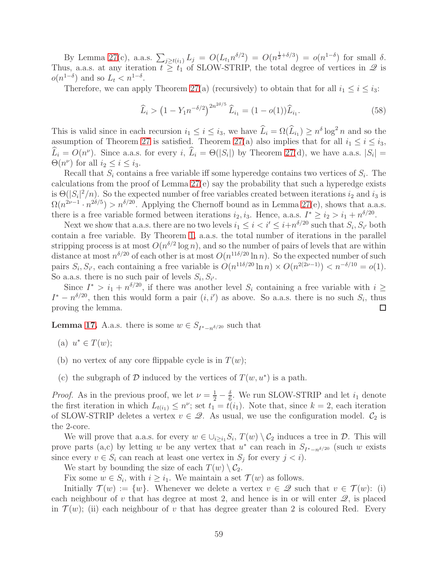By Lemma [27\(](#page-23-0)c), a.a.s.  $\sum_{j\geq t(i_1)} L_j = O(L_{t_1}n^{\delta/2}) = O(n^{\frac{1}{2}+\delta/3}) = o(n^{1-\delta})$  for small  $\delta$ . Thus, a.a.s. at any iteration  $t \geq t_1$  of SLOW-STRIP, the total degree of vertices in  $\mathscr Q$  is  $o(n^{1-\delta})$  and so  $L_t < n^{1-\delta}$ .

Therefore, we can apply Theorem [27\(](#page-23-0)a) (recursively) to obtain that for all  $i_1 \leq i \leq i_3$ :

<span id="page-59-0"></span>
$$
\widehat{L}_i > \left(1 - Y_1 n^{-\delta/2}\right)^{2n^{2\delta/5}} \widehat{L}_{i_1} = (1 - o(1))\widehat{L}_{i_1}.
$$
\n(58)

This is valid since in each recursion  $i_1 \leq i \leq i_3$ , we have  $\widehat{L}_i = \Omega(\widehat{L}_{i_1}) \geq n^{\delta} \log^2 n$  and so the assumption of Theorem [27](#page-23-0) is satisfied. Theorem [27\(](#page-23-0)a) also implies that for all  $i_1 \leq i \leq i_3$ ,  $\widehat{L}_i = O(n^{\nu})$ . Since a.a.s. for every i,  $\widehat{L}_i = \Theta(|S_i|)$  by Theorem [27\(](#page-23-0)d), we have a.a.s.  $|S_i|$  =  $\Theta(n^{\nu})$  for all  $i_2 \leq i \leq i_3$ .

Recall that  $S_i$  contains a free variable iff some hyperedge contains two vertices of  $S_i$ . The calculations from the proof of Lemma [27\(](#page-23-0)e) say the probability that such a hyperedge exists is  $\Theta(|S_i|^2/n)$ . So the expected number of free variables created between iterations  $i_2$  and  $i_3$  is  $\Omega(n^{2\nu-1} \cdot n^{2\delta/5}) > n^{\delta/20}$ . Applying the Chernoff bound as in Lemma [27\(](#page-23-0)e), shows that a.a.s. there is a free variable formed between iterations  $i_2, i_3$ . Hence, a.a.s.  $I^* \ge i_2 > i_1 + n^{\delta/20}$ .

Next we show that a.a.s. there are no two levels  $i_1 \leq i < i' \leq i+n^{\delta/20}$  such that  $S_i, S_{i'}$  both contain a free variable. By Theorem [1,](#page-3-1) a.a.s. the total number of iterations in the parallel stripping process is at most  $O(n^{\delta/2} \log n)$ , and so the number of pairs of levels that are within distance at most  $n^{\delta/20}$  of each other is at most  $O(n^{11\delta/20} \ln n)$ . So the expected number of such pairs  $S_i$ ,  $S_{i'}$ , each containing a free variable is  $O(n^{11\delta/20} \ln n) \times O(n^{2(2\nu-1)}) < n^{-\delta/10} = o(1)$ . So a.a.s. there is no such pair of levels  $S_i$ ,  $S_{i'}$ .

Since  $I^* > i_1 + n^{\delta/20}$ , if there was another level  $S_i$  containing a free variable with  $i \geq$  $I^* - n^{\delta/20}$ , then this would form a pair  $(i, i')$  as above. So a.a.s. there is no such  $S_i$ , thus proving the lemma.  $\Box$ 

**Lemma [17.](#page-11-1)** A.a.s. there is some  $w \in S_{I^*-\lfloor n\delta/20 \rfloor}$  such that

- (a)  $u^* \in T(w);$
- (b) no vertex of any core flippable cycle is in  $T(w)$ ;
- (c) the subgraph of  $D$  induced by the vertices of  $T(w, u^*)$  is a path.

*Proof.* As in the previous proof, we let  $\nu = \frac{1}{2} - \frac{\delta}{6}$  $\frac{6}{6}$ . We run SLOW-STRIP and let  $i_1$  denote the first iteration in which  $L_{t(i_1)} \leq n^{\nu}$ ; set  $t_1 = t(i_1)$ . Note that, since  $k = 2$ , each iteration of SLOW-STRIP deletes a vertex  $v \in \mathcal{Q}$ . As usual, we use the configuration model.  $\mathcal{C}_2$  is the 2-core.

We will prove that a.a.s. for every  $w \in \bigcup_{i \geq i_1} S_i$ ,  $T(w) \setminus C_2$  induces a tree in  $D$ . This will prove parts (a,c) by letting w be any vertex that  $u^*$  can reach in  $S_{I^*-n^{\delta/20}}$  (such w exists since every  $v \in S_i$  can reach at least one vertex in  $S_j$  for every  $j < i$ .

We start by bounding the size of each  $T(w) \setminus C_2$ .

Fix some  $w \in S_i$ , with  $i \geq i_1$ . We maintain a set  $\mathcal{T}(w)$  as follows.

Initially  $\mathcal{T}(w) := \{w\}$ . Whenever we delete a vertex  $v \in \mathcal{Q}$  such that  $v \in \mathcal{T}(w)$ : (i) each neighbour of v that has degree at most 2, and hence is in or will enter  $\mathscr{Q}$ , is placed in  $\mathcal{T}(w)$ ; (ii) each neighbour of v that has degree greater than 2 is coloured Red. Every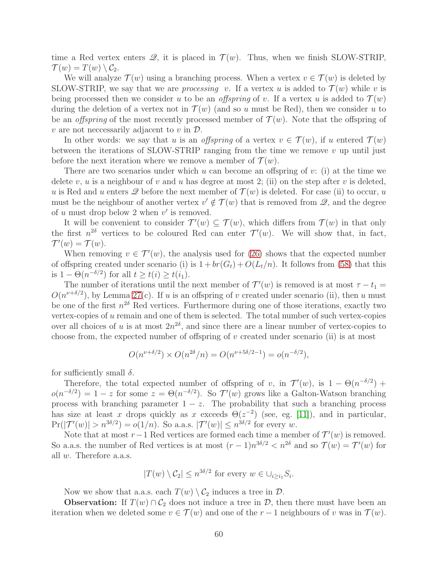time a Red vertex enters  $\mathcal{Q}$ , it is placed in  $\mathcal{T}(w)$ . Thus, when we finish SLOW-STRIP,  $\mathcal{T}(w) = T(w) \setminus \mathcal{C}_2.$ 

We will analyze  $\mathcal{T}(w)$  using a branching process. When a vertex  $v \in \mathcal{T}(w)$  is deleted by SLOW-STRIP, we say that we are *processing* v. If a vertex u is added to  $\mathcal{T}(w)$  while v is being processed then we consider u to be an *offspring* of v. If a vertex u is added to  $\mathcal{T}(w)$ during the deletion of a vertex not in  $\mathcal{T}(w)$  (and so u must be Red), then we consider u to be an *offspring* of the most recently processed member of  $\mathcal{T}(w)$ . Note that the offspring of  $v$  are not necessarily adjacent to  $v$  in  $\mathcal{D}$ .

In other words: we say that u is an offspring of a vertex  $v \in \mathcal{T}(w)$ , if u entered  $\mathcal{T}(w)$ between the iterations of SLOW-STRIP ranging from the time we remove  $v$  up until just before the next iteration where we remove a member of  $\mathcal{T}(w)$ .

There are two scenarios under which u can become an offspring of  $v$ : (i) at the time we delete v, u is a neighbour of v and u has degree at most 2; (ii) on the step after v is deleted, u is Red and u enters  $\mathscr Q$  before the next member of  $\mathcal T(w)$  is deleted. For case (ii) to occur, u must be the neighbour of another vertex  $v' \notin \mathcal{T}(w)$  that is removed from  $\mathcal{Q}$ , and the degree of u must drop below 2 when  $v'$  is removed.

It will be convenient to consider  $\mathcal{T}'(w) \subseteq \mathcal{T}(w)$ , which differs from  $\mathcal{T}(w)$  in that only the first  $n^{2\delta}$  vertices to be coloured Red can enter  $\mathcal{T}'(w)$ . We will show that, in fact,  $\mathcal{T}'(w) = \mathcal{T}(w).$ 

When removing  $v \in \mathcal{T}'(w)$ , the analysis used for [\(26\)](#page-41-2) shows that the expected number of offspring created under scenario (i) is  $1 + br(G_t) + O(L_t/n)$ . It follows from [\(58\)](#page-59-0) that this is  $1 - \Theta(n^{-\delta/2})$  for all  $t \ge t(i) \ge t(i_1)$ .

The number of iterations until the next member of  $\mathcal{T}'(w)$  is removed is at most  $\tau - t_1 =$  $O(n^{\nu+\delta/2})$ , by Lemma [27\(](#page-23-0)c). If u is an offspring of v created under scenario (ii), then u must be one of the first  $n^{2\delta}$  Red vertices. Furthermore during one of those iterations, exactly two vertex-copies of  $u$  remain and one of them is selected. The total number of such vertex-copies over all choices of u is at most  $2n^{2\delta}$ , and since there are a linear number of vertex-copies to choose from, the expected number of offspring of  $v$  created under scenario (ii) is at most

$$
O(n^{\nu+\delta/2}) \times O(n^{2\delta}/n) = O(n^{\nu+5\delta/2-1}) = o(n^{-\delta/2}),
$$

for sufficiently small  $\delta$ .

Therefore, the total expected number of offspring of v, in  $\mathcal{T}'(w)$ , is  $1 - \Theta(n^{-\delta/2})$  +  $o(n^{-\delta/2}) = 1 - z$  for some  $z = \Theta(n^{-\delta/2})$ . So  $\mathcal{T}'(w)$  grows like a Galton-Watson branching process with branching parameter  $1 - z$ . The probability that such a branching process has size at least x drops quickly as x exceeds  $\Theta(z^{-2})$  (see, eg. [\[11\]](#page-13-5)), and in particular,  $\Pr(|\mathcal{T}'(w)| > n^{3\delta/2}) = o(1/n)$ . So a.a.s.  $|\mathcal{T}'(w)| \leq n^{3\delta/2}$  for every w.

Note that at most  $r-1$  Red vertices are formed each time a member of  $\mathcal{T}'(w)$  is removed. So a.a.s. the number of Red vertices is at most  $(r-1)n^{3\delta/2} < n^{2\delta}$  and so  $\mathcal{T}(w) = \mathcal{T}'(w)$  for all w. Therefore a.a.s.

$$
|T(w) \setminus C_2| \le n^{3\delta/2} \text{ for every } w \in \cup_{i \ge i_1} S_i.
$$

Now we show that a.a.s. each  $T(w) \setminus C_2$  induces a tree in  $\mathcal{D}$ .

**Observation:** If  $T(w) \cap C_2$  does not induce a tree in  $D$ , then there must have been an iteration when we deleted some  $v \in \mathcal{T}(w)$  and one of the  $r-1$  neighbours of v was in  $\mathcal{T}(w)$ .